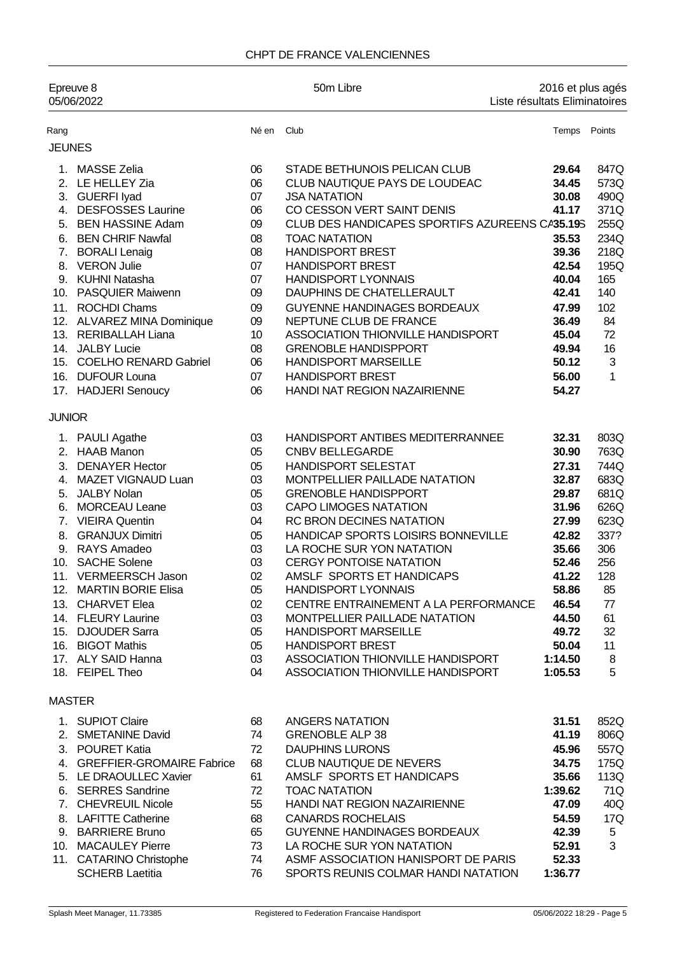### CHPT DE FRANCE VALENCIENNES

| Epreuve 8<br>05/06/2022 |                                                                                                                                                                                                                                                                                                                                                                                         |                                                                                                          | 50m Libre                                                                                                                                                                                                                                                                                                                                                                                                                                                                                                                                                                                         | 2016 et plus agés<br>Liste résultats Eliminatoires                                                                                                                 |                                                                                                                           |
|-------------------------|-----------------------------------------------------------------------------------------------------------------------------------------------------------------------------------------------------------------------------------------------------------------------------------------------------------------------------------------------------------------------------------------|----------------------------------------------------------------------------------------------------------|---------------------------------------------------------------------------------------------------------------------------------------------------------------------------------------------------------------------------------------------------------------------------------------------------------------------------------------------------------------------------------------------------------------------------------------------------------------------------------------------------------------------------------------------------------------------------------------------------|--------------------------------------------------------------------------------------------------------------------------------------------------------------------|---------------------------------------------------------------------------------------------------------------------------|
| Rang                    |                                                                                                                                                                                                                                                                                                                                                                                         | Né en                                                                                                    | Club                                                                                                                                                                                                                                                                                                                                                                                                                                                                                                                                                                                              | Temps                                                                                                                                                              | Points                                                                                                                    |
| <b>JEUNES</b>           |                                                                                                                                                                                                                                                                                                                                                                                         |                                                                                                          |                                                                                                                                                                                                                                                                                                                                                                                                                                                                                                                                                                                                   |                                                                                                                                                                    |                                                                                                                           |
| 4.<br>6.<br>7.          | 1. MASSE Zelia<br>2. LE HELLEY Zia<br>3. GUERFI lyad<br><b>DESFOSSES Laurine</b><br>5. BEN HASSINE Adam<br><b>BEN CHRIF Nawfal</b><br><b>BORALI Lenaig</b><br>8. VERON Julie<br>9. KUHNI Natasha<br>10. PASQUIER Maiwenn                                                                                                                                                                | 06<br>06<br>07<br>06<br>09<br>08<br>08<br>07<br>07<br>09                                                 | STADE BETHUNOIS PELICAN CLUB<br>CLUB NAUTIQUE PAYS DE LOUDEAC<br><b>JSA NATATION</b><br>CO CESSON VERT SAINT DENIS<br>CLUB DES HANDICAPES SPORTIFS AZUREENS CA35.19S<br><b>TOAC NATATION</b><br><b>HANDISPORT BREST</b><br><b>HANDISPORT BREST</b><br><b>HANDISPORT LYONNAIS</b><br>DAUPHINS DE CHATELLERAULT                                                                                                                                                                                                                                                                                     | 29.64<br>34.45<br>30.08<br>41.17<br>35.53<br>39.36<br>42.54<br>40.04<br>42.41                                                                                      | 847Q<br>573Q<br>490Q<br>371Q<br>255Q<br>234Q<br>218Q<br>195Q<br>165<br>140                                                |
|                         | 11. ROCHDI Chams<br>12. ALVAREZ MINA Dominique<br>13. RERIBALLAH Liana<br>14. JALBY Lucie<br>15. COELHO RENARD Gabriel<br>16. DUFOUR Louna<br>17. HADJERI Senoucy                                                                                                                                                                                                                       | 09<br>09<br>10<br>08<br>06<br>07<br>06                                                                   | GUYENNE HANDINAGES BORDEAUX<br>NEPTUNE CLUB DE FRANCE<br>ASSOCIATION THIONVILLE HANDISPORT<br><b>GRENOBLE HANDISPPORT</b><br><b>HANDISPORT MARSEILLE</b><br><b>HANDISPORT BREST</b><br>HANDI NAT REGION NAZAIRIENNE                                                                                                                                                                                                                                                                                                                                                                               | 47.99<br>36.49<br>45.04<br>49.94<br>50.12<br>56.00<br>54.27                                                                                                        | 102<br>84<br>72<br>16<br>3<br>1                                                                                           |
| <b>JUNIOR</b>           |                                                                                                                                                                                                                                                                                                                                                                                         |                                                                                                          |                                                                                                                                                                                                                                                                                                                                                                                                                                                                                                                                                                                                   |                                                                                                                                                                    |                                                                                                                           |
| 8.                      | 1. PAULI Agathe<br>2. HAAB Manon<br>3. DENAYER Hector<br>4. MAZET VIGNAUD Luan<br>5. JALBY Nolan<br>6. MORCEAU Leane<br>7. VIEIRA Quentin<br><b>GRANJUX Dimitri</b><br>9. RAYS Amadeo<br>10. SACHE Solene<br>11. VERMEERSCH Jason<br>12. MARTIN BORIE Elisa<br>13. CHARVET Elea<br>14. FLEURY Laurine<br>15. DJOUDER Sarra<br>16. BIGOT Mathis<br>17. ALY SAID Hanna<br>18. FEIPEL Theo | 03<br>05<br>05<br>03<br>05<br>03<br>04<br>05<br>03<br>03<br>02<br>05<br>02<br>03<br>05<br>05<br>03<br>04 | HANDISPORT ANTIBES MEDITERRANNEE<br><b>CNBV BELLEGARDE</b><br><b>HANDISPORT SELESTAT</b><br>MONTPELLIER PAILLADE NATATION<br><b>GRENOBLE HANDISPPORT</b><br><b>CAPO LIMOGES NATATION</b><br>RC BRON DECINES NATATION<br>HANDICAP SPORTS LOISIRS BONNEVILLE<br>LA ROCHE SUR YON NATATION<br><b>CERGY PONTOISE NATATION</b><br>AMSLF SPORTS ET HANDICAPS<br><b>HANDISPORT LYONNAIS</b><br>CENTRE ENTRAINEMENT A LA PERFORMANCE<br>MONTPELLIER PAILLADE NATATION<br><b>HANDISPORT MARSEILLE</b><br><b>HANDISPORT BREST</b><br>ASSOCIATION THIONVILLE HANDISPORT<br>ASSOCIATION THIONVILLE HANDISPORT | 32.31<br>30.90<br>27.31<br>32.87<br>29.87<br>31.96<br>27.99<br>42.82<br>35.66<br>52.46<br>41.22<br>58.86<br>46.54<br>44.50<br>49.72<br>50.04<br>1:14.50<br>1:05.53 | 803Q<br>763Q<br>744Q<br>683Q<br>681Q<br>626Q<br>623Q<br>337?<br>306<br>256<br>128<br>85<br>77<br>61<br>32<br>11<br>8<br>5 |
| <b>MASTER</b>           |                                                                                                                                                                                                                                                                                                                                                                                         |                                                                                                          |                                                                                                                                                                                                                                                                                                                                                                                                                                                                                                                                                                                                   |                                                                                                                                                                    |                                                                                                                           |
|                         | 1. SUPIOT Claire<br>2. SMETANINE David<br>3. POURET Katia<br>4. GREFFIER-GROMAIRE Fabrice<br>5. LE DRAOULLEC Xavier<br>6. SERRES Sandrine<br>7. CHEVREUIL Nicole<br>8. LAFITTE Catherine<br>9. BARRIERE Bruno<br>10. MACAULEY Pierre<br>11. CATARINO Christophe<br><b>SCHERB Laetitia</b>                                                                                               | 68<br>74<br>72<br>68<br>61<br>72<br>55<br>68<br>65<br>73<br>74<br>76                                     | ANGERS NATATION<br><b>GRENOBLE ALP 38</b><br><b>DAUPHINS LURONS</b><br>CLUB NAUTIQUE DE NEVERS<br>AMSLF SPORTS ET HANDICAPS<br><b>TOAC NATATION</b><br>HANDI NAT REGION NAZAIRIENNE<br><b>CANARDS ROCHELAIS</b><br><b>GUYENNE HANDINAGES BORDEAUX</b><br>LA ROCHE SUR YON NATATION<br>ASMF ASSOCIATION HANISPORT DE PARIS<br>SPORTS REUNIS COLMAR HANDI NATATION                                                                                                                                                                                                                                  | 31.51<br>41.19<br>45.96<br>34.75<br>35.66<br>1:39.62<br>47.09<br>54.59<br>42.39<br>52.91<br>52.33<br>1:36.77                                                       | 852Q<br>806Q<br>557Q<br>175Q<br>113Q<br>71Q<br>40Q<br>17Q<br>5<br>3                                                       |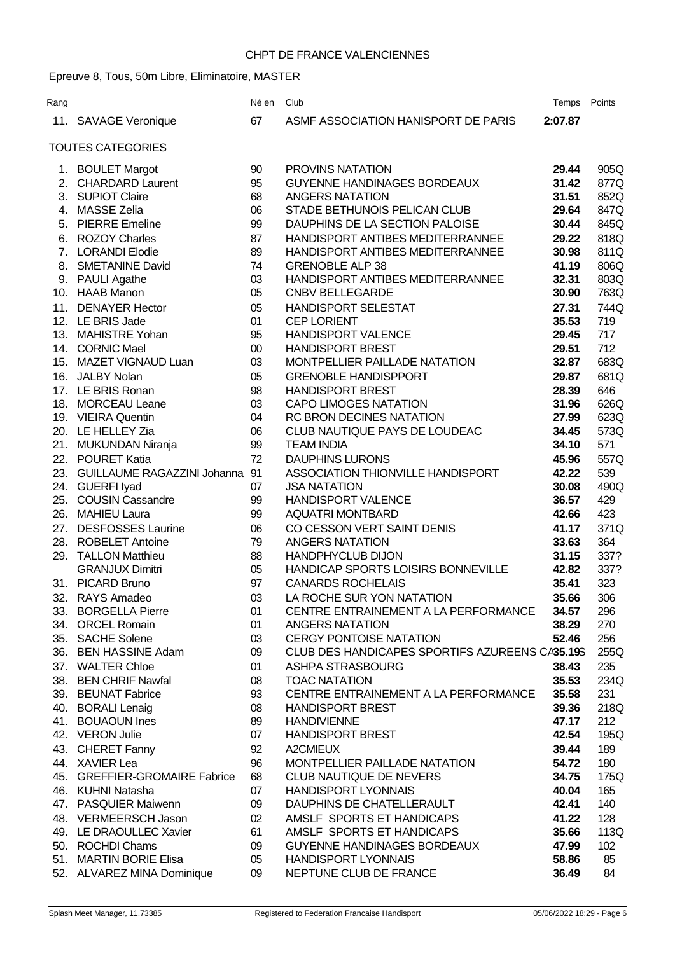# Epreuve 8, Tous, 50m Libre, Eliminatoire, MASTER

| ASMF ASSOCIATION HANISPORT DE PARIS<br>11. SAVAGE Veronique<br>67<br>2:07.87<br><b>TOUTES CATEGORIES</b><br>PROVINS NATATION<br>905Q<br>1. BOULET Margot<br>29.44<br>90<br>2. CHARDARD Laurent<br>95<br>GUYENNE HANDINAGES BORDEAUX<br>31.42<br>877Q<br>3. SUPIOT Claire<br>68<br><b>ANGERS NATATION</b><br>31.51<br>852Q<br>4. MASSE Zelia<br>06<br>STADE BETHUNOIS PELICAN CLUB<br>847Q<br>29.64<br>5. PIERRE Emeline<br>99<br>DAUPHINS DE LA SECTION PALOISE<br>30.44<br>845Q<br>818Q<br>6. ROZOY Charles<br>87<br>HANDISPORT ANTIBES MEDITERRANNEE<br>29.22<br>7. LORANDI Elodie<br>89<br>HANDISPORT ANTIBES MEDITERRANNEE<br>30.98<br>811Q<br>8. SMETANINE David<br>74<br><b>GRENOBLE ALP 38</b><br>806Q<br>41.19<br>03<br>HANDISPORT ANTIBES MEDITERRANNEE<br>32.31<br>803Q<br>9. PAULI Agathe<br>10. HAAB Manon<br>05<br><b>CNBV BELLEGARDE</b><br>30.90<br>763Q<br>11. DENAYER Hector<br>05<br><b>HANDISPORT SELESTAT</b><br>27.31<br>744Q<br>12. LE BRIS Jade<br>01<br><b>CEP LORIENT</b><br>719<br>35.53<br>13. MAHISTRE Yohan<br>95<br><b>HANDISPORT VALENCE</b><br>717<br>29.45<br>712<br>14. CORNIC Mael<br>$00\,$<br><b>HANDISPORT BREST</b><br>29.51<br>15. MAZET VIGNAUD Luan<br>03<br>32.87<br>683Q<br>MONTPELLIER PAILLADE NATATION<br>16. JALBY Nolan<br>05<br><b>GRENOBLE HANDISPPORT</b><br>681Q<br>29.87<br>17. LE BRIS Ronan<br>98<br><b>HANDISPORT BREST</b><br>28.39<br>646<br>626Q<br>18. MORCEAU Leane<br>03<br><b>CAPO LIMOGES NATATION</b><br>31.96<br>19. VIEIRA Quentin<br>04<br>RC BRON DECINES NATATION<br>27.99<br>623Q<br>20. LE HELLEY Zia<br>06<br>CLUB NAUTIQUE PAYS DE LOUDEAC<br>34.45<br>573Q<br>21. MUKUNDAN Niranja<br>99<br>34.10<br>571<br><b>TEAM INDIA</b><br>22. POURET Katia<br>72<br><b>DAUPHINS LURONS</b><br>45.96<br>557Q<br>23. GUILLAUME RAGAZZINI Johanna<br>91<br>ASSOCIATION THIONVILLE HANDISPORT<br>42.22<br>539<br>24. GUERFI lyad<br>07<br>30.08<br>490Q<br><b>JSA NATATION</b><br>25. COUSIN Cassandre<br>99<br>36.57<br>429<br><b>HANDISPORT VALENCE</b><br>26. MAHIEU Laura<br>99<br><b>AQUATRI MONTBARD</b><br>42.66<br>423<br>27. DESFOSSES Laurine<br>371Q<br>CO CESSON VERT SAINT DENIS<br>06<br>41.17<br>28. ROBELET Antoine<br>79<br><b>ANGERS NATATION</b><br>364<br>33.63<br>29. TALLON Matthieu<br>88<br><b>HANDPHYCLUB DIJON</b><br>337?<br>31.15<br>HANDICAP SPORTS LOISIRS BONNEVILLE<br><b>GRANJUX Dimitri</b><br>05<br>337?<br>42.82<br>31. PICARD Bruno<br>97<br><b>CANARDS ROCHELAIS</b><br>35.41<br>323<br>03<br>LA ROCHE SUR YON NATATION<br>35.66<br>306<br>32.<br>RAYS Amadeo<br>33. BORGELLA Pierre<br>CENTRE ENTRAINEMENT A LA PERFORMANCE<br>296<br>01<br>34.57<br>270<br>34. ORCEL Romain<br>01<br><b>ANGERS NATATION</b><br>38.29<br>35. SACHE Solene<br>03<br><b>CERGY PONTOISE NATATION</b><br>52.46<br>256<br>36. BEN HASSINE Adam<br>CLUB DES HANDICAPES SPORTIFS AZUREENS CA35.19S<br>255Q<br>09<br>235<br>37. WALTER Chloe<br>01<br>ASHPA STRASBOURG<br>38.43<br>35.53<br>234Q<br>38. BEN CHRIF Nawfal<br>08<br><b>TOAC NATATION</b><br>93<br>CENTRE ENTRAINEMENT A LA PERFORMANCE<br>39. BEUNAT Fabrice<br>35.58<br>231<br>218Q<br>40. BORALI Lenaig<br>08<br><b>HANDISPORT BREST</b><br>39.36<br>41. BOUAOUN Ines<br>89<br><b>HANDIVIENNE</b><br>47.17<br>212<br>42. VERON Julie<br>07<br><b>HANDISPORT BREST</b><br>42.54<br>195Q<br>43. CHERET Fanny<br>189<br>92<br>A2CMIEUX<br>39.44<br>180<br>44. XAVIER Lea<br>96<br>MONTPELLIER PAILLADE NATATION<br>54.72<br>45. GREFFIER-GROMAIRE Fabrice<br>68<br><b>CLUB NAUTIQUE DE NEVERS</b><br>34.75<br>175Q<br>07<br><b>HANDISPORT LYONNAIS</b><br>40.04<br>46. KUHNI Natasha<br>165<br>47. PASQUIER Maiwenn<br>09<br>DAUPHINS DE CHATELLERAULT<br>140<br>42.41<br>48. VERMEERSCH Jason<br>AMSLF SPORTS ET HANDICAPS<br>02<br>41.22<br>128<br>49. LE DRAOULLEC Xavier<br>61<br>AMSLF SPORTS ET HANDICAPS<br>35.66<br>113Q<br>50. ROCHDI Chams<br><b>GUYENNE HANDINAGES BORDEAUX</b><br>47.99<br>09<br>102<br>51. MARTIN BORIE Elisa<br><b>HANDISPORT LYONNAIS</b><br>85<br>05<br>58.86 | Rang |                            | Né en | Club                   | Temps | Points |
|------------------------------------------------------------------------------------------------------------------------------------------------------------------------------------------------------------------------------------------------------------------------------------------------------------------------------------------------------------------------------------------------------------------------------------------------------------------------------------------------------------------------------------------------------------------------------------------------------------------------------------------------------------------------------------------------------------------------------------------------------------------------------------------------------------------------------------------------------------------------------------------------------------------------------------------------------------------------------------------------------------------------------------------------------------------------------------------------------------------------------------------------------------------------------------------------------------------------------------------------------------------------------------------------------------------------------------------------------------------------------------------------------------------------------------------------------------------------------------------------------------------------------------------------------------------------------------------------------------------------------------------------------------------------------------------------------------------------------------------------------------------------------------------------------------------------------------------------------------------------------------------------------------------------------------------------------------------------------------------------------------------------------------------------------------------------------------------------------------------------------------------------------------------------------------------------------------------------------------------------------------------------------------------------------------------------------------------------------------------------------------------------------------------------------------------------------------------------------------------------------------------------------------------------------------------------------------------------------------------------------------------------------------------------------------------------------------------------------------------------------------------------------------------------------------------------------------------------------------------------------------------------------------------------------------------------------------------------------------------------------------------------------------------------------------------------------------------------------------------------------------------------------------------------------------------------------------------------------------------------------------------------------------------------------------------------------------------------------------------------------------------------------------------------------------------------------------------------------------------------------------------------------------------------------------------------------------------------------------------------------------------------------------------------------------------------------------------------------------------------------------------------------------------------------------------------------------------------------------------------------------------------------------------------------------------------------------------------------------------------------------------------------------------|------|----------------------------|-------|------------------------|-------|--------|
|                                                                                                                                                                                                                                                                                                                                                                                                                                                                                                                                                                                                                                                                                                                                                                                                                                                                                                                                                                                                                                                                                                                                                                                                                                                                                                                                                                                                                                                                                                                                                                                                                                                                                                                                                                                                                                                                                                                                                                                                                                                                                                                                                                                                                                                                                                                                                                                                                                                                                                                                                                                                                                                                                                                                                                                                                                                                                                                                                                                                                                                                                                                                                                                                                                                                                                                                                                                                                                                                                                                                                                                                                                                                                                                                                                                                                                                                                                                                                                                                                                          |      |                            |       |                        |       |        |
|                                                                                                                                                                                                                                                                                                                                                                                                                                                                                                                                                                                                                                                                                                                                                                                                                                                                                                                                                                                                                                                                                                                                                                                                                                                                                                                                                                                                                                                                                                                                                                                                                                                                                                                                                                                                                                                                                                                                                                                                                                                                                                                                                                                                                                                                                                                                                                                                                                                                                                                                                                                                                                                                                                                                                                                                                                                                                                                                                                                                                                                                                                                                                                                                                                                                                                                                                                                                                                                                                                                                                                                                                                                                                                                                                                                                                                                                                                                                                                                                                                          |      |                            |       |                        |       |        |
|                                                                                                                                                                                                                                                                                                                                                                                                                                                                                                                                                                                                                                                                                                                                                                                                                                                                                                                                                                                                                                                                                                                                                                                                                                                                                                                                                                                                                                                                                                                                                                                                                                                                                                                                                                                                                                                                                                                                                                                                                                                                                                                                                                                                                                                                                                                                                                                                                                                                                                                                                                                                                                                                                                                                                                                                                                                                                                                                                                                                                                                                                                                                                                                                                                                                                                                                                                                                                                                                                                                                                                                                                                                                                                                                                                                                                                                                                                                                                                                                                                          |      |                            |       |                        |       |        |
|                                                                                                                                                                                                                                                                                                                                                                                                                                                                                                                                                                                                                                                                                                                                                                                                                                                                                                                                                                                                                                                                                                                                                                                                                                                                                                                                                                                                                                                                                                                                                                                                                                                                                                                                                                                                                                                                                                                                                                                                                                                                                                                                                                                                                                                                                                                                                                                                                                                                                                                                                                                                                                                                                                                                                                                                                                                                                                                                                                                                                                                                                                                                                                                                                                                                                                                                                                                                                                                                                                                                                                                                                                                                                                                                                                                                                                                                                                                                                                                                                                          |      |                            |       |                        |       |        |
|                                                                                                                                                                                                                                                                                                                                                                                                                                                                                                                                                                                                                                                                                                                                                                                                                                                                                                                                                                                                                                                                                                                                                                                                                                                                                                                                                                                                                                                                                                                                                                                                                                                                                                                                                                                                                                                                                                                                                                                                                                                                                                                                                                                                                                                                                                                                                                                                                                                                                                                                                                                                                                                                                                                                                                                                                                                                                                                                                                                                                                                                                                                                                                                                                                                                                                                                                                                                                                                                                                                                                                                                                                                                                                                                                                                                                                                                                                                                                                                                                                          |      |                            |       |                        |       |        |
|                                                                                                                                                                                                                                                                                                                                                                                                                                                                                                                                                                                                                                                                                                                                                                                                                                                                                                                                                                                                                                                                                                                                                                                                                                                                                                                                                                                                                                                                                                                                                                                                                                                                                                                                                                                                                                                                                                                                                                                                                                                                                                                                                                                                                                                                                                                                                                                                                                                                                                                                                                                                                                                                                                                                                                                                                                                                                                                                                                                                                                                                                                                                                                                                                                                                                                                                                                                                                                                                                                                                                                                                                                                                                                                                                                                                                                                                                                                                                                                                                                          |      |                            |       |                        |       |        |
|                                                                                                                                                                                                                                                                                                                                                                                                                                                                                                                                                                                                                                                                                                                                                                                                                                                                                                                                                                                                                                                                                                                                                                                                                                                                                                                                                                                                                                                                                                                                                                                                                                                                                                                                                                                                                                                                                                                                                                                                                                                                                                                                                                                                                                                                                                                                                                                                                                                                                                                                                                                                                                                                                                                                                                                                                                                                                                                                                                                                                                                                                                                                                                                                                                                                                                                                                                                                                                                                                                                                                                                                                                                                                                                                                                                                                                                                                                                                                                                                                                          |      |                            |       |                        |       |        |
|                                                                                                                                                                                                                                                                                                                                                                                                                                                                                                                                                                                                                                                                                                                                                                                                                                                                                                                                                                                                                                                                                                                                                                                                                                                                                                                                                                                                                                                                                                                                                                                                                                                                                                                                                                                                                                                                                                                                                                                                                                                                                                                                                                                                                                                                                                                                                                                                                                                                                                                                                                                                                                                                                                                                                                                                                                                                                                                                                                                                                                                                                                                                                                                                                                                                                                                                                                                                                                                                                                                                                                                                                                                                                                                                                                                                                                                                                                                                                                                                                                          |      |                            |       |                        |       |        |
|                                                                                                                                                                                                                                                                                                                                                                                                                                                                                                                                                                                                                                                                                                                                                                                                                                                                                                                                                                                                                                                                                                                                                                                                                                                                                                                                                                                                                                                                                                                                                                                                                                                                                                                                                                                                                                                                                                                                                                                                                                                                                                                                                                                                                                                                                                                                                                                                                                                                                                                                                                                                                                                                                                                                                                                                                                                                                                                                                                                                                                                                                                                                                                                                                                                                                                                                                                                                                                                                                                                                                                                                                                                                                                                                                                                                                                                                                                                                                                                                                                          |      |                            |       |                        |       |        |
|                                                                                                                                                                                                                                                                                                                                                                                                                                                                                                                                                                                                                                                                                                                                                                                                                                                                                                                                                                                                                                                                                                                                                                                                                                                                                                                                                                                                                                                                                                                                                                                                                                                                                                                                                                                                                                                                                                                                                                                                                                                                                                                                                                                                                                                                                                                                                                                                                                                                                                                                                                                                                                                                                                                                                                                                                                                                                                                                                                                                                                                                                                                                                                                                                                                                                                                                                                                                                                                                                                                                                                                                                                                                                                                                                                                                                                                                                                                                                                                                                                          |      |                            |       |                        |       |        |
|                                                                                                                                                                                                                                                                                                                                                                                                                                                                                                                                                                                                                                                                                                                                                                                                                                                                                                                                                                                                                                                                                                                                                                                                                                                                                                                                                                                                                                                                                                                                                                                                                                                                                                                                                                                                                                                                                                                                                                                                                                                                                                                                                                                                                                                                                                                                                                                                                                                                                                                                                                                                                                                                                                                                                                                                                                                                                                                                                                                                                                                                                                                                                                                                                                                                                                                                                                                                                                                                                                                                                                                                                                                                                                                                                                                                                                                                                                                                                                                                                                          |      |                            |       |                        |       |        |
|                                                                                                                                                                                                                                                                                                                                                                                                                                                                                                                                                                                                                                                                                                                                                                                                                                                                                                                                                                                                                                                                                                                                                                                                                                                                                                                                                                                                                                                                                                                                                                                                                                                                                                                                                                                                                                                                                                                                                                                                                                                                                                                                                                                                                                                                                                                                                                                                                                                                                                                                                                                                                                                                                                                                                                                                                                                                                                                                                                                                                                                                                                                                                                                                                                                                                                                                                                                                                                                                                                                                                                                                                                                                                                                                                                                                                                                                                                                                                                                                                                          |      |                            |       |                        |       |        |
|                                                                                                                                                                                                                                                                                                                                                                                                                                                                                                                                                                                                                                                                                                                                                                                                                                                                                                                                                                                                                                                                                                                                                                                                                                                                                                                                                                                                                                                                                                                                                                                                                                                                                                                                                                                                                                                                                                                                                                                                                                                                                                                                                                                                                                                                                                                                                                                                                                                                                                                                                                                                                                                                                                                                                                                                                                                                                                                                                                                                                                                                                                                                                                                                                                                                                                                                                                                                                                                                                                                                                                                                                                                                                                                                                                                                                                                                                                                                                                                                                                          |      |                            |       |                        |       |        |
|                                                                                                                                                                                                                                                                                                                                                                                                                                                                                                                                                                                                                                                                                                                                                                                                                                                                                                                                                                                                                                                                                                                                                                                                                                                                                                                                                                                                                                                                                                                                                                                                                                                                                                                                                                                                                                                                                                                                                                                                                                                                                                                                                                                                                                                                                                                                                                                                                                                                                                                                                                                                                                                                                                                                                                                                                                                                                                                                                                                                                                                                                                                                                                                                                                                                                                                                                                                                                                                                                                                                                                                                                                                                                                                                                                                                                                                                                                                                                                                                                                          |      |                            |       |                        |       |        |
|                                                                                                                                                                                                                                                                                                                                                                                                                                                                                                                                                                                                                                                                                                                                                                                                                                                                                                                                                                                                                                                                                                                                                                                                                                                                                                                                                                                                                                                                                                                                                                                                                                                                                                                                                                                                                                                                                                                                                                                                                                                                                                                                                                                                                                                                                                                                                                                                                                                                                                                                                                                                                                                                                                                                                                                                                                                                                                                                                                                                                                                                                                                                                                                                                                                                                                                                                                                                                                                                                                                                                                                                                                                                                                                                                                                                                                                                                                                                                                                                                                          |      |                            |       |                        |       |        |
|                                                                                                                                                                                                                                                                                                                                                                                                                                                                                                                                                                                                                                                                                                                                                                                                                                                                                                                                                                                                                                                                                                                                                                                                                                                                                                                                                                                                                                                                                                                                                                                                                                                                                                                                                                                                                                                                                                                                                                                                                                                                                                                                                                                                                                                                                                                                                                                                                                                                                                                                                                                                                                                                                                                                                                                                                                                                                                                                                                                                                                                                                                                                                                                                                                                                                                                                                                                                                                                                                                                                                                                                                                                                                                                                                                                                                                                                                                                                                                                                                                          |      |                            |       |                        |       |        |
|                                                                                                                                                                                                                                                                                                                                                                                                                                                                                                                                                                                                                                                                                                                                                                                                                                                                                                                                                                                                                                                                                                                                                                                                                                                                                                                                                                                                                                                                                                                                                                                                                                                                                                                                                                                                                                                                                                                                                                                                                                                                                                                                                                                                                                                                                                                                                                                                                                                                                                                                                                                                                                                                                                                                                                                                                                                                                                                                                                                                                                                                                                                                                                                                                                                                                                                                                                                                                                                                                                                                                                                                                                                                                                                                                                                                                                                                                                                                                                                                                                          |      |                            |       |                        |       |        |
|                                                                                                                                                                                                                                                                                                                                                                                                                                                                                                                                                                                                                                                                                                                                                                                                                                                                                                                                                                                                                                                                                                                                                                                                                                                                                                                                                                                                                                                                                                                                                                                                                                                                                                                                                                                                                                                                                                                                                                                                                                                                                                                                                                                                                                                                                                                                                                                                                                                                                                                                                                                                                                                                                                                                                                                                                                                                                                                                                                                                                                                                                                                                                                                                                                                                                                                                                                                                                                                                                                                                                                                                                                                                                                                                                                                                                                                                                                                                                                                                                                          |      |                            |       |                        |       |        |
|                                                                                                                                                                                                                                                                                                                                                                                                                                                                                                                                                                                                                                                                                                                                                                                                                                                                                                                                                                                                                                                                                                                                                                                                                                                                                                                                                                                                                                                                                                                                                                                                                                                                                                                                                                                                                                                                                                                                                                                                                                                                                                                                                                                                                                                                                                                                                                                                                                                                                                                                                                                                                                                                                                                                                                                                                                                                                                                                                                                                                                                                                                                                                                                                                                                                                                                                                                                                                                                                                                                                                                                                                                                                                                                                                                                                                                                                                                                                                                                                                                          |      |                            |       |                        |       |        |
|                                                                                                                                                                                                                                                                                                                                                                                                                                                                                                                                                                                                                                                                                                                                                                                                                                                                                                                                                                                                                                                                                                                                                                                                                                                                                                                                                                                                                                                                                                                                                                                                                                                                                                                                                                                                                                                                                                                                                                                                                                                                                                                                                                                                                                                                                                                                                                                                                                                                                                                                                                                                                                                                                                                                                                                                                                                                                                                                                                                                                                                                                                                                                                                                                                                                                                                                                                                                                                                                                                                                                                                                                                                                                                                                                                                                                                                                                                                                                                                                                                          |      |                            |       |                        |       |        |
|                                                                                                                                                                                                                                                                                                                                                                                                                                                                                                                                                                                                                                                                                                                                                                                                                                                                                                                                                                                                                                                                                                                                                                                                                                                                                                                                                                                                                                                                                                                                                                                                                                                                                                                                                                                                                                                                                                                                                                                                                                                                                                                                                                                                                                                                                                                                                                                                                                                                                                                                                                                                                                                                                                                                                                                                                                                                                                                                                                                                                                                                                                                                                                                                                                                                                                                                                                                                                                                                                                                                                                                                                                                                                                                                                                                                                                                                                                                                                                                                                                          |      |                            |       |                        |       |        |
|                                                                                                                                                                                                                                                                                                                                                                                                                                                                                                                                                                                                                                                                                                                                                                                                                                                                                                                                                                                                                                                                                                                                                                                                                                                                                                                                                                                                                                                                                                                                                                                                                                                                                                                                                                                                                                                                                                                                                                                                                                                                                                                                                                                                                                                                                                                                                                                                                                                                                                                                                                                                                                                                                                                                                                                                                                                                                                                                                                                                                                                                                                                                                                                                                                                                                                                                                                                                                                                                                                                                                                                                                                                                                                                                                                                                                                                                                                                                                                                                                                          |      |                            |       |                        |       |        |
|                                                                                                                                                                                                                                                                                                                                                                                                                                                                                                                                                                                                                                                                                                                                                                                                                                                                                                                                                                                                                                                                                                                                                                                                                                                                                                                                                                                                                                                                                                                                                                                                                                                                                                                                                                                                                                                                                                                                                                                                                                                                                                                                                                                                                                                                                                                                                                                                                                                                                                                                                                                                                                                                                                                                                                                                                                                                                                                                                                                                                                                                                                                                                                                                                                                                                                                                                                                                                                                                                                                                                                                                                                                                                                                                                                                                                                                                                                                                                                                                                                          |      |                            |       |                        |       |        |
|                                                                                                                                                                                                                                                                                                                                                                                                                                                                                                                                                                                                                                                                                                                                                                                                                                                                                                                                                                                                                                                                                                                                                                                                                                                                                                                                                                                                                                                                                                                                                                                                                                                                                                                                                                                                                                                                                                                                                                                                                                                                                                                                                                                                                                                                                                                                                                                                                                                                                                                                                                                                                                                                                                                                                                                                                                                                                                                                                                                                                                                                                                                                                                                                                                                                                                                                                                                                                                                                                                                                                                                                                                                                                                                                                                                                                                                                                                                                                                                                                                          |      |                            |       |                        |       |        |
|                                                                                                                                                                                                                                                                                                                                                                                                                                                                                                                                                                                                                                                                                                                                                                                                                                                                                                                                                                                                                                                                                                                                                                                                                                                                                                                                                                                                                                                                                                                                                                                                                                                                                                                                                                                                                                                                                                                                                                                                                                                                                                                                                                                                                                                                                                                                                                                                                                                                                                                                                                                                                                                                                                                                                                                                                                                                                                                                                                                                                                                                                                                                                                                                                                                                                                                                                                                                                                                                                                                                                                                                                                                                                                                                                                                                                                                                                                                                                                                                                                          |      |                            |       |                        |       |        |
|                                                                                                                                                                                                                                                                                                                                                                                                                                                                                                                                                                                                                                                                                                                                                                                                                                                                                                                                                                                                                                                                                                                                                                                                                                                                                                                                                                                                                                                                                                                                                                                                                                                                                                                                                                                                                                                                                                                                                                                                                                                                                                                                                                                                                                                                                                                                                                                                                                                                                                                                                                                                                                                                                                                                                                                                                                                                                                                                                                                                                                                                                                                                                                                                                                                                                                                                                                                                                                                                                                                                                                                                                                                                                                                                                                                                                                                                                                                                                                                                                                          |      |                            |       |                        |       |        |
|                                                                                                                                                                                                                                                                                                                                                                                                                                                                                                                                                                                                                                                                                                                                                                                                                                                                                                                                                                                                                                                                                                                                                                                                                                                                                                                                                                                                                                                                                                                                                                                                                                                                                                                                                                                                                                                                                                                                                                                                                                                                                                                                                                                                                                                                                                                                                                                                                                                                                                                                                                                                                                                                                                                                                                                                                                                                                                                                                                                                                                                                                                                                                                                                                                                                                                                                                                                                                                                                                                                                                                                                                                                                                                                                                                                                                                                                                                                                                                                                                                          |      |                            |       |                        |       |        |
|                                                                                                                                                                                                                                                                                                                                                                                                                                                                                                                                                                                                                                                                                                                                                                                                                                                                                                                                                                                                                                                                                                                                                                                                                                                                                                                                                                                                                                                                                                                                                                                                                                                                                                                                                                                                                                                                                                                                                                                                                                                                                                                                                                                                                                                                                                                                                                                                                                                                                                                                                                                                                                                                                                                                                                                                                                                                                                                                                                                                                                                                                                                                                                                                                                                                                                                                                                                                                                                                                                                                                                                                                                                                                                                                                                                                                                                                                                                                                                                                                                          |      |                            |       |                        |       |        |
|                                                                                                                                                                                                                                                                                                                                                                                                                                                                                                                                                                                                                                                                                                                                                                                                                                                                                                                                                                                                                                                                                                                                                                                                                                                                                                                                                                                                                                                                                                                                                                                                                                                                                                                                                                                                                                                                                                                                                                                                                                                                                                                                                                                                                                                                                                                                                                                                                                                                                                                                                                                                                                                                                                                                                                                                                                                                                                                                                                                                                                                                                                                                                                                                                                                                                                                                                                                                                                                                                                                                                                                                                                                                                                                                                                                                                                                                                                                                                                                                                                          |      |                            |       |                        |       |        |
|                                                                                                                                                                                                                                                                                                                                                                                                                                                                                                                                                                                                                                                                                                                                                                                                                                                                                                                                                                                                                                                                                                                                                                                                                                                                                                                                                                                                                                                                                                                                                                                                                                                                                                                                                                                                                                                                                                                                                                                                                                                                                                                                                                                                                                                                                                                                                                                                                                                                                                                                                                                                                                                                                                                                                                                                                                                                                                                                                                                                                                                                                                                                                                                                                                                                                                                                                                                                                                                                                                                                                                                                                                                                                                                                                                                                                                                                                                                                                                                                                                          |      |                            |       |                        |       |        |
|                                                                                                                                                                                                                                                                                                                                                                                                                                                                                                                                                                                                                                                                                                                                                                                                                                                                                                                                                                                                                                                                                                                                                                                                                                                                                                                                                                                                                                                                                                                                                                                                                                                                                                                                                                                                                                                                                                                                                                                                                                                                                                                                                                                                                                                                                                                                                                                                                                                                                                                                                                                                                                                                                                                                                                                                                                                                                                                                                                                                                                                                                                                                                                                                                                                                                                                                                                                                                                                                                                                                                                                                                                                                                                                                                                                                                                                                                                                                                                                                                                          |      |                            |       |                        |       |        |
|                                                                                                                                                                                                                                                                                                                                                                                                                                                                                                                                                                                                                                                                                                                                                                                                                                                                                                                                                                                                                                                                                                                                                                                                                                                                                                                                                                                                                                                                                                                                                                                                                                                                                                                                                                                                                                                                                                                                                                                                                                                                                                                                                                                                                                                                                                                                                                                                                                                                                                                                                                                                                                                                                                                                                                                                                                                                                                                                                                                                                                                                                                                                                                                                                                                                                                                                                                                                                                                                                                                                                                                                                                                                                                                                                                                                                                                                                                                                                                                                                                          |      |                            |       |                        |       |        |
|                                                                                                                                                                                                                                                                                                                                                                                                                                                                                                                                                                                                                                                                                                                                                                                                                                                                                                                                                                                                                                                                                                                                                                                                                                                                                                                                                                                                                                                                                                                                                                                                                                                                                                                                                                                                                                                                                                                                                                                                                                                                                                                                                                                                                                                                                                                                                                                                                                                                                                                                                                                                                                                                                                                                                                                                                                                                                                                                                                                                                                                                                                                                                                                                                                                                                                                                                                                                                                                                                                                                                                                                                                                                                                                                                                                                                                                                                                                                                                                                                                          |      |                            |       |                        |       |        |
|                                                                                                                                                                                                                                                                                                                                                                                                                                                                                                                                                                                                                                                                                                                                                                                                                                                                                                                                                                                                                                                                                                                                                                                                                                                                                                                                                                                                                                                                                                                                                                                                                                                                                                                                                                                                                                                                                                                                                                                                                                                                                                                                                                                                                                                                                                                                                                                                                                                                                                                                                                                                                                                                                                                                                                                                                                                                                                                                                                                                                                                                                                                                                                                                                                                                                                                                                                                                                                                                                                                                                                                                                                                                                                                                                                                                                                                                                                                                                                                                                                          |      |                            |       |                        |       |        |
|                                                                                                                                                                                                                                                                                                                                                                                                                                                                                                                                                                                                                                                                                                                                                                                                                                                                                                                                                                                                                                                                                                                                                                                                                                                                                                                                                                                                                                                                                                                                                                                                                                                                                                                                                                                                                                                                                                                                                                                                                                                                                                                                                                                                                                                                                                                                                                                                                                                                                                                                                                                                                                                                                                                                                                                                                                                                                                                                                                                                                                                                                                                                                                                                                                                                                                                                                                                                                                                                                                                                                                                                                                                                                                                                                                                                                                                                                                                                                                                                                                          |      |                            |       |                        |       |        |
|                                                                                                                                                                                                                                                                                                                                                                                                                                                                                                                                                                                                                                                                                                                                                                                                                                                                                                                                                                                                                                                                                                                                                                                                                                                                                                                                                                                                                                                                                                                                                                                                                                                                                                                                                                                                                                                                                                                                                                                                                                                                                                                                                                                                                                                                                                                                                                                                                                                                                                                                                                                                                                                                                                                                                                                                                                                                                                                                                                                                                                                                                                                                                                                                                                                                                                                                                                                                                                                                                                                                                                                                                                                                                                                                                                                                                                                                                                                                                                                                                                          |      |                            |       |                        |       |        |
|                                                                                                                                                                                                                                                                                                                                                                                                                                                                                                                                                                                                                                                                                                                                                                                                                                                                                                                                                                                                                                                                                                                                                                                                                                                                                                                                                                                                                                                                                                                                                                                                                                                                                                                                                                                                                                                                                                                                                                                                                                                                                                                                                                                                                                                                                                                                                                                                                                                                                                                                                                                                                                                                                                                                                                                                                                                                                                                                                                                                                                                                                                                                                                                                                                                                                                                                                                                                                                                                                                                                                                                                                                                                                                                                                                                                                                                                                                                                                                                                                                          |      |                            |       |                        |       |        |
|                                                                                                                                                                                                                                                                                                                                                                                                                                                                                                                                                                                                                                                                                                                                                                                                                                                                                                                                                                                                                                                                                                                                                                                                                                                                                                                                                                                                                                                                                                                                                                                                                                                                                                                                                                                                                                                                                                                                                                                                                                                                                                                                                                                                                                                                                                                                                                                                                                                                                                                                                                                                                                                                                                                                                                                                                                                                                                                                                                                                                                                                                                                                                                                                                                                                                                                                                                                                                                                                                                                                                                                                                                                                                                                                                                                                                                                                                                                                                                                                                                          |      |                            |       |                        |       |        |
|                                                                                                                                                                                                                                                                                                                                                                                                                                                                                                                                                                                                                                                                                                                                                                                                                                                                                                                                                                                                                                                                                                                                                                                                                                                                                                                                                                                                                                                                                                                                                                                                                                                                                                                                                                                                                                                                                                                                                                                                                                                                                                                                                                                                                                                                                                                                                                                                                                                                                                                                                                                                                                                                                                                                                                                                                                                                                                                                                                                                                                                                                                                                                                                                                                                                                                                                                                                                                                                                                                                                                                                                                                                                                                                                                                                                                                                                                                                                                                                                                                          |      |                            |       |                        |       |        |
|                                                                                                                                                                                                                                                                                                                                                                                                                                                                                                                                                                                                                                                                                                                                                                                                                                                                                                                                                                                                                                                                                                                                                                                                                                                                                                                                                                                                                                                                                                                                                                                                                                                                                                                                                                                                                                                                                                                                                                                                                                                                                                                                                                                                                                                                                                                                                                                                                                                                                                                                                                                                                                                                                                                                                                                                                                                                                                                                                                                                                                                                                                                                                                                                                                                                                                                                                                                                                                                                                                                                                                                                                                                                                                                                                                                                                                                                                                                                                                                                                                          |      |                            |       |                        |       |        |
|                                                                                                                                                                                                                                                                                                                                                                                                                                                                                                                                                                                                                                                                                                                                                                                                                                                                                                                                                                                                                                                                                                                                                                                                                                                                                                                                                                                                                                                                                                                                                                                                                                                                                                                                                                                                                                                                                                                                                                                                                                                                                                                                                                                                                                                                                                                                                                                                                                                                                                                                                                                                                                                                                                                                                                                                                                                                                                                                                                                                                                                                                                                                                                                                                                                                                                                                                                                                                                                                                                                                                                                                                                                                                                                                                                                                                                                                                                                                                                                                                                          |      |                            |       |                        |       |        |
|                                                                                                                                                                                                                                                                                                                                                                                                                                                                                                                                                                                                                                                                                                                                                                                                                                                                                                                                                                                                                                                                                                                                                                                                                                                                                                                                                                                                                                                                                                                                                                                                                                                                                                                                                                                                                                                                                                                                                                                                                                                                                                                                                                                                                                                                                                                                                                                                                                                                                                                                                                                                                                                                                                                                                                                                                                                                                                                                                                                                                                                                                                                                                                                                                                                                                                                                                                                                                                                                                                                                                                                                                                                                                                                                                                                                                                                                                                                                                                                                                                          |      |                            |       |                        |       |        |
|                                                                                                                                                                                                                                                                                                                                                                                                                                                                                                                                                                                                                                                                                                                                                                                                                                                                                                                                                                                                                                                                                                                                                                                                                                                                                                                                                                                                                                                                                                                                                                                                                                                                                                                                                                                                                                                                                                                                                                                                                                                                                                                                                                                                                                                                                                                                                                                                                                                                                                                                                                                                                                                                                                                                                                                                                                                                                                                                                                                                                                                                                                                                                                                                                                                                                                                                                                                                                                                                                                                                                                                                                                                                                                                                                                                                                                                                                                                                                                                                                                          |      |                            |       |                        |       |        |
|                                                                                                                                                                                                                                                                                                                                                                                                                                                                                                                                                                                                                                                                                                                                                                                                                                                                                                                                                                                                                                                                                                                                                                                                                                                                                                                                                                                                                                                                                                                                                                                                                                                                                                                                                                                                                                                                                                                                                                                                                                                                                                                                                                                                                                                                                                                                                                                                                                                                                                                                                                                                                                                                                                                                                                                                                                                                                                                                                                                                                                                                                                                                                                                                                                                                                                                                                                                                                                                                                                                                                                                                                                                                                                                                                                                                                                                                                                                                                                                                                                          |      |                            |       |                        |       |        |
|                                                                                                                                                                                                                                                                                                                                                                                                                                                                                                                                                                                                                                                                                                                                                                                                                                                                                                                                                                                                                                                                                                                                                                                                                                                                                                                                                                                                                                                                                                                                                                                                                                                                                                                                                                                                                                                                                                                                                                                                                                                                                                                                                                                                                                                                                                                                                                                                                                                                                                                                                                                                                                                                                                                                                                                                                                                                                                                                                                                                                                                                                                                                                                                                                                                                                                                                                                                                                                                                                                                                                                                                                                                                                                                                                                                                                                                                                                                                                                                                                                          |      |                            |       |                        |       |        |
|                                                                                                                                                                                                                                                                                                                                                                                                                                                                                                                                                                                                                                                                                                                                                                                                                                                                                                                                                                                                                                                                                                                                                                                                                                                                                                                                                                                                                                                                                                                                                                                                                                                                                                                                                                                                                                                                                                                                                                                                                                                                                                                                                                                                                                                                                                                                                                                                                                                                                                                                                                                                                                                                                                                                                                                                                                                                                                                                                                                                                                                                                                                                                                                                                                                                                                                                                                                                                                                                                                                                                                                                                                                                                                                                                                                                                                                                                                                                                                                                                                          |      |                            |       |                        |       |        |
|                                                                                                                                                                                                                                                                                                                                                                                                                                                                                                                                                                                                                                                                                                                                                                                                                                                                                                                                                                                                                                                                                                                                                                                                                                                                                                                                                                                                                                                                                                                                                                                                                                                                                                                                                                                                                                                                                                                                                                                                                                                                                                                                                                                                                                                                                                                                                                                                                                                                                                                                                                                                                                                                                                                                                                                                                                                                                                                                                                                                                                                                                                                                                                                                                                                                                                                                                                                                                                                                                                                                                                                                                                                                                                                                                                                                                                                                                                                                                                                                                                          |      |                            |       |                        |       |        |
|                                                                                                                                                                                                                                                                                                                                                                                                                                                                                                                                                                                                                                                                                                                                                                                                                                                                                                                                                                                                                                                                                                                                                                                                                                                                                                                                                                                                                                                                                                                                                                                                                                                                                                                                                                                                                                                                                                                                                                                                                                                                                                                                                                                                                                                                                                                                                                                                                                                                                                                                                                                                                                                                                                                                                                                                                                                                                                                                                                                                                                                                                                                                                                                                                                                                                                                                                                                                                                                                                                                                                                                                                                                                                                                                                                                                                                                                                                                                                                                                                                          |      |                            |       |                        |       |        |
|                                                                                                                                                                                                                                                                                                                                                                                                                                                                                                                                                                                                                                                                                                                                                                                                                                                                                                                                                                                                                                                                                                                                                                                                                                                                                                                                                                                                                                                                                                                                                                                                                                                                                                                                                                                                                                                                                                                                                                                                                                                                                                                                                                                                                                                                                                                                                                                                                                                                                                                                                                                                                                                                                                                                                                                                                                                                                                                                                                                                                                                                                                                                                                                                                                                                                                                                                                                                                                                                                                                                                                                                                                                                                                                                                                                                                                                                                                                                                                                                                                          |      |                            |       |                        |       |        |
|                                                                                                                                                                                                                                                                                                                                                                                                                                                                                                                                                                                                                                                                                                                                                                                                                                                                                                                                                                                                                                                                                                                                                                                                                                                                                                                                                                                                                                                                                                                                                                                                                                                                                                                                                                                                                                                                                                                                                                                                                                                                                                                                                                                                                                                                                                                                                                                                                                                                                                                                                                                                                                                                                                                                                                                                                                                                                                                                                                                                                                                                                                                                                                                                                                                                                                                                                                                                                                                                                                                                                                                                                                                                                                                                                                                                                                                                                                                                                                                                                                          |      |                            |       |                        |       |        |
|                                                                                                                                                                                                                                                                                                                                                                                                                                                                                                                                                                                                                                                                                                                                                                                                                                                                                                                                                                                                                                                                                                                                                                                                                                                                                                                                                                                                                                                                                                                                                                                                                                                                                                                                                                                                                                                                                                                                                                                                                                                                                                                                                                                                                                                                                                                                                                                                                                                                                                                                                                                                                                                                                                                                                                                                                                                                                                                                                                                                                                                                                                                                                                                                                                                                                                                                                                                                                                                                                                                                                                                                                                                                                                                                                                                                                                                                                                                                                                                                                                          |      |                            |       |                        |       |        |
|                                                                                                                                                                                                                                                                                                                                                                                                                                                                                                                                                                                                                                                                                                                                                                                                                                                                                                                                                                                                                                                                                                                                                                                                                                                                                                                                                                                                                                                                                                                                                                                                                                                                                                                                                                                                                                                                                                                                                                                                                                                                                                                                                                                                                                                                                                                                                                                                                                                                                                                                                                                                                                                                                                                                                                                                                                                                                                                                                                                                                                                                                                                                                                                                                                                                                                                                                                                                                                                                                                                                                                                                                                                                                                                                                                                                                                                                                                                                                                                                                                          |      |                            |       |                        |       |        |
|                                                                                                                                                                                                                                                                                                                                                                                                                                                                                                                                                                                                                                                                                                                                                                                                                                                                                                                                                                                                                                                                                                                                                                                                                                                                                                                                                                                                                                                                                                                                                                                                                                                                                                                                                                                                                                                                                                                                                                                                                                                                                                                                                                                                                                                                                                                                                                                                                                                                                                                                                                                                                                                                                                                                                                                                                                                                                                                                                                                                                                                                                                                                                                                                                                                                                                                                                                                                                                                                                                                                                                                                                                                                                                                                                                                                                                                                                                                                                                                                                                          |      | 52. ALVAREZ MINA Dominique | 09    | NEPTUNE CLUB DE FRANCE | 36.49 | 84     |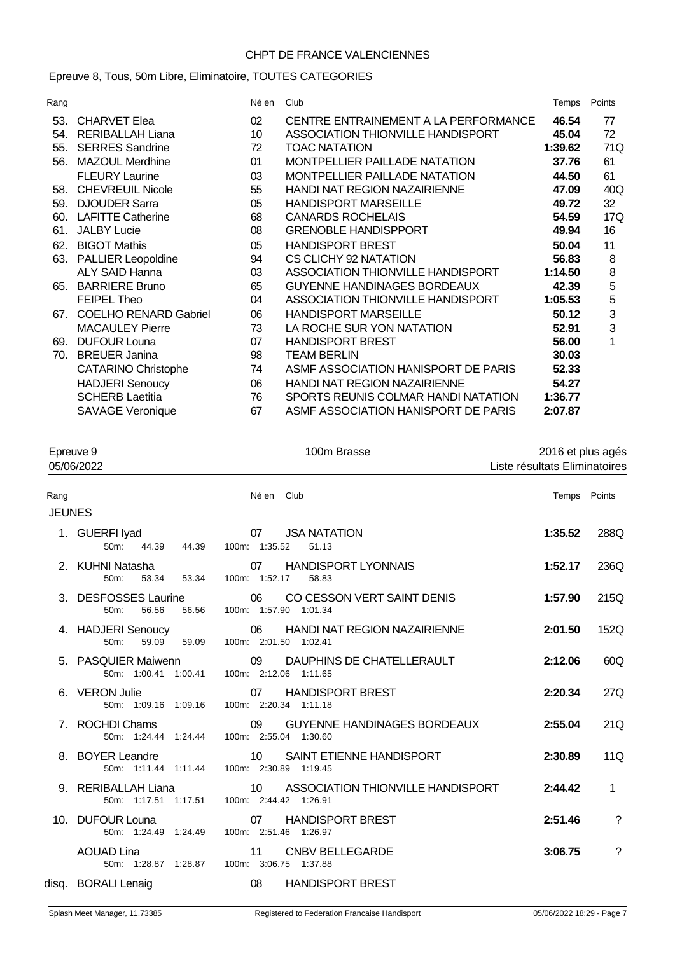# Epreuve 8, Tous, 50m Libre, Eliminatoire, TOUTES CATEGORIES

| Rang |                              | Né en           | Club                                 | Temps   | Points |
|------|------------------------------|-----------------|--------------------------------------|---------|--------|
| 53.  | <b>CHARVET Elea</b>          | 02 <sub>2</sub> | CENTRE ENTRAINEMENT A LA PERFORMANCE | 46.54   | 77     |
| 54.  | <b>RERIBALLAH Liana</b>      | 10              | ASSOCIATION THIONVILLE HANDISPORT    | 45.04   | 72     |
| 55.  | <b>SERRES Sandrine</b>       | 72              | <b>TOAC NATATION</b>                 | 1:39.62 | 71Q    |
| 56.  | <b>MAZOUL Merdhine</b>       | 01              | <b>MONTPELLIER PAILLADE NATATION</b> | 37.76   | 61     |
|      | <b>FLEURY Laurine</b>        | 03              | <b>MONTPELLIER PAILLADE NATATION</b> | 44.50   | 61     |
| 58.  | <b>CHEVREUIL Nicole</b>      | 55              | <b>HANDI NAT REGION NAZAIRIENNE</b>  | 47.09   | 40Q    |
| 59.  | <b>DJOUDER Sarra</b>         | 05              | <b>HANDISPORT MARSEILLE</b>          | 49.72   | 32     |
| 60.  | <b>LAFITTE Catherine</b>     | 68              | <b>CANARDS ROCHELAIS</b>             | 54.59   | 17Q    |
| 61.  | <b>JALBY Lucie</b>           | 08              | <b>GRENOBLE HANDISPPORT</b>          | 49.94   | 16     |
| 62.  | <b>BIGOT Mathis</b>          | 05              | <b>HANDISPORT BREST</b>              | 50.04   | 11     |
|      | 63. PALLIER Leopoldine       | 94              | CS CLICHY 92 NATATION                | 56.83   | 8      |
|      | <b>ALY SAID Hanna</b>        | 03              | ASSOCIATION THIONVILLE HANDISPORT    | 1:14.50 | 8      |
| 65.  | <b>BARRIERE Bruno</b>        | 65              | <b>GUYENNE HANDINAGES BORDEAUX</b>   | 42.39   | 5      |
|      | <b>FEIPEL Theo</b>           | 04              | ASSOCIATION THIONVILLE HANDISPORT    | 1:05.53 | 5      |
| 67.  | <b>COELHO RENARD Gabriel</b> | 06              | <b>HANDISPORT MARSEILLE</b>          | 50.12   | 3      |
|      | <b>MACAULEY Pierre</b>       | 73              | LA ROCHE SUR YON NATATION            | 52.91   | 3      |
| 69.  | <b>DUFOUR Louna</b>          | 07              | <b>HANDISPORT BREST</b>              | 56.00   | 1      |
| 70.  | <b>BREUER Janina</b>         | 98              | <b>TEAM BERLIN</b>                   | 30.03   |        |
|      | <b>CATARINO Christophe</b>   | 74              | ASMF ASSOCIATION HANISPORT DE PARIS  | 52.33   |        |
|      | <b>HADJERI</b> Senoucy       | 06              | <b>HANDI NAT REGION NAZAIRIENNE</b>  | 54.27   |        |
|      | <b>SCHERB Laetitia</b>       | 76              | SPORTS REUNIS COLMAR HANDI NATATION  | 1:36.77 |        |
|      | <b>SAVAGE Veronique</b>      | 67              | ASMF ASSOCIATION HANISPORT DE PARIS  | 2:07.87 |        |
|      |                              |                 |                                      |         |        |

| Epreuve 9<br>05/06/2022 |                                                | 100m Brasse                                                        | 2016 et plus agés<br>Liste résultats Eliminatoires |                |
|-------------------------|------------------------------------------------|--------------------------------------------------------------------|----------------------------------------------------|----------------|
| Rang                    |                                                | Né en Club                                                         | Temps Points                                       |                |
| <b>JEUNES</b>           |                                                |                                                                    |                                                    |                |
|                         | 1. GUERFI Iyad<br>$50m$ :<br>44.39<br>44.39    | <b>JSA NATATION</b><br>07<br>100m: 1:35.52<br>51.13                | 1:35.52                                            | 288Q           |
|                         | 2. KUHNI Natasha<br>53.34<br>53.34<br>50m:     | <b>HANDISPORT LYONNAIS</b><br>07<br>100m: 1:52.17<br>58.83         | 1:52.17                                            | 236Q           |
|                         | 3. DESFOSSES Laurine<br>56.56<br>56.56<br>50m: | 06<br>CO CESSON VERT SAINT DENIS<br>100m: 1:57.90 1:01.34          | 1:57.90                                            | 215Q           |
|                         | 4. HADJERI Senoucy<br>50m:<br>59.09<br>59.09   | 06<br><b>HANDI NAT REGION NAZAIRIENNE</b><br>100m: 2:01.50 1:02.41 | 2:01.50                                            | 152Q           |
|                         | 5. PASQUIER Maiwenn<br>50m: 1:00.41 1:00.41    | DAUPHINS DE CHATELLERAULT<br>09<br>100m: 2:12.06 1:11.65           | 2:12.06                                            | 60Q            |
|                         | 6. VERON Julie<br>50m: 1:09.16 1:09.16         | <b>HANDISPORT BREST</b><br>07<br>100m: 2:20.34 1:11.18             | 2:20.34                                            | 27Q            |
|                         | 7. ROCHDI Chams<br>50m: 1:24.44 1:24.44        | <b>GUYENNE HANDINAGES BORDEAUX</b><br>09<br>100m: 2:55.04 1:30.60  | 2:55.04                                            | 21Q            |
|                         | 8. BOYER Leandre<br>50m: 1:11.44 1:11.44       | SAINT ETIENNE HANDISPORT<br>10<br>100m: 2:30.89 1:19.45            | 2:30.89                                            | 11Q            |
|                         | 9. RERIBALLAH Liana<br>50m: 1:17.51 1:17.51    | 10<br>ASSOCIATION THIONVILLE HANDISPORT<br>100m: 2:44.42 1:26.91   | 2:44.42                                            | $\mathbf{1}$   |
|                         | 10. DUFOUR Louna<br>50m: 1:24.49 1:24.49       | <b>HANDISPORT BREST</b><br>07<br>100m: 2:51.46 1:26.97             | 2:51.46                                            | ?              |
|                         | <b>AOUAD Lina</b><br>50m: 1:28.87 1:28.87      | <b>CNBV BELLEGARDE</b><br>11<br>100m: 3:06.75<br>1:37.88           | 3:06.75                                            | $\overline{?}$ |
|                         | disq. BORALI Lenaig                            | 08<br><b>HANDISPORT BREST</b>                                      |                                                    |                |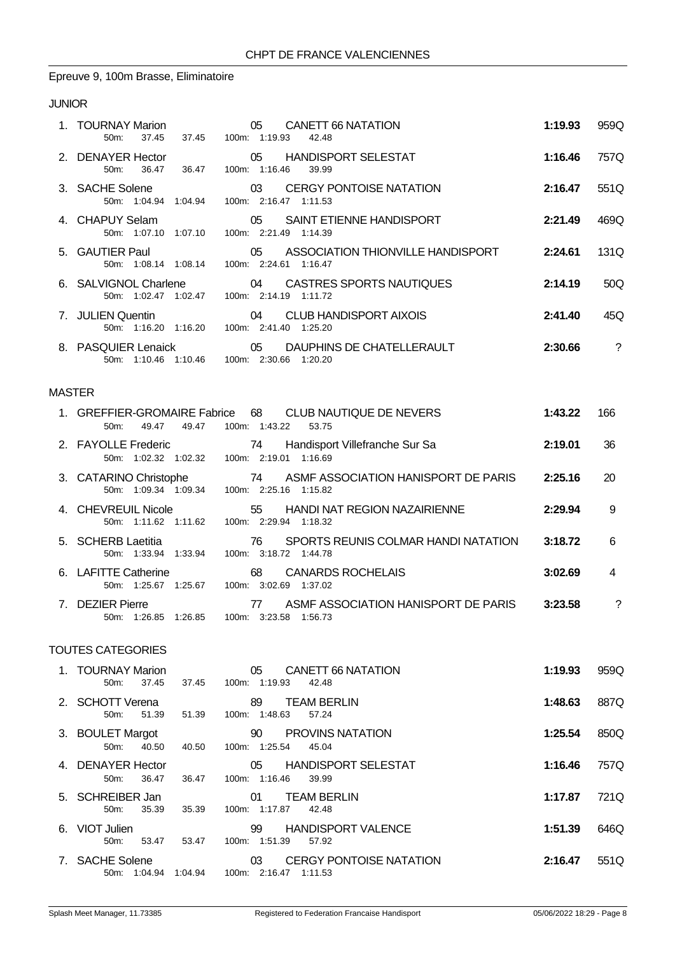#### Epreuve 9, 100m Brasse, Eliminatoire

#### JUNIOR

| 1. TOURNAY Marion<br>37.45<br>$50m$ :                         | 05 CANETT 66 NATATION<br>37.45 100m: 1:19.93<br>42.48                         | 1:19.93        | 959Q          |
|---------------------------------------------------------------|-------------------------------------------------------------------------------|----------------|---------------|
| 2. DENAYER Hector<br>36.47<br>50 <sub>m</sub>                 | 05 HANDISPORT SELESTAT<br>36.47 100m: 1:16.46 39.99                           | 1:16.46        | 757Q          |
| 3. SACHE Solene<br>50m: 1:04.94 1:04.94 100m: 2:16.47 1:11.53 | 03 CERGY PONTOISE NATATION                                                    | $2:16.47$ 551Q |               |
| 4. CHAPUY Selam<br>50m: 1:07.10 1:07.10 100m: 2:21.49 1:14.39 | 05 SAINT ETIENNE HANDISPORT                                                   | 2:21.49        | 469Q          |
| 5. GAUTIER Paul<br>50m: 1:08.14 1:08.14 100m: 2:24.61 1:16.47 | 05 ASSOCIATION THIONVILLE HANDISPORT 2:24.61                                  |                | 131Q          |
| 50m: 1:02.47 1:02.47 100m: 2:14.19 1:11.72                    | 6. SALVIGNOL Charlene 64 CASTRES SPORTS NAUTIQUES                             | 2:14.19        | 50Q           |
| 50m: 1:16.20 1:16.20                                          | 100m: 2:41.40 1:25.20                                                         | 2:41.40        | 45Q           |
| 50m: 1:10.46 1:10.46                                          | 8. PASQUIER Lenaick  25 DAUPHINS DE CHATELLERAULT<br>100m: 2:30.66<br>1:20.20 | 2:30.66        | $\mathcal{P}$ |

#### MASTER

|             | 49.47<br>49.47<br>$50m$ :                       | 1. GREFFIER-GROMAIRE Fabrice 68 CLUB NAUTIQUE DE NEVERS<br>100m: 1:43.22<br>53.75 | 1:43.22 | 166 |
|-------------|-------------------------------------------------|-----------------------------------------------------------------------------------|---------|-----|
|             | 2. FAYOLLE Frederic<br>$50m$ :                  | 74<br>Handisport Villefranche Sur Sa<br>100m: 2:19.01<br>1:16.69                  | 2:19.01 | 36  |
|             | 3. CATARINO Christophe<br>50m: 1:09.34 1:09.34  | ASMF ASSOCIATION HANISPORT DE PARIS<br>74<br>100m: 2:25.16 1:15.82                | 2:25.16 | 20  |
|             | 4. CHEVREUIL Nicole<br>$50m$ :                  | <b>HANDI NAT REGION NAZAIRIENNE</b><br>55<br>100m: 2:29.94 1:18.32                | 2:29.94 | 9   |
|             | 5. SCHERB Laetitia<br>50m: 1:33.94 1:33.94      | SPORTS REUNIS COLMAR HANDI NATATION<br>76.<br>100m: 3:18.72 1:44.78               | 3:18.72 | 6   |
|             | 6. LAFITTE Catherine<br>50m: 1:25.67<br>1:25.67 | <b>CANARDS ROCHELAIS</b><br>68<br>3:02.69<br>100m:<br>1:37.02                     | 3:02.69 | 4   |
| $7^{\circ}$ | <b>DEZIER Pierre</b><br>50m: 1:26.85<br>1:26.85 | ASME ASSOCIATION HANISPORT DE PARIS<br>77<br>3:23.58<br>1:56.73<br>100m:          | 3:23.58 | ?   |

| 1. TOURNAY Marion<br>37.45<br>$50m$ :          | 37.45   | 05<br>CANETT 66 NATATION<br>100m: 1:19.93<br>42.48            | 1:19.93 | 959Q |
|------------------------------------------------|---------|---------------------------------------------------------------|---------|------|
| 2. SCHOTT Verena<br>51.39<br>50 <sub>m</sub> : | 51.39   | <b>TEAM BERLIN</b><br>89<br>100m: 1:48.63<br>57.24            | 1:48.63 | 887Q |
| 3. BOULET Margot<br>40.50<br>50 <sub>m</sub>   | 40.50   | <b>PROVINS NATATION</b><br>90<br>100m: 1:25.54<br>45.04       | 1:25.54 | 850Q |
| 4. DENAYER Hector<br>36.47<br>50 <sub>m</sub>  | 36.47   | <b>HANDISPORT SELESTAT</b><br>05<br>100m: 1:16.46<br>39.99    | 1:16.46 | 757Q |
| 5. SCHREIBER Jan<br>35.39<br>$50m$ :           | 35.39   | <b>TEAM BERLIN</b><br>01<br>100m: 1:17.87<br>42.48            | 1:17.87 | 721Q |
| 6. VIOT Julien<br>53.47<br>$50m$ :             | 53.47   | <b>HANDISPORT VALENCE</b><br>99<br>1:51.39<br>100m:<br>57.92  | 1:51.39 | 646Q |
| 7. SACHE Solene<br>50m: 1:04.94                | 1:04.94 | <b>CERGY PONTOISE NATATION</b><br>03<br>100m: 2:16.47 1:11.53 | 2:16.47 | 551Q |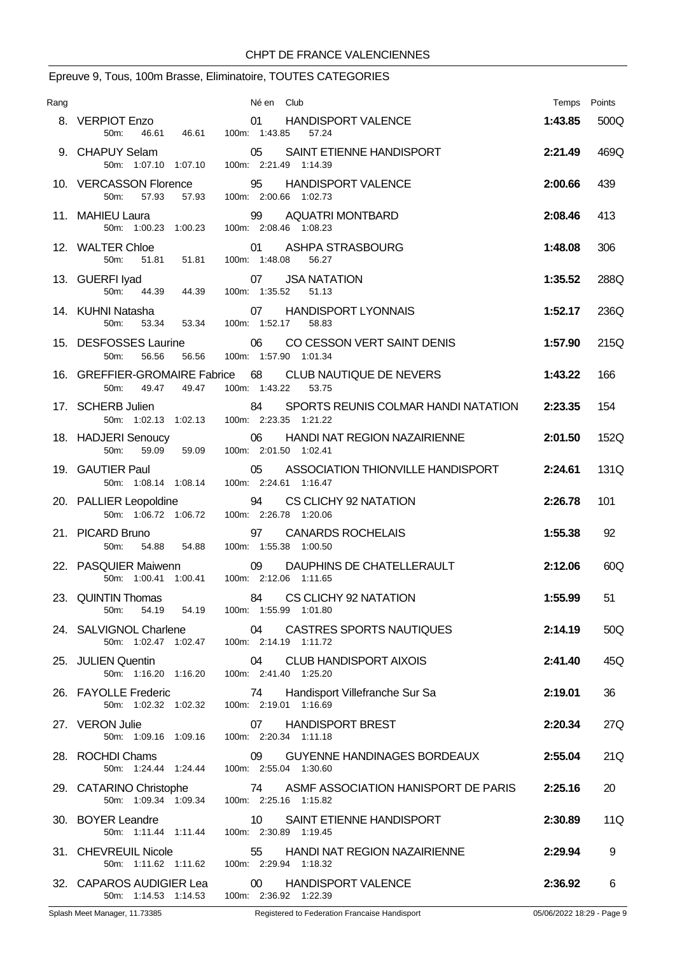# Epreuve 9, Tous, 100m Brasse, Eliminatoire, TOUTES CATEGORIES

| Rang |                                                                                  | Né en Club                                                                      | Temps Points |      |
|------|----------------------------------------------------------------------------------|---------------------------------------------------------------------------------|--------------|------|
|      | 8. VERPIOT Enzo<br>50 <sub>m</sub> :<br>46.61                                    | 01<br><b>HANDISPORT VALENCE</b><br>46.61  100m: 1:43.85<br>57.24                | 1:43.85      | 500Q |
|      | 9. CHAPUY Selam<br>50m: 1:07.10 1:07.10                                          | 05<br>SAINT ETIENNE HANDISPORT<br>100m: 2:21.49 1:14.39                         | 2:21.49      | 469Q |
|      | 10. VERCASSON Florence<br>50m:<br>57.93                                          | 95<br><b>HANDISPORT VALENCE</b><br>57.93  100m: 2:00.66  1:02.73                | 2:00.66      | 439  |
|      | 11. MAHIEU Laura<br>50m: 1:00.23 1:00.23                                         | 99 AQUATRI MONTBARD<br>100m: 2:08.46 1:08.23                                    | 2:08.46      | 413  |
|      | 12. WALTER Chloe<br>50 <sub>m</sub> :<br>51.81   51.81                           | ASHPA STRASBOURG<br>01<br>100m: 1:48.08<br>56.27                                | 1:48.08      | 306  |
|      | 13. GUERFI lyad<br>RFI Iyad<br>50m: 44.39 44.39                                  | 07 JSA NATATION<br>100m: 1:35.52 51.13                                          | 1:35.52      | 288Q |
|      | 14. KUHNI Natasha<br>53.34<br>50m:<br>53.34                                      | 07 HANDISPORT LYONNAIS<br>100m: 1:52.17<br>58.83                                | 1:52.17      | 236Q |
|      | 15. DESFOSSES Laurine<br>50 <sub>m</sub> :<br>56.56<br>56.56                     | 06<br>CO CESSON VERT SAINT DENIS<br>100m: 1:57.90 1:01.34                       | 1:57.90      | 215Q |
|      | 50m:<br>49.47<br>49.47                                                           | 16. GREFFIER-GROMAIRE Fabrice 68 CLUB NAUTIQUE DE NEVERS<br>100m: 1:43.22 53.75 | 1:43.22      | 166  |
|      | 17. SCHERB Julien<br>50m: 1:02.13 1:02.13                                        | 84 SPORTS REUNIS COLMAR HANDI NATATION<br>100m: 2:23.35 1:21.22                 | 2:23.35      | 154  |
|      | 18. HADJERI Senoucy<br>50 <sub>m</sub> :                                         | 06<br>HANDI NAT REGION NAZAIRIENNE<br>59.09  59.09  100m: 2:01.50  1:02.41      | 2:01.50      | 152Q |
|      | 19. GAUTIER Paul<br>50m: 1:08.14 1:08.14                                         | 05 ASSOCIATION THIONVILLE HANDISPORT<br>100m: 2:24.61 1:16.47                   | 2:24.61      | 131Q |
|      | 20. PALLIER Leopoldine<br>50m: 1:06.72 1:06.72                                   | 94<br>CS CLICHY 92 NATATION<br>100m: 2:26.78 1:20.06                            | 2:26.78      | 101  |
|      | 21. PICARD Bruno<br>54.88 54.88<br>50 <sub>m</sub>                               | 97<br><b>CANARDS ROCHELAIS</b><br>100m: 1:55.38 1:00.50                         | 1:55.38      | 92   |
|      | 22. PASQUIER Maiwenn<br>50m: 1:00.41 1:00.41                                     | 09 DAUPHINS DE CHATELLERAULT<br>100m: 2:12.06 1:11.65                           | 2:12.06      | 60Q  |
|      | 23. QUINTIN Thomas<br>50m:                                                       | 84 CS CLICHY 92 NATATION<br>54.19  54.19  100m: 1:55.99  1:01.80                | 1:55.99      | 51   |
|      | 50m: 1:02.47 1:02.47 100m: 2:14.19 1:11.72                                       | 24. SALVIGNOL Charlene 64 CASTRES SPORTS NAUTIQUES                              | 2:14.19      | 50Q  |
|      | 25. JULIEN Quentin<br>50m: 1:16.20 1:16.20 100m: 2:41.40 1:25.20                 | 04 CLUB HANDISPORT AIXOIS                                                       | 2:41.40      | 45Q  |
|      | 26. FAYOLLE Frederic<br>50m: 1:02.32 1:02.32 100m: 2:19.01 1:16.69               | Handisport Villefranche Sur Sa<br>74                                            | 2:19.01      | 36   |
|      | 27. VERON Julie<br>50m: 1:09.16 1:09.16                                          | 07 HANDISPORT BREST<br>100m: 2:20.34 1:11.18                                    | 2:20.34      | 27Q  |
|      | 28. ROCHDI Chams<br>50m: 1:24.44 1:24.44 100m: 2:55.04 1:30.60                   | 09<br>GUYENNE HANDINAGES BORDEAUX                                               | 2:55.04      | 21Q  |
|      | 29. CATARINO Christophe 74 ASMF AS<br>50m: 1:09.34 1:09.34 100m: 2:25.16 1:15.82 | 74 ASMF ASSOCIATION HANISPORT DE PARIS                                          | 2:25.16      | 20   |
|      | 30. BOYER Leandre<br>50m: 1:11.44 1:11.44 100m: 2:30.89 1:19.45                  | 10 SAINT ETIENNE HANDISPORT                                                     | 2:30.89      | 11Q  |
|      | 31. CHEVREUIL Nicole<br>50m: 1:11.62  1:11.62  100m: 2:29.94  1:18.32            | 55<br>HANDI NAT REGION NAZAIRIENNE                                              | 2:29.94      | 9    |
|      | 50m: 1:14.53 1:14.53 100m: 2:36.92 1:22.39                                       | 32. CAPAROS AUDIGIER Lea 00 HANDISPORT VALENCE                                  | 2:36.92      | 6    |
|      |                                                                                  |                                                                                 |              |      |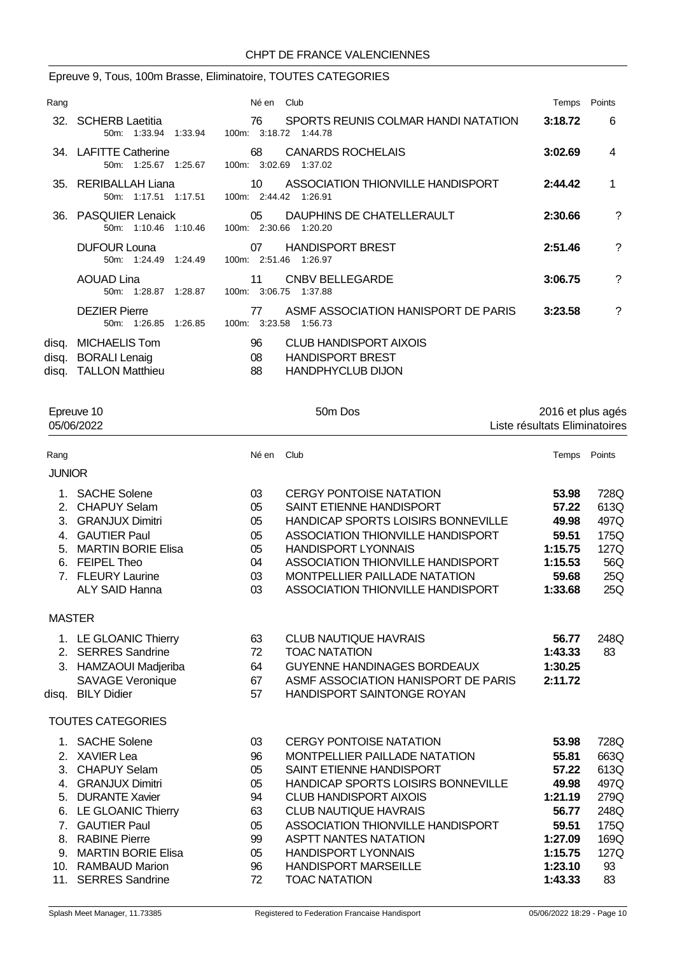# Epreuve 9, Tous, 100m Brasse, Eliminatoire, TOUTES CATEGORIES

| Rang |                                                                     | Né en Club                                                                                             | Temps   | Points         |
|------|---------------------------------------------------------------------|--------------------------------------------------------------------------------------------------------|---------|----------------|
|      | 32. SCHERB Laetitia<br>50m: 1:33.94 1:33.94 100m: 3:18.72 1:44.78   | 76 SPORTS REUNIS COLMAR HANDI NATATION                                                                 | 3:18.72 | 6              |
|      | 34. LAFITTE Catherine<br>50m: 1:25.67 1:25.67                       | 68 CANARDS ROCHELAIS<br>100m: 3:02.69 1:37.02                                                          | 3:02.69 | $\overline{4}$ |
|      | 35. RERIBALLAH Liana<br>50m: 1:17.51 1:17.51 100m: 2:44.42 1:26.91  | 10 ASSOCIATION THIONVILLE HANDISPORT                                                                   | 2:44.42 | 1              |
|      | 36. PASQUIER Lenaick<br>50m: 1:10.46 1:10.46                        | 05 DAUPHINS DE CHATELLERAULT<br>100m: 2:30.66 1:20.20                                                  | 2:30.66 | ?              |
|      | <b>DUFOUR Louna</b><br>50m: 1:24.49 1:24.49                         | <b>HANDISPORT BREST</b><br>07<br>100m: 2:51.46 1:26.97                                                 | 2:51.46 | ?              |
|      | <b>AOUAD Lina</b><br>50m: 1:28.87 1:28.87                           | CNBV BELLEGARDE<br>11<br>100m: 3:06.75<br>1:37.88                                                      | 3:06.75 | ?              |
|      | <b>DEZIER Pierre</b><br>50m: 1:26.85 1:26.85                        | ASME ASSOCIATION HANISPORT DE PARIS<br>77<br>100m: 3:23.58 1:56.73                                     | 3:23.58 | ?              |
|      | disq. MICHAELIS Tom<br>disq. BORALI Lenaig<br>disq. TALLON Matthieu | 96<br><b>CLUB HANDISPORT AIXOIS</b><br><b>HANDISPORT BREST</b><br>08<br><b>HANDPHYCLUB DIJON</b><br>88 |         |                |

| Epreuve 10<br>05/06/2022                                                                                                |                                                                                                                                                                                                                                                                                                                                                                                 | 50m Dos                                                                                                                                                                                                                                                                                                                | 2016 et plus agés<br>Liste résultats Eliminatoires                                                        |                                                                                                                 |  |
|-------------------------------------------------------------------------------------------------------------------------|---------------------------------------------------------------------------------------------------------------------------------------------------------------------------------------------------------------------------------------------------------------------------------------------------------------------------------------------------------------------------------|------------------------------------------------------------------------------------------------------------------------------------------------------------------------------------------------------------------------------------------------------------------------------------------------------------------------|-----------------------------------------------------------------------------------------------------------|-----------------------------------------------------------------------------------------------------------------|--|
|                                                                                                                         | Né en                                                                                                                                                                                                                                                                                                                                                                           | Club                                                                                                                                                                                                                                                                                                                   | Temps                                                                                                     | Points                                                                                                          |  |
|                                                                                                                         |                                                                                                                                                                                                                                                                                                                                                                                 |                                                                                                                                                                                                                                                                                                                        |                                                                                                           |                                                                                                                 |  |
| <b>MARTIN BORIE Elisa</b><br><b>FEIPEL Theo</b><br><b>ALY SAID Hanna</b>                                                | 03<br>05<br>05<br>05<br>05<br>04<br>03<br>03                                                                                                                                                                                                                                                                                                                                    | <b>CERGY PONTOISE NATATION</b><br>SAINT ETIENNE HANDISPORT<br>ASSOCIATION THIONVILLE HANDISPORT<br><b>HANDISPORT LYONNAIS</b><br>ASSOCIATION THIONVILLE HANDISPORT<br>MONTPELLIER PAILLADE NATATION<br><b>ASSOCIATION THIONVILLE HANDISPORT</b>                                                                        | 53.98<br>57.22<br>49.98<br>59.51<br>1:15.75<br>1:15.53<br>59.68<br>1:33.68                                | 728Q<br>613Q<br>497Q<br>175Q<br>127Q<br>56Q<br>25Q<br>25Q                                                       |  |
|                                                                                                                         |                                                                                                                                                                                                                                                                                                                                                                                 |                                                                                                                                                                                                                                                                                                                        |                                                                                                           |                                                                                                                 |  |
| <b>SAVAGE Veronique</b><br><b>BILY Didier</b>                                                                           | 63<br>72<br>64<br>67<br>57                                                                                                                                                                                                                                                                                                                                                      | <b>CLUB NAUTIQUE HAVRAIS</b><br><b>TOAC NATATION</b><br><b>GUYENNE HANDINAGES BORDEAUX</b><br>HANDISPORT SAINTONGE ROYAN                                                                                                                                                                                               | 56.77<br>1:43.33<br>1:30.25<br>2:11.72                                                                    | 248Q<br>83                                                                                                      |  |
|                                                                                                                         |                                                                                                                                                                                                                                                                                                                                                                                 |                                                                                                                                                                                                                                                                                                                        |                                                                                                           |                                                                                                                 |  |
| <b>DURANTE Xavier</b><br>LE GLOANIC Thierry<br><b>GAUTIER Paul</b><br><b>RABINE Pierre</b><br><b>MARTIN BORIE Elisa</b> | 03<br>96<br>05<br>05<br>94<br>63<br>05<br>99<br>05<br>96<br>72                                                                                                                                                                                                                                                                                                                  | <b>CERGY PONTOISE NATATION</b><br>MONTPELLIER PAILLADE NATATION<br>SAINT ETIENNE HANDISPORT<br><b>CLUB HANDISPORT AIXOIS</b><br><b>CLUB NAUTIQUE HAVRAIS</b><br>ASSOCIATION THIONVILLE HANDISPORT<br><b>ASPTT NANTES NATATION</b><br><b>HANDISPORT LYONNAIS</b><br><b>HANDISPORT MARSEILLE</b><br><b>TOAC NATATION</b> | 53.98<br>55.81<br>57.22<br>49.98<br>1:21.19<br>56.77<br>59.51<br>1:27.09<br>1:15.75<br>1:23.10<br>1:43.33 | 728Q<br>663Q<br>613Q<br>497Q<br>279Q<br>248Q<br>175Q<br>169Q<br>127Q<br>93<br>83                                |  |
| 7.<br>8.                                                                                                                | <b>JUNIOR</b><br>1. SACHE Solene<br>2. CHAPUY Selam<br>3. GRANJUX Dimitri<br>4. GAUTIER Paul<br>6.<br>7. FLEURY Laurine<br><b>MASTER</b><br>1. LE GLOANIC Thierry<br>2. SERRES Sandrine<br>3. HAMZAOUI Madjeriba<br>disq.<br><b>TOUTES CATEGORIES</b><br>1. SACHE Solene<br>2. XAVIER Lea<br>3. CHAPUY Selam<br>4. GRANJUX Dimitri<br>10. RAMBAUD Marion<br>11. SERRES Sandrine |                                                                                                                                                                                                                                                                                                                        |                                                                                                           | HANDICAP SPORTS LOISIRS BONNEVILLE<br>ASMF ASSOCIATION HANISPORT DE PARIS<br>HANDICAP SPORTS LOISIRS BONNEVILLE |  |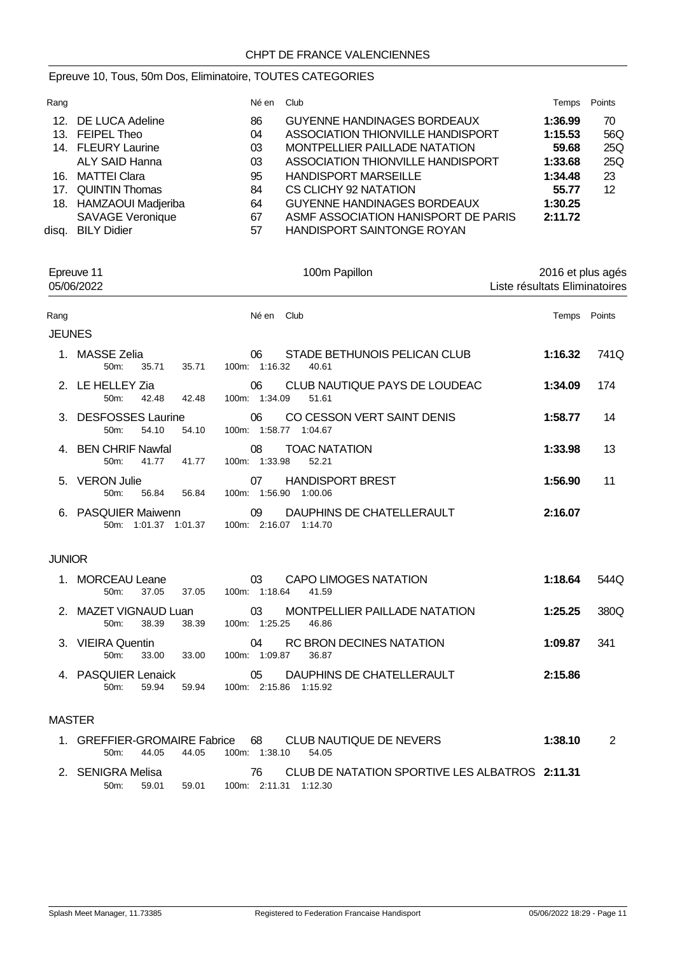# Epreuve 10, Tous, 50m Dos, Eliminatoire, TOUTES CATEGORIES

| Rang  |                         | Né en | Club                                | Temps   | Points |
|-------|-------------------------|-------|-------------------------------------|---------|--------|
|       | 12. DE LUCA Adeline     | 86    | <b>GUYENNE HANDINAGES BORDEAUX</b>  | 1:36.99 | 70     |
|       | 13. FEIPEL Theo         | 04    | ASSOCIATION THIONVILLE HANDISPORT   | 1:15.53 | 56Q    |
|       | 14. FLEURY Laurine      | 03    | MONTPELLIER PAILLADE NATATION       | 59.68   | 25Q    |
|       | ALY SAID Hanna          | 03    | ASSOCIATION THIONVILLE HANDISPORT   | 1:33.68 | 25Q    |
| 16.   | MATTEI Clara            | 95    | <b>HANDISPORT MARSEILLE</b>         | 1:34.48 | 23     |
|       | 17. QUINTIN Thomas      | 84    | CS CLICHY 92 NATATION               | 55.77   | 12     |
|       | 18. HAMZAOUI Madjeriba  | 64    | <b>GUYENNE HANDINAGES BORDEAUX</b>  | 1:30.25 |        |
|       | <b>SAVAGE Veronique</b> | 67    | ASME ASSOCIATION HANISPORT DE PARIS | 2:11.72 |        |
| disa. | <b>BILY Didier</b>      | 57    | HANDISPORT SAINTONGE ROYAN          |         |        |
|       |                         |       |                                     |         |        |

| Epreuve 11<br>05/06/2022 |                                                 | 100m Papillon                                                 | 2016 et plus agés<br>Liste résultats Eliminatoires |  |
|--------------------------|-------------------------------------------------|---------------------------------------------------------------|----------------------------------------------------|--|
| Rang                     |                                                 | Né en Club                                                    | Temps Points                                       |  |
| <b>JEUNES</b>            |                                                 |                                                               |                                                    |  |
|                          | 1. MASSE Zelia<br>35.71<br>50m:<br>35.71        | STADE BETHUNOIS PELICAN CLUB<br>06<br>100m: 1:16.32<br>40.61  | 1:16.32<br>741Q                                    |  |
|                          | 2. LE HELLEY Zia<br>50m:<br>42.48<br>42.48      | CLUB NAUTIQUE PAYS DE LOUDEAC<br>06<br>100m: 1:34.09<br>51.61 | 1:34.09<br>174                                     |  |
|                          | 3. DESFOSSES Laurine<br>50m:<br>54.10<br>54.10  | CO CESSON VERT SAINT DENIS<br>06<br>100m: 1:58.77 1:04.67     | 1:58.77<br>14                                      |  |
|                          | 4. BEN CHRIF Nawfal<br>50m:<br>41.77<br>41.77   | <b>TOAC NATATION</b><br>08<br>100m: 1:33.98<br>52.21          | 1:33.98<br>13                                      |  |
|                          | 5. VERON Julie<br>50m:<br>56.84<br>56.84        | <b>HANDISPORT BREST</b><br>07<br>100m: 1:56.90 1:00.06        | 11<br>1:56.90                                      |  |
|                          | 6. PASQUIER Maiwenn<br>50m: 1:01.37 1:01.37     | 09<br>DAUPHINS DE CHATELLERAULT<br>100m: 2:16.07 1:14.70      | 2:16.07                                            |  |
| <b>JUNIOR</b>            |                                                 |                                                               |                                                    |  |
|                          | 1. MORCEAU Leane<br>50m:<br>37.05<br>37.05      | <b>CAPO LIMOGES NATATION</b><br>03<br>100m: 1:18.64<br>41.59  | 1:18.64<br>544Q                                    |  |
|                          | 2. MAZET VIGNAUD Luan<br>50m:<br>38.39<br>38.39 | 03<br>MONTPELLIER PAILLADE NATATION<br>100m: 1:25.25<br>46.86 | 1:25.25<br>380Q                                    |  |
|                          | 3. VIEIRA Quentin<br>50m:<br>33.00<br>33.00     | RC BRON DECINES NATATION<br>04<br>100m: 1:09.87<br>36.87      | 1:09.87<br>341                                     |  |
|                          | 4. PASQUIER Lenaick<br>50m:<br>59.94<br>59.94   | DAUPHINS DE CHATELLERAULT<br>05<br>100m: 2:15.86 1:15.92      | 2:15.86                                            |  |
|                          | <b>MASTER</b>                                   |                                                               |                                                    |  |

|                   |       |       |                       | 1. GREFFIER-GROMAIRE Fabrice 68 CLUB NAUTIQUE DE NEVERS<br>1:38.10 |  |
|-------------------|-------|-------|-----------------------|--------------------------------------------------------------------|--|
| $50m$ :           | 44.05 | 44.05 | 100m: 1:38.10         | 54.05                                                              |  |
| 2. SENIGRA Melisa |       |       |                       | CLUB DE NATATION SPORTIVE LES ALBATROS 2:11.31                     |  |
| $50m$ :           | 59.01 | 59.01 | 100m: 2:11.31 1:12.30 |                                                                    |  |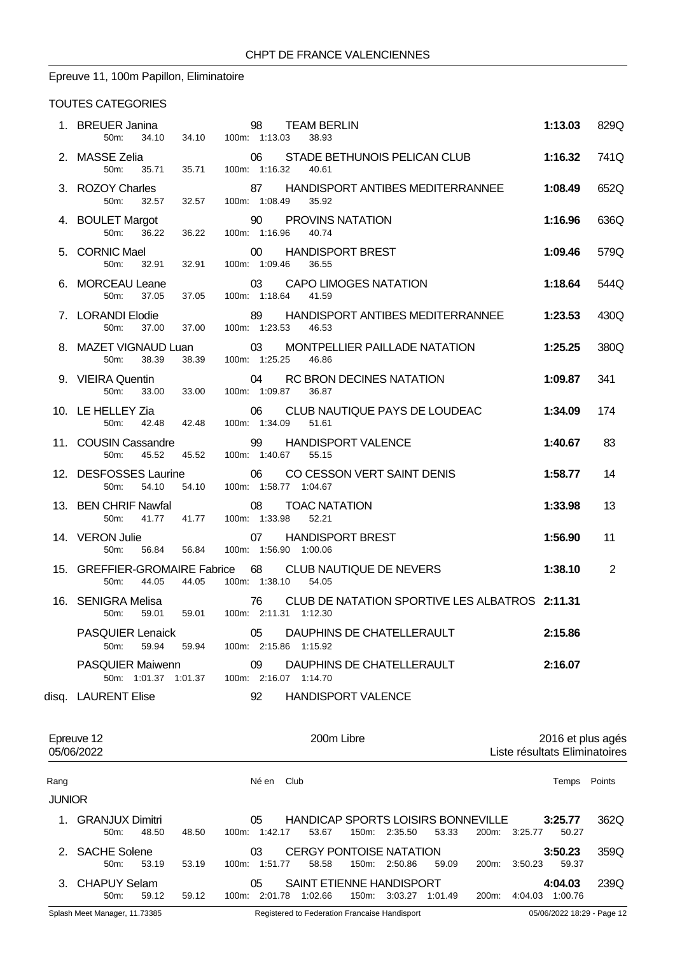# Epreuve 11, 100m Papillon, Eliminatoire

| 1. BREUER Janina<br>34.10<br>50m:                     | 34.10 100m: 1:13.03           | 98                          | <b>TEAM BERLIN</b><br>38.93                                       | 1:13.03           | 829Q |
|-------------------------------------------------------|-------------------------------|-----------------------------|-------------------------------------------------------------------|-------------------|------|
| 2. MASSE Zelia<br>50m: 35.71                          | 100m: 1:16.32 40.61<br>35.71  | 06                          | STADE BETHUNOIS PELICAN CLUB                                      | 1:16.32           | 741Q |
| 3. ROZOY Charles<br>50 <sub>m</sub> :<br>32.57        | 32.57                         | 100m: 1:08.49               | 87 HANDISPORT ANTIBES MEDITERRANNEE 1:08.49<br>35.92              |                   | 652Q |
| 4. BOULET Margot<br>50m:<br>36.22                     | 36.22                         | 90<br>100m: 1:16.96         | <b>PROVINS NATATION</b><br>40.74                                  | 1:16.96           | 636Q |
| 5. CORNIC Mael<br>50m: 32.91                          | 100m: 1:09.46<br>32.91        | 00                          | <b>HANDISPORT BREST</b><br>36.55                                  | 1:09.46           | 579Q |
| 6. MORCEAU Leane<br>50m:<br>37.05                     | 37.05                         | 100m: 1:18.64               | 03 CAPO LIMOGES NATATION<br>41.59                                 | 1:18.64           | 544Q |
| 7. LORANDI Elodie<br>50m:<br>37.00                    | 37.00                         | 89<br>100m: 1:23.53         | HANDISPORT ANTIBES MEDITERRANNEE 1:23.53<br>46.53                 |                   | 430Q |
| 50m:<br>38.39                                         | 38.39<br>100m: 1:25.25 46.86  |                             | 8. MAZET VIGNAUD Luan 03 MONTPELLIER PAILLADE NATATION            | 1:25.25           | 380Q |
| 9. VIEIRA Quentin<br>33.00<br>50m:                    | 33.00                         | 100m: 1:09.87               | 04 RC BRON DECINES NATATION<br>36.87                              | 1:09.87           | 341  |
| 10. LE HELLEY Zia<br>42.48 42.48<br>50 <sub>m</sub> : |                               | 06<br>100m: 1:34.09         | CLUB NAUTIQUE PAYS DE LOUDEAC<br>51.61                            | 1:34.09           | 174  |
| 50m: 45.52                                            | 45.52<br>100m: 1:40.67 55.15  |                             | 11. COUSIN Cassandre <b>39 HANDISPORT VALENCE</b>                 | 1:40.67           | 83   |
| 12. DESFOSSES Laurine<br>50m:<br>54.10                | 54.10                         | 100m: 1:58.77 1:04.67       | 06 CO CESSON VERT SAINT DENIS                                     | 1:58.77           | 14   |
| 13. BEN CHRIF Nawfal<br>50m:                          | 41.77  41.77  100m: 1:33.98   | 08                          | <b>TOAC NATATION</b><br>52.21                                     | 1:33.98           | 13   |
| 50m:<br>56.84                                         | 56.84                         | 100m: 1:56.90 1:00.06       | 14. VERON Julie 07 HANDISPORT BREST                               | 1:56.90           | 11   |
| 50m: 44.05                                            | 44.05                         | 100m: 1:38.10               | 15. GREFFIER-GROMAIRE Fabrice 68 CLUB NAUTIQUE DE NEVERS<br>54.05 | 1:38.10           | 2    |
| 16. SENIGRA Melisa<br>50 <sub>m</sub> :<br>59.01      | 59.01  100m: 2:11.31  1:12.30 | 76                          | CLUB DE NATATION SPORTIVE LES ALBATROS 2:11.31                    |                   |      |
| <b>PASQUIER Lenaick</b><br>59.94<br>50m:              | 59.94                         | 05<br>100m: 2:15.86 1:15.92 | DAUPHINS DE CHATELLERAULT                                         | 2:15.86           |      |
| <b>PASQUIER Maiwenn</b><br>50m: 1:01.37 1:01.37       |                               | 09<br>100m: 2:16.07 1:14.70 | DAUPHINS DE CHATELLERAULT                                         | 2:16.07           |      |
| disq. LAURENT Elise                                   |                               | 92                          | <b>HANDISPORT VALENCE</b>                                         |                   |      |
| Epreuve 12                                            |                               |                             | 200m Libre                                                        | 2016 et plus agés |      |

|               | 05/06/2022                            |       |       |       | Liste résultats Eliminatoires |                                             |       |               |         |       |               |                    |        |  |
|---------------|---------------------------------------|-------|-------|-------|-------------------------------|---------------------------------------------|-------|---------------|---------|-------|---------------|--------------------|--------|--|
| Rang          |                                       |       |       |       | Né en Club                    |                                             |       |               |         |       |               | Temps              | Points |  |
| <b>JUNIOR</b> |                                       |       |       |       |                               |                                             |       |               |         |       |               |                    |        |  |
|               | 1. GRANJUX Dimitri<br>50 <sub>m</sub> | 48.50 | 48.50 |       | 05<br>100m: 1:42.17           | HANDICAP SPORTS LOISIRS BONNEVILLE<br>53.67 |       | 150m: 2:35.50 | 53.33   |       | 200m: 3:25.77 | 3:25.77<br>50.27   | 362Q   |  |
|               | 2. SACHE Solene<br>$50m$ :            | 53.19 | 53.19 |       | 03<br>100m: 1:51.77           | <b>CERGY PONTOISE NATATION</b><br>58.58     |       | 150m: 2:50.86 | 59.09   | 200m: | 3:50.23       | 3:50.23<br>59.37   | 359Q   |  |
|               | 3. CHAPUY Selam<br>$50m$ :            | 59.12 | 59.12 | 100m: | 05<br>2:01.78                 | SAINT ETIENNE HANDISPORT<br>1:02.66         | 150m: | 3:03.27       | 1:01.49 | 200m: | 4:04.03       | 4:04.03<br>1:00.76 | 239Q   |  |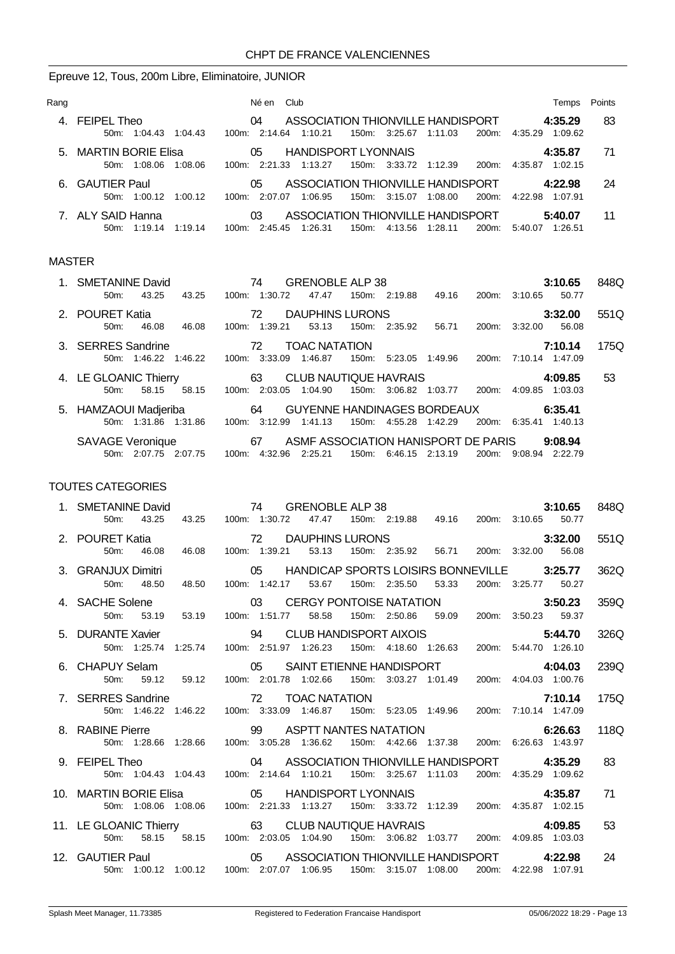# Epreuve 12, Tous, 200m Libre, Eliminatoire, JUNIOR

| Rang |                                               | Né en Club                                                                                                     | Points<br>Temps                     |
|------|-----------------------------------------------|----------------------------------------------------------------------------------------------------------------|-------------------------------------|
| 4    | FEIPEL Theo<br>50m: 1:04.43<br>1:04.43        | ASSOCIATION THIONVILLE HANDISPORT<br>04<br>1:10.21<br>150m: 3:25.67<br>$100m$ : 2:14.64<br>1:11.03<br>200m:    | 4:35.29<br>83<br>4:35.29<br>1:09.62 |
|      | 5. MARTIN BORIE Elisa<br>50m: 1:08.06 1:08.06 | 05<br>HANDISPORT LYONNAIS<br>100m: 2:21.33<br>1:13.27<br>150m. 3:33.72 1:12.39<br>200m:                        | 4:35.87<br>71<br>4:35.87<br>1:02.15 |
|      | 6. GAUTIER Paul<br>50m: 1:00.12<br>1:00.12    | ASSOCIATION THIONVILLE HANDISPORT<br>05<br>100m: 2:07.07<br>1:06.95<br>150m: 3:15.07<br>1:08.00<br>200m:       | 24<br>4:22.98<br>4:22.98<br>1:07.91 |
|      | 7. ALY SAID Hanna<br>50m: 1:19.14<br>1:19:14  | ASSOCIATION THIONVILLE HANDISPORT<br>03<br>1:26.31<br>150m:<br>4:13.56<br>1:28.11<br>200m:<br>2:45.45<br>100m: | 5:40.07<br>11<br>1:26.51<br>5:40.07 |

#### MASTER

| 1. SMETANINE David        | 74<br>GRENOBLE ALP 38                                                  | 3:10.65            | 848Q |
|---------------------------|------------------------------------------------------------------------|--------------------|------|
| 43.25<br>43.25<br>50m:    | 1:30.72<br>47.47<br>49.16<br>100m:<br>150m: 2:19.88<br>200m:           | 50.77<br>3:10.65   |      |
| 2. POURET Katia           | DAUPHINS LURONS<br>$\overline{72}$                                     | 3:32.00            | 551Q |
| 46.08<br>46.08<br>$50m$ : | 53.13<br>150m: 2:35.92<br>100m: 1:39.21<br>56.71<br>200m:              | 56.08<br>3:32.00   |      |
| 3. SERRES Sandrine        | 72<br><b>TOAC NATATION</b>                                             | 7:10.14            | 175Q |
| 50m: 1:46.22<br>1:46.22   | 3:33.09<br>1:46.87<br>150m:<br>1:49.96<br>$100m$ :<br>5:23.05<br>200m: | 7:10.14 1:47.09    |      |
| 4. LE GLOANIC Thierry 63  | <b>CLUB NAUTIQUE HAVRAIS</b>                                           | 4:09.85            | 53   |
| 58.15<br>$50m$ :<br>58.15 | 200m:<br>100m: 2:03.05<br>1:04.90<br>150m:<br>3:06.82<br>1:03.77       | 4:09.85<br>1:03.03 |      |
| 5. HAMZAOUI Madjeriba 64  | <b>GUYENNE HANDINAGES BORDEAUX</b>                                     | 6:35.41            |      |
| 50m: 1:31.86<br>1:31.86   | 100m: 3:12.99<br>1:41.13<br>150m:<br>4:55.28 1:42.29<br>200m:          | 6:35.41<br>1:40.13 |      |
| <b>SAVAGE Veronique</b>   | ASMF ASSOCIATION HANISPORT DE PARIS<br>67                              | 9:08.94            |      |
| 50m: 2:07.75 2:07.75      | 100m: 4:32.96 2:25.21<br>150m: 6:46.15 2:13.19<br>200m:                | 9:08.94 2:22.79    |      |

| 1. SMETANINE David<br>50m: 43.25 43.25 100m: 1:30.72 47.47 150m: 2:19.88 49.16 200m: 3:10.65 50.77                                                                                             |  |  |  |                                                                   |  | 3:10.65 848Q |      |
|------------------------------------------------------------------------------------------------------------------------------------------------------------------------------------------------|--|--|--|-------------------------------------------------------------------|--|--------------|------|
| 2. POURET Katia 16.08 100m: 1:39.21 53.13 150m: 2:35.92 56.71 200m: 3:32.00 56.08 50m: 46.08 100m: 1:39.21 53.13 150m: 2:35.92 56.71 200m: 3:32.00 56.08                                       |  |  |  |                                                                   |  |              | 551Q |
| 3. GRANJUX Dimitri 05 HANDICAP SPORTS LOISIRS BONNEVILLE 3:25.77<br>50m: 48.50                                                                                                                 |  |  |  | 48.50 100m: 1:42.17 53.67 150m: 2:35.50 53.33 200m: 3:25.77 50.27 |  |              | 362Q |
| 4. SACHE Solene 03 CERGY PONTOISE NATATION 3:50.23<br>50m: 53.19 53.19 100m: 1:51.77 58.58 150m: 2:50.86 59.09 200m: 3:50.23 59.37                                                             |  |  |  |                                                                   |  |              | 359Q |
| 5. DURANTE Xavier 94 CLUB HANDISPORT AIXOIS<br>50m: 1:25.74 1:25.74 100m: 2:51.97 1:26.23 150m: 4:18.60 1:26.63 200m: 5:44.70 1:26.10                                                          |  |  |  |                                                                   |  | 5:44.70      | 326Q |
| 6. CHAPUY Selam 05 SAINT ETIENNE HANDISPORT 4:04.03<br>50m: 59.12 59.12 100m: 2:01.78 1:02.66 150m: 3:03.27 1:01.49 200m: 4:04.03 1:00.76                                                      |  |  |  |                                                                   |  |              | 239Q |
| 7. SERRES Sandrine 72 TOAC NATATION<br><b>RES Sandrine</b> 71 <b>72</b> TOAC NATATION <b>7:10.14</b><br>50m: 1:46.22 1:46.22 100m: 3:33.09 1:46.87 150m: 5:23.05 1:49.96 200m: 7:10.14 1:47.09 |  |  |  |                                                                   |  |              | 175Q |
| 8. RABINE Pierre <b>6:26.63</b> 99 ASPTT NANTES NATATION 6:26.63<br>50m: 1:28.66 1:28.66 100m: 3:05.28 1:36.62 150m: 4:42.66 1:37.38 200m: 6:26.63 1:43.97                                     |  |  |  |                                                                   |  |              | 118Q |
| 9. FEIPEL Theo $04$ ASSOCIATION THIONVILLE HANDISPORT 4:35.29<br>50m: 1:04.43 1:04.43 100m: 2:14.64 1:10.21 150m: 3:25.67 1:11.03 200m: 4:35.29 1:09.62                                        |  |  |  |                                                                   |  |              | 83   |
| 10. MARTIN BORIE Elisa $05$ HANDISPORT LYONNAIS 4:35.87<br>50m: 1:08.06 1:08.06 100m: 2:21.33 1:13.27 150m: 3:33.72 1:12.39 200m: 4:35.87 1:02.15                                              |  |  |  |                                                                   |  |              | 71   |
| 11. LE GLOANIC Thierry 63 CLUB NAUTIQUE HAVRAIS 4:09.85<br>50m: 58.15 58.15 100m: 2:03.05 1:04.90 150m: 3:06.82 1:03.77 200m: 4:09.85 1:03.03                                                  |  |  |  |                                                                   |  |              | 53   |
| 12. GAUTIER Paul <b>12. CAUTIER Paul COVERTY 12. CAUTIER Paul COVERTY 4:22.98</b><br>50m: 1:00.12 1:00.12 100m: 2:07.07 1:06.95 150m: 3:15.07 1:08.00 200m: 4:22.98 1:07.91                    |  |  |  |                                                                   |  |              | 24   |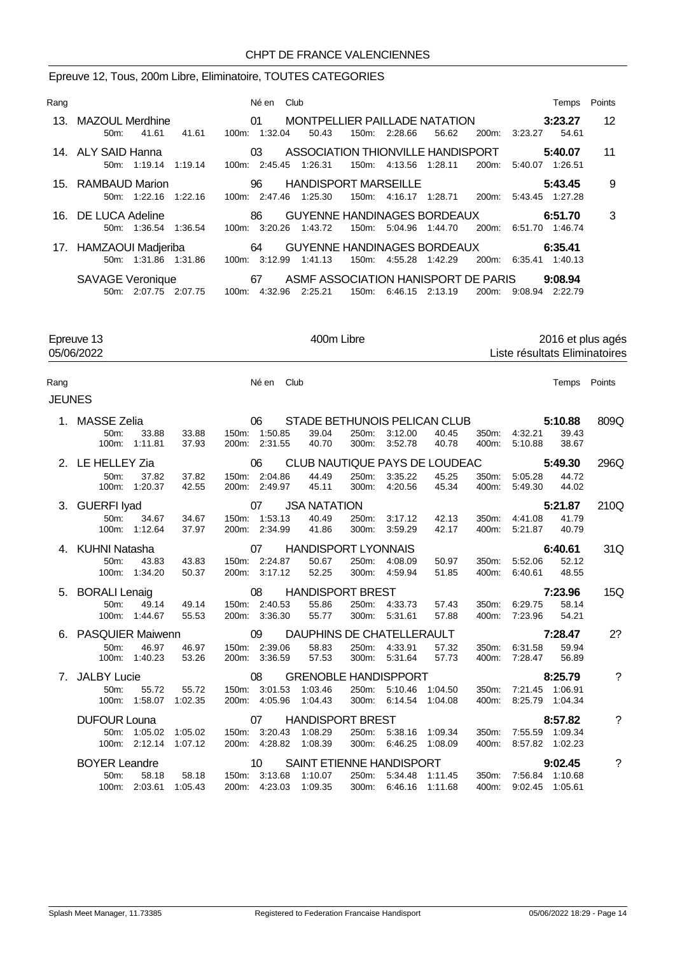#### Epreuve 12, Tous, 200m Libre, Eliminatoire, TOUTES CATEGORIES

| Rang |                                                 | Né en Club                                                                                                     | Temps                         | Points |
|------|-------------------------------------------------|----------------------------------------------------------------------------------------------------------------|-------------------------------|--------|
| 13.  | MAZOUL Merdhine<br>41.61<br>41.61<br>50m        | $\sim$ 01<br><b>MONTPELLIER PAILLADE NATATION</b><br>100m: 1:32.04<br>56.62<br>50.43<br>150m: 2:28.66<br>200m: | 3:23.27<br>54.61<br>3:23.27   | 12     |
|      | 14. ALY SAID Hanna<br>50m: 1:19.14<br>1:19.14   | ASSOCIATION THIONVILLE HANDISPORT<br>03<br>100m: 2:45.45<br>1:26.31<br>150m:<br>4:13.56<br>200m:<br>1:28.11    | 5:40.07<br>5:40.07<br>1:26.51 | 11     |
|      | 15. RAMBAUD Marion<br>50m: 1:22.16<br>1:22.16   | 96 HANDISPORT MARSEILLE<br>100m: 2:47.46<br>1:25.30<br>150m:<br>4:16.17<br>1:28.71<br>200m:                    | 5:43.45<br>5:43.45<br>1:27.28 | 9      |
|      | 16. DE LUCA Adeline<br>50m: 1:36.54 1:36.54     | 86<br>GUYENNE HANDINAGES BORDEAUX<br>100m: 3:20.26<br>1:43.72<br>150m: 5:04.96<br>200m:<br>1:44.70             | 6:51.70<br>6:51.70<br>1:46.74 | 3      |
|      | 17. HAMZAOUI Madjeriba<br>50m: 1:31.86 1:31.86  | 64 GUYENNE HANDINAGES BORDEAUX<br>100m: 3:12.99<br>1:41.13<br>150m: 4:55.28 1:42.29<br>200m:                   | 6:35.41<br>6:35.41 1:40.13    |        |
|      | <b>SAVAGE Veronique</b><br>50m: 2:07.75 2:07.75 | ASMF ASSOCIATION HANISPORT DE PARIS<br>67<br>150m: 6.46.15 2:13.19<br>100m: 4:32.96<br>2:25.21<br>200m:        | 9:08.94<br>9:08.94<br>2:22.79 |        |

Epreuve 13 100m Libre 13 2016 et plus agés<br>
05/06/2022 15te résultats Eliminatoires 05/06/2022 Liste résultats Eliminatoires

Rang **Né en Club** Né en Club **Né en Club Temps** Points

| JN<br>г |
|---------|
|---------|

| 1. MASSE Zelia                     | a 06 S<br>33.88 33.88 150m: 1:50.85 |           |                                |                             |                |                          | STADE BETHUNOIS PELICAN CLUB  |                |                                    | 5:10.88        | 809Q       |
|------------------------------------|-------------------------------------|-----------|--------------------------------|-----------------------------|----------------|--------------------------|-------------------------------|----------------|------------------------------------|----------------|------------|
| 50m:<br>100m: 1:11.81              | 37.93                               |           | 200m: 2:31.55                  | 39.04<br>40.70              | 300m:          | 250m: 3:12.00<br>3:52.78 | 40.45<br>40.78                | 400m:          | 350m: 4:32.21<br>5:10.88           | 39.43<br>38.67 |            |
| 2. LE HELLEY Zia                   |                                     |           | 06                             |                             |                |                          | CLUB NAUTIQUE PAYS DE LOUDEAC |                |                                    | 5:49.30        | 296Q       |
| 50m:<br>100m:                      | 37.82<br>37.82<br>1:20.37<br>42.55  |           | 150m: 2:04.86<br>200m: 2:49.97 | 44.49<br>45.11              | 250m:<br>300m: | 3:35.22<br>4:20.56       | 45.25<br>45.34                | 350m:<br>400m: | 5:05.28<br>5:49.30                 | 44.72<br>44.02 |            |
| 3. GUERFI lyad                     | $\sim$ 07                           |           |                                | <b>JSA NATATION</b>         |                |                          |                               |                |                                    | 5:21.87        | 210Q       |
| 50 <sub>m</sub> :<br>100m: 1:12.64 | 34.67<br>34.67<br>37.97             |           | 150m: 1:53.13<br>200m: 2:34.99 | 40.49<br>41.86              | 250m:<br>300m: | 3:17.12<br>3:59.29       | 42.13<br>42.17                | 350m:<br>400m: | 4:41.08<br>5:21.87                 | 41.79<br>40.79 |            |
| 4. KUHNI Natasha                   |                                     |           | 07                             | <b>HANDISPORT LYONNAIS</b>  |                |                          |                               |                |                                    | 6:40.61        | 31Q        |
| 50m:<br>100m: 1:34.20              | 43.83<br>43.83<br>50.37             |           | 150m: 2:24.87<br>200m: 3:17.12 | 50.67<br>52.25              | 250m:<br>300m: | 4:08.09<br>4:59.94       | 50.97<br>51.85                | 350m:<br>400m: | 5:52.06<br>6:40.61                 | 52.12<br>48.55 |            |
| 5. BORALI Lenaig                   |                                     | $\sim$ 08 |                                | <b>HANDISPORT BREST</b>     |                |                          |                               |                |                                    | 7:23.96        | 15Q        |
| $50m$ :<br>100m:                   | 49.14 49.14<br>1:44.67<br>55.53     |           | 150m: 2:40.53<br>200m: 3:36.30 | 55.86<br>55.77              | 300m:          | 250m: 4:33.73<br>5:31.61 | 57.43<br>57.88                | 350m:<br>400m: | 6:29.75<br>7:23.96                 | 58.14<br>54.21 |            |
| 6. PASQUIER Maiwenn                |                                     | $\sim$ 09 |                                | DAUPHINS DE CHATELLERAULT   |                |                          |                               |                |                                    | 7:28.47        | 2?         |
| 50 <sub>m</sub> :<br>100m:         | 46.97<br>46.97<br>1:40.23<br>53.26  | 200m:     | 150m: 2:39.06<br>3:36.59       | 58.83<br>57.53              | 250m:<br>300m: | 4:33.91<br>5:31.64       | 57.32<br>57.73                | 350m:<br>400m: | 6:31.58<br>7:28.47                 | 59.94<br>56.89 |            |
| 7. JALBY Lucie                     |                                     |           | 08                             | <b>GRENOBLE HANDISPPORT</b> |                |                          |                               |                |                                    | 8:25.79        | $\ddot{?}$ |
| 50m:<br>100m:                      | 55.72<br>55.72<br>1:58.07 1:02.35   |           | 150m: 3:01.53<br>200m: 4:05.96 | 1:03.46<br>1:04.43          | 250m:<br>300m: | 5:10.46<br>6:14.54       | 1:04.50<br>1:04.08            | 350m:<br>400m: | 7:21.45<br>8:25.79 1:04.34         | 1:06.91        |            |
| <b>DUFOUR Louna</b>                |                                     | $\sim$ 07 |                                | <b>HANDISPORT BREST</b>     |                |                          |                               |                |                                    | 8:57.82        | $\gamma$   |
| 100m: 2:12.14                      | 50m: 1:05.02 1:05.02<br>1:07.12     |           | 150m: 3:20.43<br>200m: 4:28.82 | 1:08.29<br>1:08.39          | 300m:          | 250m: 5:38.16<br>6:46.25 | 1:09.34<br>1:08.09            | 350m:<br>400m: | 7:55.59 1:09.34<br>8:57.82 1:02.23 |                |            |
| <b>BOYER Leandre</b>               |                                     |           | 10                             | SAINT ETIENNE HANDISPORT    |                | 9:02.45                  |                               | $\overline{?}$ |                                    |                |            |
| $50m$ :                            | 58.18<br>58.18                      |           | 150m: 3:13.68                  | 1:10.07                     | 250m:          | 5:34.48                  | 1:11.45                       | 350m:          | 7:56.84 1:10.68                    |                |            |
| 100m: 2:03.61                      | 1:05.43                             |           | 200m: 4:23.03                  | 1:09.35                     |                | 300m: 6:46.16            | 1:11.68                       | 400m:          | 9:02.45 1:05.61                    |                |            |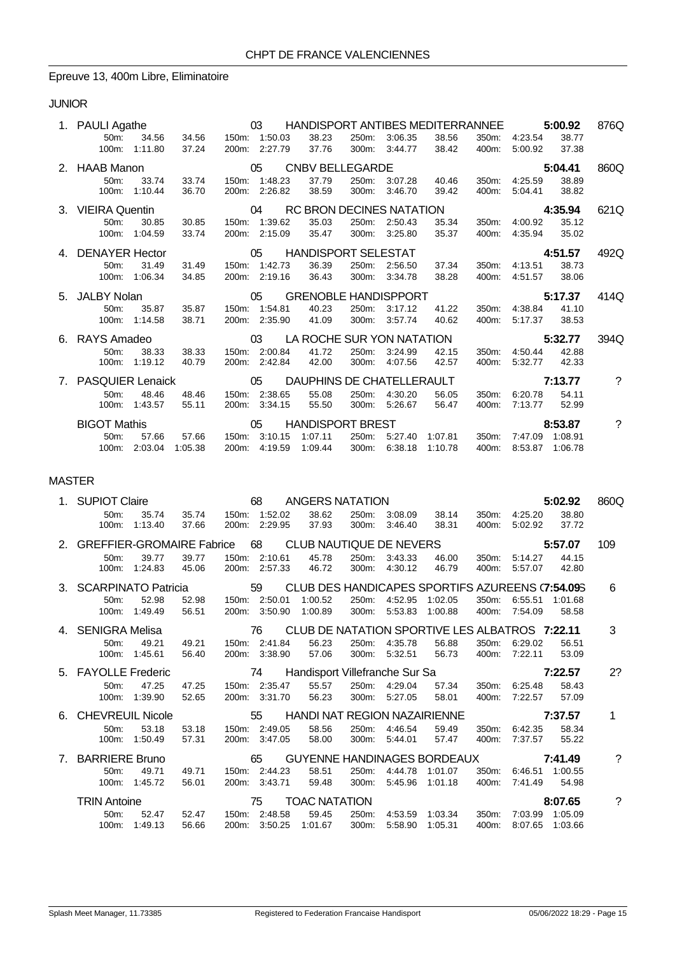### Epreuve 13, 400m Libre, Eliminatoire

### JUNIOR

| 1. PAULI Agathe     |               |       |               | 03            | HANDISPORT ANTIBES MEDITERRANNEE |       |               |                           |       |               | 5:00.92 | 876Q                  |
|---------------------|---------------|-------|---------------|---------------|----------------------------------|-------|---------------|---------------------------|-------|---------------|---------|-----------------------|
| $50m$ :             | 34.56         | 34.56 | 150m: 1:50.03 |               | 38.23                            |       | 250m: 3:06.35 | 38.56                     | 350m: | 4:23.54       | 38.77   |                       |
| 100m:               | 1:11.80       | 37.24 |               | 200m: 2:27.79 | 37.76                            |       | 300m: 3:44.77 | 38.42                     | 400m: | 5:00.92       | 37.38   |                       |
| 2. HAAB Manon       |               |       |               | 05            | <b>CNBV BELLEGARDE</b>           |       |               |                           |       |               | 5:04.41 | 860Q                  |
| 50m:                | 33.74         | 33.74 |               | 150m: 1:48.23 | 37.79                            |       | 250m: 3:07.28 | 40.46                     |       | 350m: 4:25.59 | 38.89   |                       |
| 100m:               | 1:10.44       | 36.70 |               | 200m: 2:26.82 | 38.59                            | 300m: | 3:46.70       | 39.42                     | 400m: | 5:04.41       | 38.82   |                       |
| 3. VIEIRA Quentin   |               |       | $\sim$ 04     |               |                                  |       |               | RC BRON DECINES NATATION  |       |               | 4:35.94 | 621Q                  |
| $50m$ :             | 30.85         | 30.85 |               | 150m: 1:39.62 | 35.03                            | 250m: | 2:50.43       | 35.34                     | 350m: | 4:00.92       | 35.12   |                       |
|                     | 100m: 1:04.59 | 33.74 |               | 200m: 2:15.09 | 35.47                            |       | 300m: 3:25.80 | 35.37                     | 400m: | 4:35.94       | 35.02   |                       |
| 4. DENAYER Hector   |               |       | $\sim$ 05     |               | <b>HANDISPORT SELESTAT</b>       |       |               |                           |       |               | 4:51.57 | 492Q                  |
| 50m:                | 31.49         | 31.49 |               | 150m: 1:42.73 | 36.39                            |       | 250m: 2:56.50 | 37.34                     |       | 350m: 4:13.51 | 38.73   |                       |
|                     | 100m: 1:06.34 | 34.85 |               | 200m: 2:19.16 | 36.43                            |       | 300m: 3:34.78 | 38.28                     | 400m: | 4:51.57       | 38.06   |                       |
| 5. JALBY Nolan      |               |       |               | 05            | <b>GRENOBLE HANDISPPORT</b>      |       |               |                           |       |               | 5:17.37 | 414Q                  |
|                     |               |       |               |               |                                  |       |               |                           |       |               |         |                       |
| 50 <sub>m</sub> :   | 35.87         | 35.87 |               | 150m: 1:54.81 | 40.23                            | 250m: | 3:17.12       | 41.22                     | 350m: | 4:38.84       | 41.10   |                       |
|                     | 100m: 1:14.58 | 38.71 |               | 200m: 2:35.90 | 41.09                            |       | 300m: 3:57.74 | 40.62                     | 400m: | 5:17.37       | 38.53   |                       |
| 6. RAYS Amadeo      |               |       |               | 03            |                                  |       |               | LA ROCHE SUR YON NATATION |       |               | 5:32.77 | 394Q                  |
| 50 <sub>m</sub> :   | 38.33         | 38.33 |               | 150m: 2:00.84 | 41.72                            |       | 250m: 3:24.99 | 42.15                     | 350m: | 4:50.44       | 42.88   |                       |
| 100m:               | 1:19.12       | 40.79 |               | 200m: 2:42.84 | 42.00                            | 300m: | 4:07.56       | 42.57                     | 400m: | 5:32.77       | 42.33   |                       |
| 7. PASQUIER Lenaick |               |       | $\sim$ 05     |               | DAUPHINS DE CHATELLERAULT        |       |               |                           |       |               | 7:13.77 | $\boldsymbol{\gamma}$ |
| 50 <sub>m</sub> :   | 48.46         | 48.46 |               | 150m: 2:38.65 | 55.08                            | 250m: | 4:30.20       | 56.05                     | 350m: | 6:20.78       | 54.11   |                       |
| 100m:               | 1:43.57       | 55.11 |               | 200m: 3:34.15 | 55.50                            | 300m: | 5:26.67       | 56.47                     | 400m: | 7:13.77       | 52.99   |                       |
| <b>BIGOT Mathis</b> |               |       |               | 05            | <b>HANDISPORT BREST</b>          |       |               |                           |       |               | 8:53.87 | $\gamma$              |
| $50m$ :             | 57.66         | 57.66 |               | 150m: 3:10.15 | 1:07.11                          | 250m: | 5:27.40       | 1:07.81                   | 350m: | 7:47.09       | 1:08.91 |                       |

### MASTER

|                                | 1. SUPIOT Claire             |                  |                                   |                | 68                       | ANGERS NATATION                     |                |                    |                                                  |                |                    | 5:02.92        | 860Q |
|--------------------------------|------------------------------|------------------|-----------------------------------|----------------|--------------------------|-------------------------------------|----------------|--------------------|--------------------------------------------------|----------------|--------------------|----------------|------|
|                                | 50m:<br>100m:                | 35.74<br>1:13.40 | 35.74<br>37.66                    | 200m:          | 150m: 1:52.02<br>2:29.95 | 38.62<br>37.93                      | 250m:<br>300m: | 3:08.09<br>3:46.40 | 38.14<br>38.31                                   | 350m:<br>400m: | 4:25.20<br>5:02.92 | 38.80<br>37.72 |      |
|                                | 2. GREFFIER-GROMAIRE Fabrice |                  |                                   | 68             |                          | CLUB NAUTIQUE DE NEVERS             |                |                    |                                                  |                |                    | 5:57.07        | 109  |
|                                | $50m$ :<br>$100m$ :          | 39.77<br>1:24.83 | 39.77<br>45.06                    | 150m:<br>200m: | 2:10.61<br>2:57.33       | 45.78<br>46.72                      | 250m:<br>300m: | 3:43.33<br>4:30.12 | 46.00<br>46.79                                   | 350m:<br>400m: | 5:14.27<br>5:57.07 | 44.15<br>42.80 |      |
|                                | 3. SCARPINATO Patricia       |                  |                                   | 59             |                          |                                     |                |                    | CLUB DES HANDICAPES SPORTIFS AZUREENS (7:54.095) |                |                    |                | 6    |
|                                | 50m:                         | 52.98            | 52.98                             |                | 150m: 2:50.01            | 1:00.52                             | 250m:          | 4:52.95            | 1:02.05                                          | 350m.          | 6:55.51            | 1:01.68        |      |
|                                | 100m:                        | 1:49.49          | 56.51                             | 200m:          | 3:50.90                  | 1:00.89                             | 300m:          | 5:53.83            | 1:00.88                                          | 400m:          | 7:54.09            | 58.58          |      |
|                                | 4. SENIGRA Melisa            |                  | <u>та 176 година и 76 година </u> |                |                          |                                     |                |                    | CLUB DE NATATION SPORTIVE LES ALBATROS 7:22.11   |                |                    |                | 3    |
|                                | $50m$ :                      | 49.21            | 49.21                             |                | 150m: 2:41.84            | 56.23                               |                | 250m: 4:35.78      | 56.88                                            | 350m.          | 6:29.02            | 56.51          |      |
|                                | 100m:                        | 1:45.61          | 56.40                             |                | 200m: 3:38.90            | 57.06                               | 300m:          | 5:32.51            | 56.73                                            | 400m:          | 7:22.11            | 53.09          |      |
|                                | 5. FAYOLLE Frederic          |                  | $\sim$ 74                         |                |                          | Handisport Villefranche Sur Sa      |                |                    |                                                  |                |                    | 7:22.57        | 2?   |
|                                |                              | 47.25            | 47.25                             |                | 150m: 2:35.47            | 55.57                               |                | 250m: 4:29.04      | 57.34                                            | 350m:          | 6:25.48            | 58.43          |      |
|                                | 50m:                         |                  |                                   |                |                          |                                     |                |                    |                                                  |                |                    |                |      |
|                                | 100m:                        | 1:39.90          | 52.65                             |                | 200m: 3:31.70            | 56.23                               | 300m:          | 5:27.05            | 58.01                                            | 400m.          | 7:22.57            | 57.09          |      |
| 6.                             | <b>CHEVREUIL Nicole</b>      |                  |                                   |                | 55                       | <b>HANDI NAT REGION NAZAIRIENNE</b> |                |                    |                                                  |                |                    | 7:37.57        | 1    |
|                                | 50m:                         | 53.18            | 53.18                             |                | 150m: 2:49.05            | 58.56                               | 250m:          | 4:46.54            | 59.49                                            | 350m:          | 6:42.35            | 58.34          |      |
|                                | 100m:                        | 1:50.49          | 57.31                             | 200m:          | 3:47.05                  | 58.00                               | 300m:          | 5:44.01            | 57.47                                            | 400m.          | 7:37.57            | 55.22          |      |
| $7_{\scriptscriptstyle{\sim}}$ | <b>BARRIERE Bruno</b>        |                  |                                   |                | 65                       |                                     |                |                    | <b>GUYENNE HANDINAGES BORDEAUX</b>               |                |                    | 7:41.49        | ?    |
|                                | 50m:                         | 49.71            | 49.71                             |                | 150m: 2:44.23            | 58.51                               | 250m:          | 4:44.78            | 1:01.07                                          | 350m:          | 6:46.51            | 1:00.55        |      |
|                                | 100m:                        | 1:45.72          | 56.01                             |                | 200m: 3:43.71            | 59.48                               | 300m:          | 5:45.96            | 1:01.18                                          | 400m:          | 7:41.49            | 54.98          |      |
|                                | <b>TRIN Antoine</b>          |                  |                                   |                | 75                       | <b>TOAC NATATION</b>                |                |                    |                                                  |                |                    | 8:07.65        | ?    |
|                                | 50m:                         | 52.47            | 52.47                             |                | 150m: 2:48.58            | 59.45                               | 250m:          | 4:53.59            | 1:03.34                                          | 350m.          | 7:03.99            | 1:05.09        |      |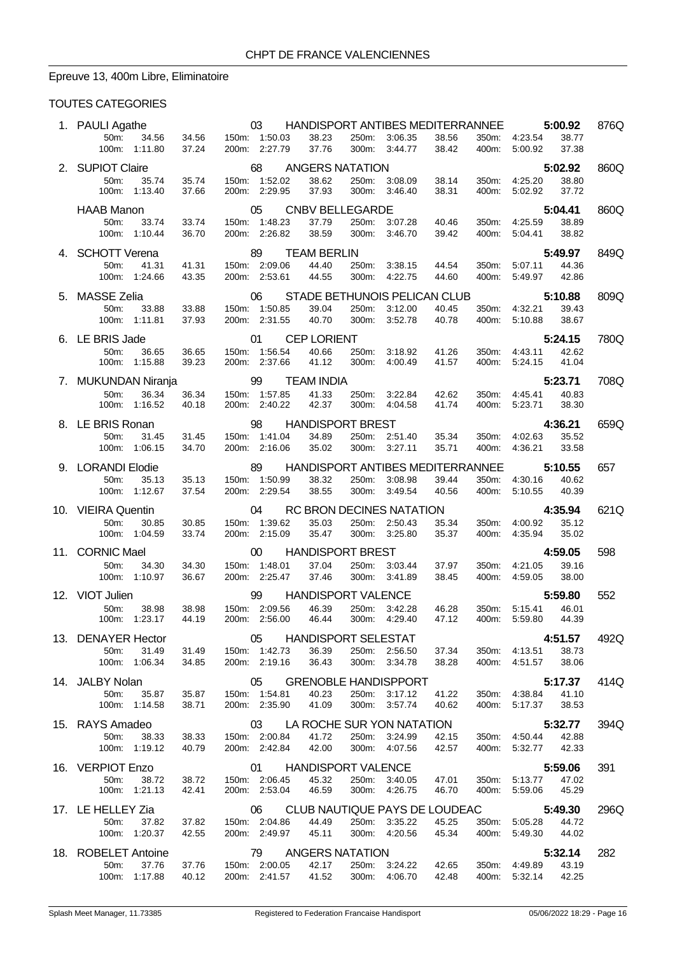# Epreuve 13, 400m Libre, Eliminatoire

| 1. PAULI Agathe                                                  |                | 03                                                      | HANDISPORT ANTIBES MEDITERRANNEE                   |                |                                |                |                |                                | 5:00.92                   | 876Q |
|------------------------------------------------------------------|----------------|---------------------------------------------------------|----------------------------------------------------|----------------|--------------------------------|----------------|----------------|--------------------------------|---------------------------|------|
| 50m:<br>34.56<br>100m: 1:11.80                                   | 34.56<br>37.24 | 150m: 1:50.03<br>200m: 2:27.79                          | 38.23<br>37.76                                     |                | 250m: 3:06.35<br>300m: 3:44.77 | 38.56<br>38.42 | 400m:          | 350m: 4:23.54<br>5:00.92       | 38.77<br>37.38            |      |
| 2. SUPIOT Claire<br>50m:<br>35.74<br>100m: 1:13.40               | 35.74<br>37.66 | 68<br>150m: 1:52.02<br>200m: 2:29.95                    | <b>ANGERS NATATION</b><br>38.62<br>37.93           | 250m:<br>300m: | 3:08.09<br>3:46.40             | 38.14<br>38.31 | 350m:<br>400m: | 4:25.20<br>5:02.92             | 5:02.92<br>38.80<br>37.72 | 860Q |
| <b>HAAB Manon</b><br>50m:<br>33.74<br>100m: 1:10.44              | 33.74<br>36.70 | 05<br>150m: 1:48.23<br>200m: 2:26.82                    | <b>CNBV BELLEGARDE</b><br>37.79<br>38.59           | 250m:<br>300m: | 3:07.28<br>3:46.70             | 40.46<br>39.42 | 400m:          | 350m: 4:25.59<br>5:04.41       | 5:04.41<br>38.89<br>38.82 | 860Q |
| 4. SCHOTT Verena<br>50m:<br>41.31<br>100m: 1:24.66               | 41.31<br>43.35 | 89<br>150m: 2:09.06<br>200m: 2:53.61                    | <b>TEAM BERLIN</b><br>44.40<br>44.55               | 250m:<br>300m: | 3:38.15<br>4:22.75             | 44.54<br>44.60 | 350m:<br>400m: | 5:07.11<br>5:49.97             | 5:49.97<br>44.36<br>42.86 | 849Q |
| 5. MASSE Zelia<br>50m:<br>33.88<br>100m: 1:11.81                 | 33.88<br>37.93 | 06<br>150m: 1:50.85<br>200m: 2:31.55                    | STADE BETHUNOIS PELICAN CLUB<br>39.04<br>40.70     | 250m:<br>300m: | 3:12.00<br>3:52.78             | 40.45<br>40.78 | 400m:          | 350m: 4:32.21<br>5:10.88       | 5:10.88<br>39.43<br>38.67 | 809Q |
| 6. LE BRIS Jade<br>50m:<br>36.65<br>100m: 1:15.88                | 36.65<br>39.23 | 01<br>150m: 1:56.54<br>200m: 2:37.66                    | <b>CEP LORIENT</b><br>40.66<br>41.12               | 250m:<br>300m: | 3:18.92<br>4:00.49             | 41.26<br>41.57 | 350m:          | 4:43.11<br>400m: 5:24.15       | 5:24.15<br>42.62<br>41.04 | 780Q |
| 7. MUKUNDAN Niranja<br>36.34<br>50m:<br>100m: 1:16.52            | 36.34<br>40.18 | 99<br>150m: 1:57.85<br>200m: 2:40.22                    | <b>TEAM INDIA</b><br>41.33<br>42.37                | 250m:<br>300m: | 3:22.84<br>4:04.58             | 42.62<br>41.74 | 350m:<br>400m: | 4:45.41<br>5:23.71             | 5:23.71<br>40.83<br>38.30 | 708Q |
| 8. LE BRIS Ronan<br>50m:<br>31.45<br>100m:<br>1:06.15            | 31.45<br>34.70 | 98<br>150m: 1:41.04<br>200m: 2:16.06                    | <b>HANDISPORT BREST</b><br>34.89<br>35.02          |                | 250m: 2:51.40<br>300m: 3:27.11 | 35.34<br>35.71 | 350m:<br>400m: | 4:02.63<br>4:36.21             | 4:36.21<br>35.52<br>33.58 | 659Q |
| 9. LORANDI Elodie<br>50m:<br>35.13<br>100m: 1:12.67              | 35.13<br>37.54 | 89<br>150m: 1:50.99<br>200m: 2:29.54                    | HANDISPORT ANTIBES MEDITERRANNEE<br>38.32<br>38.55 | 250m:          | 3:08.98<br>300m: 3:49.54       | 39.44<br>40.56 | 350m:<br>400m: | 4:30.16<br>5:10.55             | 5:10.55<br>40.62<br>40.39 | 657  |
| 10. VIEIRA Quentin<br>50m:<br>30.85<br>100m: 1:04.59             | 30.85<br>33.74 | 04<br>150m: 1:39.62<br>200m: 2:15.09                    | RC BRON DECINES NATATION<br>35.03<br>35.47         | 250m:<br>300m: | 2:50.43<br>3:25.80             | 35.34<br>35.37 | 350m:<br>400m: | 4:00.92<br>4:35.94             | 4:35.94<br>35.12<br>35.02 | 621Q |
| 11. CORNIC Mael<br>50m:<br>34.30<br>100m: 1:10.97                | 34.30<br>36.67 | $00\,$<br>150m: 1:48.01<br>200m: 2:25.47                | <b>HANDISPORT BREST</b><br>37.04<br>37.46          | 250m:<br>300m: | 3:03.44<br>3:41.89             | 37.97<br>38.45 | 350m:<br>400m: | 4:21.05<br>4.59.05             | 4:59.05<br>39.16<br>38.00 | 598  |
| 12. VIOT Julien<br>50m:<br>38.98<br>100m: 1:23.17                | 38.98<br>44.19 | 99<br>150m: 2:09.56<br>200m: 2:56.00                    | <b>HANDISPORT VALENCE</b><br>46.39<br>46.44        | 250m:          | 3:42.28<br>300m: 4:29.40       | 46.28<br>47.12 | 350m:          | 5:15.41<br>400m: 5:59.80       | 5:59.80<br>46.01<br>44.39 | 552  |
| 13. DENAYER Hector<br>50m:<br>31.49<br>100m: 1:06.34             | 31.49<br>34.85 | 150m: 1:42.73<br>200m: 2:19.16                          | 05 HANDISPORT SELESTAT<br>36.39<br>36.43           | 250m:          | 2:56.50<br>300m: 3:34.78       | 37.34<br>38.28 |                | 350m: 4:13.51<br>400m: 4:51.57 | 4:51.57<br>38.73<br>38.06 | 492Q |
| 14. JALBY Nolan<br>50 <sub>m</sub> :<br>35.87<br>100m: 1:14.58   | 35.87<br>38.71 | 05<br>150m: 1:54.81<br>200m: 2:35.90                    | <b>GRENOBLE HANDISPPORT</b><br>40.23<br>41.09      | 250m:          | 3:17.12<br>300m: 3:57.74       | 41.22<br>40.62 | 400m:          | 350m: 4:38.84<br>5:17.37       | 5:17.37<br>41.10<br>38.53 | 414Q |
| 15. RAYS Amadeo<br>50 <sub>m</sub> :<br>38.33<br>100m: 1:19.12   | 38.33<br>40.79 | 03<br>150m: 2:00.84<br>200m: 2:42.84                    | LA ROCHE SUR YON NATATION<br>41.72<br>42.00        | 250m:          | 3:24.99<br>300m: 4:07.56       | 42.15<br>42.57 |                | 350m: 4:50.44<br>400m: 5:32.77 | 5:32.77<br>42.88<br>42.33 | 394Q |
| 16. VERPIOT Enzo<br>50m:<br>38.72<br>100m: 1:21.13               | 38.72<br>42.41 | 01 HANDISPORT VALENCE<br>150m: 2:06.45<br>200m: 2:53.04 | 45.32<br>46.59                                     |                | 250m: 3:40.05<br>300m: 4:26.75 | 47.01<br>46.70 | 350m:          | 5:13.77<br>400m: 5:59.06       | 5:59.06<br>47.02<br>45.29 | 391  |
| 17. LE HELLEY Zia<br>37.82<br>50 <sub>m</sub> :<br>100m: 1:20.37 | 37.82<br>42.55 | 150m: 2:04.86<br>200m: 2:49.97                          | 06 CLUB NAUTIQUE PAYS DE LOUDEAC<br>44.49<br>45.11 |                | 250m: 3:35.22<br>300m: 4:20.56 | 45.25<br>45.34 |                | 350m: 5:05.28<br>400m: 5:49.30 | 5:49.30<br>44.72<br>44.02 | 296Q |
| 18. ROBELET Antoine<br>50m:<br>37.76<br>100m:<br>1:17.88         | 37.76<br>40.12 | 79 ANGERS NATATION<br>150m: 2:00.05<br>200m: 2:41.57    | 42.17<br>41.52                                     |                | 250m: 3:24.22<br>300m: 4:06.70 | 42.65<br>42.48 | 400m:          | 350m: 4:49.89<br>5:32.14       | 5:32.14<br>43.19<br>42.25 | 282  |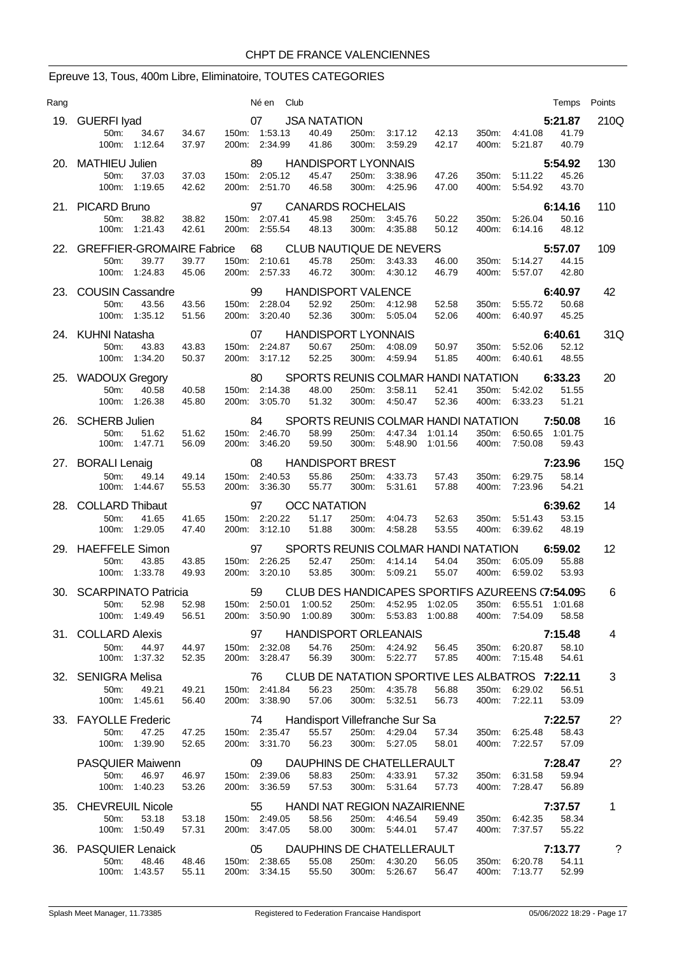# Epreuve 13, Tous, 400m Libre, Eliminatoire, TOUTES CATEGORIES

| Rang |                                                                                    |                         | Né en                                        | Club |                                                                           |                |                                |                    |                |                                     | Temps                       | Points       |
|------|------------------------------------------------------------------------------------|-------------------------|----------------------------------------------|------|---------------------------------------------------------------------------|----------------|--------------------------------|--------------------|----------------|-------------------------------------|-----------------------------|--------------|
|      | 19. GUERFI Iyad<br>34.67<br>50 <sub>m</sub><br>100m: 1:12.64                       | 34.67<br>37.97          | 07<br>150m: 1:53.13<br>200m: 2:34.99         |      | <b>JSA NATATION</b><br>40.49<br>41.86                                     | 250m:<br>300m: | 3:17.12<br>3:59.29             | 42.13<br>42.17     | 350m:<br>400m: | 4:41.08<br>5:21.87                  | 5:21.87<br>41.79<br>40.79   | 210Q         |
|      | 20. MATHIEU Julien<br>50m:<br>37.03<br>100m: 1:19.65                               | 37.03<br>42.62          | 89<br>150m: 2:05.12<br>200m: 2:51.70         |      | <b>HANDISPORT LYONNAIS</b><br>45.47<br>46.58                              | 250m:          | 3:38.96<br>300m: 4:25.96       | 47.26<br>47.00     | 350m:<br>400m: | 5:11.22<br>5:54.92                  | 5:54.92<br>45.26<br>43.70   | 130          |
|      | 21. PICARD Bruno                                                                   |                         | 97                                           |      | <b>CANARDS ROCHELAIS</b>                                                  |                |                                |                    |                |                                     |                             | 110          |
|      | 50m:<br>38.82<br>1:21.43<br>100m:                                                  | 38.82<br>42.61          | 150m: 2:07.41<br>200m: 2:55.54               |      | 45.98<br>48.13                                                            | 250m:<br>300m: | 3:45.76<br>4:35.88             | 50.22<br>50.12     | 350m:<br>400m: | 5:26.04<br>6.14.16                  | 6:14.16<br>50.16<br>48.12   |              |
| 22.  | <b>GREFFIER-GROMAIRE Fabrice</b><br>39.77<br>50 <sub>m</sub> :<br>100m:<br>1:24.83 | 39.77<br>45.06          | 68<br>150m: 2:10.61<br>200m: 2:57.33         |      | <b>CLUB NAUTIQUE DE NEVERS</b><br>45.78<br>46.72                          | 250m:<br>300m: | 3:43.33<br>4:30.12             | 46.00<br>46.79     | 350m:<br>400m: | 5:14.27<br>5:57.07                  | 5:57.07<br>44.15<br>42.80   | 109          |
|      | 23. COUSIN Cassandre<br>50m:<br>43.56<br>100m:<br>1:35.12                          | 43.56<br>51.56          | 99<br>150m: 2:28.04<br>200m: 3:20.40         |      | <b>HANDISPORT VALENCE</b><br>52.92<br>52.36                               | 250m:<br>300m: | 4:12.98<br>5:05.04             | 52.58<br>52.06     | 350m:<br>400m: | 5:55.72<br>6:40.97                  | 6:40.97<br>50.68<br>45.25   | 42           |
|      | 24. KUHNI Natasha<br>50 <sub>m</sub> :<br>43.83<br>100m:<br>1:34.20                | 43.83<br>50.37          | 07<br>150m: 2:24.87<br>200m: 3:17.12         |      | <b>HANDISPORT LYONNAIS</b><br>50.67<br>52.25                              | 250m:<br>300m: | 4:08.09<br>4.59.94             | 50.97<br>51.85     | 350m:<br>400m: | 5.52.06<br>6:40.61                  | 6:40.61<br>52.12<br>48.55   | 31Q          |
|      | 25. WADOUX Gregory<br>50m:<br>40.58<br>100m:<br>1:26.38                            | 40.58<br>45.80          | 80<br>150m: 2:14.38<br>200m: 3:05.70         |      | SPORTS REUNIS COLMAR HANDI NATATION<br>48.00<br>51.32                     | 250m:<br>300m: | 3:58.11<br>4:50.47             | 52.41<br>52.36     | 350m:<br>400m: | 5:42.02<br>6:33.23                  | 6:33.23<br>51.55<br>51.21   | 20           |
|      | 26. SCHERB Julien<br>50m:<br>51.62<br>100m: 1:47.71                                | 51.62<br>56.09          | 84<br>150m: 2:46.70<br>200m: 3:46.20         |      | SPORTS REUNIS COLMAR HANDI NATATION<br>58.99<br>59.50                     |                | 250m: 4:47.34<br>300m: 5:48.90 | 1:01.14<br>1:01.56 | 350m:          | 6:50.65<br>400m: 7:50.08            | 7:50.08<br>1:01.75<br>59.43 | 16           |
| 27.  | <b>BORALI Lenaig</b><br>50m:<br>49.14<br>100m: 1:44.67                             | 49.14<br>55.53          | 08<br>150m: 2:40.53<br>200m: 3:36.30         |      | <b>HANDISPORT BREST</b><br>55.86<br>55.77                                 | 250m:          | 4.33.73<br>300m: 5:31.61       | 57.43<br>57.88     | 350m:<br>400m: | 6:29.75<br>7:23.96                  | 7:23.96<br>58.14<br>54.21   | 15Q          |
| 28.  | <b>COLLARD Thibaut</b><br>41.65<br>50m:<br>100m:<br>1:29.05                        | 41.65<br>47.40          | 97<br>150m: 2:20.22<br>200m: 3:12.10         |      | <b>OCC NATATION</b><br>51.17<br>51.88                                     | 250m:<br>300m: | 4:04.73<br>4:58.28             | 52.63<br>53.55     | 350m:<br>400m: | 5.51.43<br>6:39.62                  | 6:39.62<br>53.15<br>48.19   | 14           |
|      | 29. HAEFFELE Simon<br>43.85<br>50m:<br>100m:<br>1:33.78                            | 43.85<br>49.93          | 97<br>150m: 2:26.25<br>200m: 3:20.10         |      | SPORTS REUNIS COLMAR HANDI NATATION<br>52.47<br>53.85                     | 250m:<br>300m: | 4:14.14<br>5:09.21             | 54.04<br>55.07     | 350m:<br>400m: | 6:05.09<br>6:59.02                  | 6:59.02<br>55.88<br>53.93   | 12           |
|      | 30. SCARPINATO Patricia<br>$50m$ :<br>52.98<br>100m: 1:49.49                       | 52.98<br>56.51          | 59<br>150m: 2:50.01 1:00.52<br>200m: 3:50.90 |      | CLUB DES HANDICAPES SPORTIFS AZUREENS (7:54.095<br>1:00.89                |                | 250m: 4:52.95<br>300m: 5:53.83 | 1:02.05<br>1:00.88 | 350m:<br>400m: | 7:54.09                             | 58.58                       | 6            |
|      | 31. COLLARD Alexis<br>50m:<br>44.97                                                | 44.97                   | 97<br>150m: 2:32.08<br>200m: 3:28.47         |      | <b>HANDISPORT ORLEANAIS</b><br>54.76                                      |                | 250m: 4:24.92<br>300m: 5:22.77 | 56.45<br>57.85     | 350m:          | 6:20.87                             | 7:15.48<br>58.10            | 4            |
|      | 100m: 1:37.32<br>32. SENIGRA Melisa<br>50m:<br>49.21<br>100m: 1:45.61              | 52.35<br>49.21<br>56.40 | 76<br>150m: 2:41.84<br>200m: 3:38.90         |      | 56.39<br>CLUB DE NATATION SPORTIVE LES ALBATROS 7:22.11<br>56.23<br>57.06 |                | 250m: 4:35.78<br>300m: 5:32.51 | 56.88<br>56.73     | 400m:<br>400m: | 7:15.48<br>350m: 6:29.02<br>7:22.11 | 54.61<br>56.51<br>53.09     | 3            |
|      | 33. FAYOLLE Frederic<br>50m:<br>47.25<br>100m: 1:39.90                             | 47.25<br>52.65          | 74<br>150m: 2:35.47<br>200m: 3:31.70         |      | Handisport Villefranche Sur Sa<br>55.57<br>56.23                          |                | 250m: 4:29.04<br>300m: 5:27.05 | 57.34<br>58.01     | 350m.          | 6:25.48<br>400m: 7:22.57            | 7:22.57<br>58.43<br>57.09   | 2?           |
|      | <b>PASQUIER Maiwenn</b><br>50m:<br>46.97<br>100m: 1:40.23                          | 46.97<br>53.26          | 09<br>150m: 2:39.06<br>200m: 3:36.59         |      | DAUPHINS DE CHATELLERAULT<br>58.83<br>57.53                               |                | 250m: 4:33.91<br>300m: 5:31.64 | 57.32<br>57.73     | 350m:<br>400m: | 6:31.58<br>7:28.47                  | 7:28.47<br>59.94<br>56.89   | 2?           |
|      | 35. CHEVREUIL Nicole<br>50m:<br>53.18<br>100m: 1:50.49                             | 53.18<br>57.31          | 55<br>150m: 2:49.05<br>200m: 3:47.05         |      | <b>HANDI NAT REGION NAZAIRIENNE</b><br>58.56<br>58.00                     |                | 250m: 4:46.54<br>300m: 5:44.01 | 59.49<br>57.47     | 400m:          | 350m: 6:42.35<br>7:37.57            | 7:37.57<br>58.34<br>55.22   | $\mathbf{1}$ |
|      | 36. PASQUIER Lenaick<br>50m:<br>48.46<br>100m: 1:43.57                             | 48.46<br>55.11          | 05<br>150m: 2:38.65<br>200m: 3:34.15         |      | DAUPHINS DE CHATELLERAULT<br>55.08<br>55.50                               |                | 250m: 4:30.20<br>300m: 5:26.67 | 56.05<br>56.47     |                | 350m: 6:20.78<br>400m: 7:13.77      | 7:13.77<br>54.11<br>52.99   | ?            |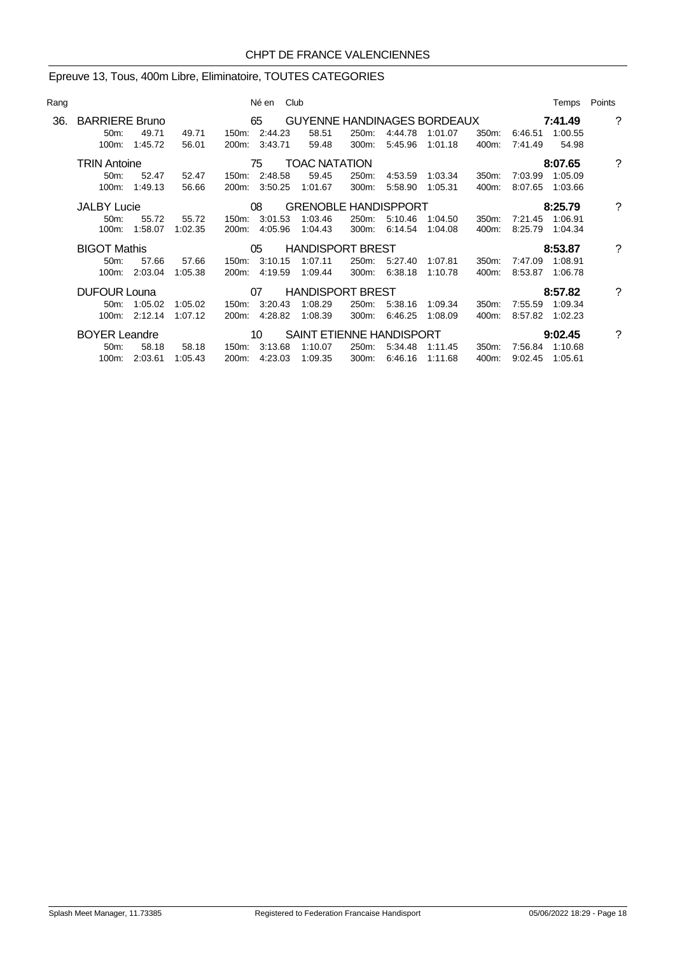# Epreuve 13, Tous, 400m Libre, Eliminatoire, TOUTES CATEGORIES

|                   |         |                                                                                                                                                                      |                                     |                                                                        |                                                                                                                                                                                      |                      |                                                    |                                                                    |                             | Temps   | Points                                                         |
|-------------------|---------|----------------------------------------------------------------------------------------------------------------------------------------------------------------------|-------------------------------------|------------------------------------------------------------------------|--------------------------------------------------------------------------------------------------------------------------------------------------------------------------------------|----------------------|----------------------------------------------------|--------------------------------------------------------------------|-----------------------------|---------|----------------------------------------------------------------|
|                   |         |                                                                                                                                                                      |                                     |                                                                        |                                                                                                                                                                                      |                      |                                                    |                                                                    |                             |         | ?                                                              |
| $50m$ :           | 49.71   | 49.71                                                                                                                                                                |                                     | 58.51                                                                  | 250m:                                                                                                                                                                                | 4:44.78              | 1:01.07                                            | 350m:                                                              | 6:46.51                     | 1:00.55 |                                                                |
| 100m:             | 1:45.72 | 56.01                                                                                                                                                                |                                     | 59.48                                                                  | 300m:                                                                                                                                                                                | 5:45.96              | 1:01.18                                            | 400m:                                                              | 7.41.49                     | 54.98   |                                                                |
|                   |         |                                                                                                                                                                      |                                     |                                                                        |                                                                                                                                                                                      |                      |                                                    |                                                                    |                             |         | ?                                                              |
| 50 <sub>m</sub> : | 52.47   | 52.47                                                                                                                                                                |                                     | 59.45                                                                  | 250m:                                                                                                                                                                                |                      | 1:03.34                                            | 350m:                                                              | 7:03.99                     | 1:05.09 |                                                                |
| $100m$ :          | 1:49.13 | 56.66                                                                                                                                                                | 200m:                               | 1:01.67                                                                | 300m:                                                                                                                                                                                | 5:58.90              | 1:05.31                                            | 400m:                                                              | 8:07.65                     | 1:03.66 |                                                                |
|                   |         |                                                                                                                                                                      |                                     |                                                                        |                                                                                                                                                                                      |                      |                                                    |                                                                    |                             |         | ?                                                              |
| 50m:              | 55.72   | 55.72                                                                                                                                                                | 150m:                               | 1:03.46                                                                | 250m:                                                                                                                                                                                | 5:10.46              | 1:04.50                                            | 350m:                                                              | 7:21.45                     | 1:06.91 |                                                                |
| $100m$ :          | 1:58.07 | 1:02.35                                                                                                                                                              |                                     | 1:04.43                                                                | 300m:                                                                                                                                                                                | 6:14.54              | 1:04.08                                            | 400m.                                                              | 8:25.79                     | 1:04.34 |                                                                |
|                   |         |                                                                                                                                                                      |                                     |                                                                        |                                                                                                                                                                                      |                      |                                                    |                                                                    |                             |         | ?                                                              |
| $50m$ :           | 57.66   | 57.66                                                                                                                                                                |                                     | 1:07.11                                                                | 250m:                                                                                                                                                                                | 5:27.40              | 1:07.81                                            | 350m:                                                              | 7:47.09                     | 1:08.91 |                                                                |
| 100m:             | 2:03.04 | 1:05.38                                                                                                                                                              |                                     |                                                                        | 300m:                                                                                                                                                                                | 6:38.18              | 1:10.78                                            | 400m:                                                              | 8:53.87                     | 1:06.78 |                                                                |
|                   |         |                                                                                                                                                                      |                                     |                                                                        |                                                                                                                                                                                      |                      |                                                    |                                                                    |                             |         | ?                                                              |
| 50m               |         |                                                                                                                                                                      |                                     | 1:08.29                                                                | 250m:                                                                                                                                                                                | 5:38.16              | 1:09.34                                            | 350m:                                                              | 7:55.59                     | 1:09.34 |                                                                |
|                   |         |                                                                                                                                                                      |                                     | 1:08.39                                                                | 300m:                                                                                                                                                                                | 6:46.25              | 1:08.09                                            | 400m:                                                              | 8:57.82                     | 1:02.23 |                                                                |
|                   |         |                                                                                                                                                                      |                                     |                                                                        |                                                                                                                                                                                      |                      |                                                    |                                                                    |                             |         | ?                                                              |
| 50m:              | 58.18   | 58.18                                                                                                                                                                | 150m:                               | 1:10.07                                                                | 250m:                                                                                                                                                                                | 5:34.48              | 1:11.45                                            | 350m:                                                              | 7:56.84                     | 1:10.68 |                                                                |
|                   |         | 1:05.43                                                                                                                                                              |                                     | 1:09.35                                                                | 300m:                                                                                                                                                                                | 6:46.16              | 1:11.68                                            | 400m:                                                              | 9:02.45                     | 1:05.61 |                                                                |
|                   |         | <b>BARRIERE Bruno</b><br><b>TRIN Antoine</b><br><b>JALBY Lucie</b><br><b>BIGOT Mathis</b><br><b>DUFOUR Louna</b><br>1:05.02<br><b>BOYER Leandre</b><br>100m: 2:03.61 | 1:05.02<br>100m: 2:12.14<br>1:07.12 | Né en<br>65 —<br>75<br>08<br>200m:<br>05<br>200m:<br>07<br>200m:<br>10 | Club<br>150m: 2:44.23<br>200m: 3:43.71<br>150m: 2:48.58<br>3:50.25<br>3:01.53<br>4:05.96<br>150m: 3:10.15<br>4:19.59 1:09.44<br>150m: 3:20.43<br>4:28.82<br>3:13.68<br>200m: 4:23.03 | <b>TOAC NATATION</b> | <b>HANDISPORT BREST</b><br><b>HANDISPORT BREST</b> | 4:53.59<br><b>GRENOBLE HANDISPPORT</b><br>SAINT ETIENNE HANDISPORT | GUYENNE HANDINAGES BORDEAUX |         | 7:41.49<br>8:07.65<br>8:25.79<br>8:53.87<br>8:57.82<br>9:02.45 |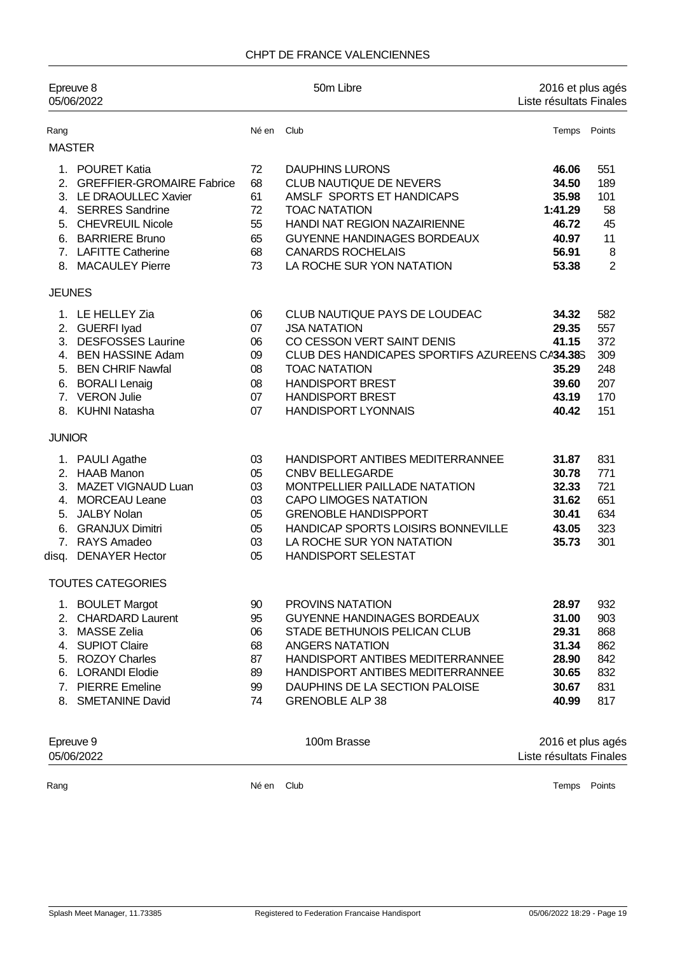#### CHPT DE FRANCE VALENCIENNES

| Epreuve 8<br>05/06/2022                            |                                                                                                                                                                                               |                                              | 50m Libre                                                                                                                                                                                                                                                   | 2016 et plus agés<br>Liste résultats Finales                           |                                                            |  |
|----------------------------------------------------|-----------------------------------------------------------------------------------------------------------------------------------------------------------------------------------------------|----------------------------------------------|-------------------------------------------------------------------------------------------------------------------------------------------------------------------------------------------------------------------------------------------------------------|------------------------------------------------------------------------|------------------------------------------------------------|--|
| Rang                                               |                                                                                                                                                                                               | Né en                                        | Club                                                                                                                                                                                                                                                        | Temps Points                                                           |                                                            |  |
|                                                    | <b>MASTER</b>                                                                                                                                                                                 |                                              |                                                                                                                                                                                                                                                             |                                                                        |                                                            |  |
| 6.                                                 | 1. POURET Katia<br>2. GREFFIER-GROMAIRE Fabrice<br>3. LE DRAOULLEC Xavier<br>4. SERRES Sandrine<br>5. CHEVREUIL Nicole<br><b>BARRIERE Bruno</b><br>7. LAFITTE Catherine<br>8. MACAULEY Pierre | 72<br>68<br>61<br>72<br>55<br>65<br>68<br>73 | <b>DAUPHINS LURONS</b><br>CLUB NAUTIQUE DE NEVERS<br>AMSLF SPORTS ET HANDICAPS<br><b>TOAC NATATION</b><br>HANDI NAT REGION NAZAIRIENNE<br>GUYENNE HANDINAGES BORDEAUX<br><b>CANARDS ROCHELAIS</b><br>LA ROCHE SUR YON NATATION                              | 46.06<br>34.50<br>35.98<br>1:41.29<br>46.72<br>40.97<br>56.91<br>53.38 | 551<br>189<br>101<br>58<br>45<br>11<br>8<br>$\overline{2}$ |  |
|                                                    |                                                                                                                                                                                               |                                              |                                                                                                                                                                                                                                                             |                                                                        |                                                            |  |
| <b>JEUNES</b><br>3.<br>6.                          | 1. LE HELLEY Zia<br>2. GUERFI lyad<br><b>DESFOSSES Laurine</b><br>4. BEN HASSINE Adam<br>5. BEN CHRIF Nawfal<br><b>BORALI Lenaig</b><br>7. VERON Julie<br>8. KUHNI Natasha                    | 06<br>07<br>06<br>09<br>08<br>08<br>07<br>07 | CLUB NAUTIQUE PAYS DE LOUDEAC<br><b>JSA NATATION</b><br>CO CESSON VERT SAINT DENIS<br>CLUB DES HANDICAPES SPORTIFS AZUREENS CA34.38S<br><b>TOAC NATATION</b><br><b>HANDISPORT BREST</b><br><b>HANDISPORT BREST</b><br><b>HANDISPORT LYONNAIS</b>            | 34.32<br>29.35<br>41.15<br>35.29<br>39.60<br>43.19<br>40.42            | 582<br>557<br>372<br>309<br>248<br>207<br>170<br>151       |  |
| <b>JUNIOR</b>                                      |                                                                                                                                                                                               |                                              |                                                                                                                                                                                                                                                             |                                                                        |                                                            |  |
| 5.<br>6.<br>disq.                                  | 1. PAULI Agathe<br>2. HAAB Manon<br>3. MAZET VIGNAUD Luan<br>4. MORCEAU Leane<br><b>JALBY Nolan</b><br><b>GRANJUX Dimitri</b><br>7. RAYS Amadeo<br><b>DENAYER Hector</b>                      | 03<br>05<br>03<br>03<br>05<br>05<br>03<br>05 | HANDISPORT ANTIBES MEDITERRANNEE<br><b>CNBV BELLEGARDE</b><br>MONTPELLIER PAILLADE NATATION<br><b>CAPO LIMOGES NATATION</b><br><b>GRENOBLE HANDISPPORT</b><br>HANDICAP SPORTS LOISIRS BONNEVILLE<br>LA ROCHE SUR YON NATATION<br><b>HANDISPORT SELESTAT</b> | 31.87<br>30.78<br>32.33<br>31.62<br>30.41<br>43.05<br>35.73            | 831<br>771<br>721<br>651<br>634<br>323<br>301              |  |
|                                                    | <b>TOUTES CATEGORIES</b>                                                                                                                                                                      |                                              |                                                                                                                                                                                                                                                             |                                                                        |                                                            |  |
| 2.<br>3.<br>4.<br>5.<br>6.<br>7 <sub>1</sub><br>8. | 1. BOULET Margot<br><b>CHARDARD Laurent</b><br><b>MASSE Zelia</b><br><b>SUPIOT Claire</b><br><b>ROZOY Charles</b><br><b>LORANDI Elodie</b><br><b>PIERRE</b> Emeline<br><b>SMETANINE David</b> | 90<br>95<br>06<br>68<br>87<br>89<br>99<br>74 | <b>PROVINS NATATION</b><br><b>GUYENNE HANDINAGES BORDEAUX</b><br>STADE BETHUNOIS PELICAN CLUB<br><b>ANGERS NATATION</b><br>HANDISPORT ANTIBES MEDITERRANNEE<br>HANDISPORT ANTIBES MEDITERRANNEE<br>DAUPHINS DE LA SECTION PALOISE<br><b>GRENOBLE ALP 38</b> | 28.97<br>31.00<br>29.31<br>31.34<br>28.90<br>30.65<br>30.67<br>40.99   | 932<br>903<br>868<br>862<br>842<br>832<br>831<br>817       |  |
|                                                    | Epreuve 9<br>05/06/2022                                                                                                                                                                       |                                              | 100m Brasse                                                                                                                                                                                                                                                 | 2016 et plus agés<br>Liste résultats Finales                           |                                                            |  |

Rang **Né en Club** Né en Club **Né en Club Temps** Points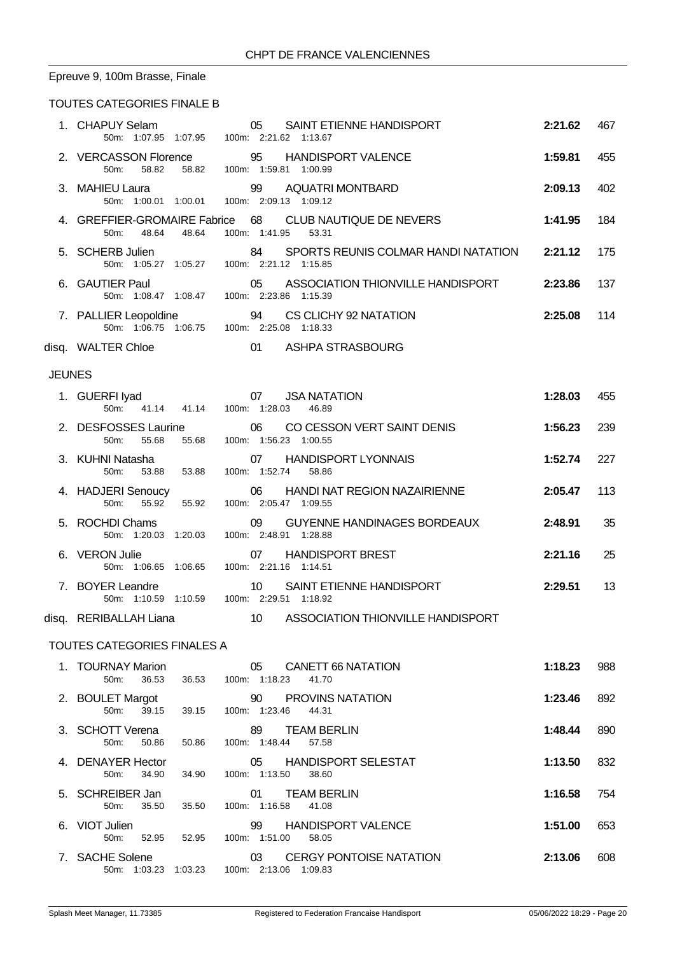# Epreuve 9, 100m Brasse, Finale

### TOUTES CATEGORIES FINALE B

|               | 1. CHAPUY Selam<br>50m: 1:07.95 1:07.95 100m: 2:21.62 1:13.67                         | SAINT ETIENNE HANDISPORT<br>05                                                    | 2:21.62 | 467 |
|---------------|---------------------------------------------------------------------------------------|-----------------------------------------------------------------------------------|---------|-----|
|               | 50m: 58.82 58.82 100m: 1:59.81 1:00.99                                                | 2. VERCASSON Florence 95 HANDISPORT VALENCE                                       | 1:59.81 | 455 |
|               | 3. MAHIEU Laura<br>50m: 1:00.01 1:00.01 100m: 2:09.13 1:09.12                         | 99 AQUATRI MONTBARD                                                               | 2:09.13 | 402 |
|               | 48.64 48.64<br>50m:                                                                   | 4. GREFFIER-GROMAIRE Fabrice 68 CLUB NAUTIQUE DE NEVERS<br>100m: 1:41.95<br>53.31 | 1:41.95 | 184 |
|               | 5. SCHERB Julien<br>50m: 1:05.27 1:05.27 100m: 2:21.12 1:15.85                        | 84<br>SPORTS REUNIS COLMAR HANDI NATATION 2:21.12                                 |         | 175 |
|               | 6. GAUTIER Paul<br>TIER Paul 05 ASSOCIA<br>50m: 1:08.47 1:08.47 100m: 2:23.86 1:15.39 | 05 ASSOCIATION THIONVILLE HANDISPORT                                              | 2:23.86 | 137 |
|               | 7. PALLIER Leopoldine<br>50m: 1:06.75 1:06.75 100m: 2:25.08 1:18.33                   | 94 CS CLICHY 92 NATATION                                                          | 2:25.08 | 114 |
|               | disq. WALTER Chloe                                                                    | 01 ASHPA STRASBOURG                                                               |         |     |
| <b>JEUNES</b> |                                                                                       |                                                                                   |         |     |
|               | RFI Iyad<br>50m: 41.14 41.14 100m: 1:28.03<br>1. GUERFI lyad                          | <b>JSA NATATION</b><br>46.89                                                      | 1:28.03 | 455 |
|               | 2. DESFOSSES Laurine 06<br>55.68<br>50m:<br>55.68                                     | CO CESSON VERT SAINT DENIS<br>100m: 1:56.23 1:00.55                               | 1:56.23 | 239 |
|               | 3. KUHNI Natasha<br>50 <sub>m</sub> :<br>53.88<br>53.88                               | 07 HANDISPORT LYONNAIS<br>100m: 1:52.74 58.86                                     | 1:52.74 | 227 |
|               | 4. HADJERI Senoucy<br>$50m$ :<br>55.92<br>55.92                                       | <b>HANDI NAT REGION NAZAIRIENNE</b><br>06<br>100m: 2:05.47 1:09.55                | 2:05.47 | 113 |
|               | 5. ROCHDI Chams<br>50m: 1:20.03 1:20.03                                               | 09<br><b>GUYENNE HANDINAGES BORDEAUX</b><br>100m: 2:48.91 1:28.88                 | 2:48.91 | 35  |
|               | 6. VERON Julie<br>50m: 1:06.65 1:06.65 100m: 2:21.16 1:14.51                          | <b>HANDISPORT BREST</b><br>07                                                     | 2:21.16 | 25  |
|               | 7. BOYER Leandre<br>50m: 1:10.59 1:10.59 100m: 2:29.51 1:18.92                        | SAINT ETIENNE HANDISPORT<br>10                                                    | 2:29.51 | 13  |
|               | disq. RERIBALLAH Liana                                                                | 10 ASSOCIATION THIONVILLE HANDISPORT                                              |         |     |
|               | TOUTEO OATEOODIEQ FINALEQ A                                                           |                                                                                   |         |     |

#### TOUTES CATEGORIES FINALES A

| 1. TOURNAY Marion<br>36.53<br>50m:    | 36.53   | 05<br>CANETT 66 NATATION<br>1:18.23<br>100m:<br>41.70           | 1:18.23 | 988 |
|---------------------------------------|---------|-----------------------------------------------------------------|---------|-----|
| 2. BOULET Margot<br>50m:<br>39.15     | 39.15   | 90<br><b>PROVINS NATATION</b><br>1:23.46<br>44.31<br>100m:      | 1:23.46 | 892 |
| 3. SCHOTT Verena<br>50.86<br>50m:     | 50.86   | 89<br><b>TEAM BERLIN</b><br>100m: 1:48.44<br>57.58              | 1:48.44 | 890 |
| 4. DENAYER Hector<br>34.90<br>$50m$ : | 34.90   | <b>HANDISPORT SELESTAT</b><br>05<br>1:13.50<br>100m:<br>38.60   | 1:13.50 | 832 |
| 5. SCHREIBER Jan<br>35.50<br>50m:     | 35.50   | <b>TEAM BERLIN</b><br>01<br>100m: 1:16.58<br>41.08              | 1:16.58 | 754 |
| 6. VIOT Julien<br>52.95<br>50m:       | 52.95   | <b>HANDISPORT VALENCE</b><br>99<br>1:51.00<br>$100m$ :<br>58.05 | 1:51.00 | 653 |
| 7. SACHE Solene<br>50m: 1:03.23       | 1:03.23 | <b>CERGY PONTOISE NATATION</b><br>03<br>100m: 2:13.06 1:09.83   | 2:13.06 | 608 |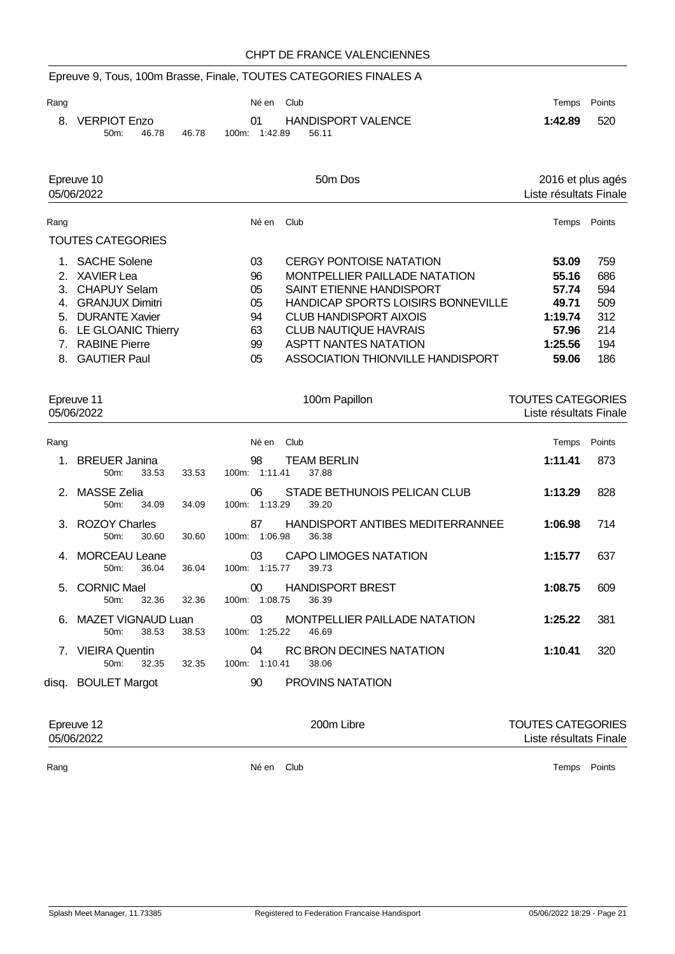# Epreuve 9, Tous, 100m Brasse, Finale, TOUTES CATEGORIES FINALES A

| Rang |                 |       |       | Néen Club     |                           |         | Temps Points |
|------|-----------------|-------|-------|---------------|---------------------------|---------|--------------|
|      | 8. VERPIOT Enzo |       |       | <b>01</b>     | <b>HANDISPORT VALENCE</b> | 1:42.89 | 520          |
|      | $50m$ :         | 46.78 | 46.78 | 100m: 1:42.89 | 56.11                     |         |              |

| Epreuve 10<br>05/06/2022 |                          |       | 50 <sub>m</sub> Dos                       |                        |        |  |
|--------------------------|--------------------------|-------|-------------------------------------------|------------------------|--------|--|
|                          |                          |       |                                           | Liste résultats Finale |        |  |
| Rang                     |                          | Né en | Club                                      | Temps                  | Points |  |
|                          | <b>TOUTES CATEGORIES</b> |       |                                           |                        |        |  |
|                          | 1. SACHE Solene          | 03    | <b>CERGY PONTOISE NATATION</b>            | 53.09                  | 759    |  |
|                          | 2. XAVIER Lea            | 96    | MONTPELLIER PAILLADE NATATION             | 55.16                  | 686    |  |
|                          | 3. CHAPUY Selam          | 05    | SAINT ETIENNE HANDISPORT                  | 57.74                  | 594    |  |
| 4                        | <b>GRANJUX Dimitri</b>   | 05    | <b>HANDICAP SPORTS LOISIRS BONNEVILLE</b> | 49.71                  | 509    |  |
| 5.                       | <b>DURANTE Xavier</b>    | 94    | CLUB HANDISPORT AIXOIS                    | 1:19.74                | 312    |  |
|                          | 6. LE GLOANIC Thierry    | 63    | <b>CLUB NAUTIQUE HAVRAIS</b>              | 57.96                  | 214    |  |
|                          | 7. RABINE Pierre         | 99    | <b>ASPTT NANTES NATATION</b>              | 1:25.56                | 194    |  |
|                          | 8. GAUTIER Paul          | 05    | ASSOCIATION THIONVILLE HANDISPORT         | 59.06                  | 186    |  |

|               | Epreuve 11<br>05/06/2022                 |       | 100m Papillon                                                        | TOUTES CATEGORIES<br>Liste résultats Finale |        |
|---------------|------------------------------------------|-------|----------------------------------------------------------------------|---------------------------------------------|--------|
| Rang          |                                          |       | Né en Club                                                           | Temps                                       | Points |
| 1             | <b>BREUER Janina</b><br>$50m$ :<br>33.53 | 33.53 | <b>TEAM BERLIN</b><br>98<br>100m: 1:11.41<br>37.88                   | 1:11.41                                     | 873    |
| $\mathcal{P}$ | <b>MASSE Zelia</b><br>34.09<br>$50m$ :   | 34.09 | STADE BETHUNOIS PELICAN CLUB<br>06<br>100m: 1:13.29<br>39.20         | 1:13.29                                     | 828    |
|               | 3. ROZOY Charles<br>50m:<br>30.60        | 30.60 | HANDISPORT ANTIBES MEDITERRANNEE<br>87<br>100m: 1:06.98<br>36.38     | 1:06.98                                     | 714    |
|               | MORCEAU Leane<br>36.04<br>$50m$ :        | 36.04 | <b>CAPO LIMOGES NATATION</b><br>03<br>100m: 1:15.77<br>39.73         | 1:15.77                                     | 637    |
|               | 5. CORNIC Mael<br>32.36<br>$50m$ :       | 32.36 | <b>HANDISPORT BREST</b><br>00 <sup>°</sup><br>100m: 1:08.75<br>36.39 | 1:08.75                                     | 609    |
| 6             | MAZET VIGNAUD Luan<br>38.53<br>50m       | 38.53 | MONTPELLIER PAILLADE NATATION<br>03<br>1:25.22<br>100m:<br>46.69     | 1:25.22                                     | 381    |
|               | 7. VIEIRA Quentin<br>$50m$ :<br>32.35    | 32.35 | <b>RC BRON DECINES NATATION</b><br>04<br>100m: 1:10.41<br>38.06      | 1:10.41                                     | 320    |
|               | disq. BOULET Margot                      |       | <b>PROVINS NATATION</b><br>90                                        |                                             |        |

| Epreuve 12<br>05/06/2022 |       | 200m Libre | <b>TOUTES CATEGORIES</b><br>Liste résultats Finale |
|--------------------------|-------|------------|----------------------------------------------------|
| Rang                     | Né en | Club       | Points<br>Temps                                    |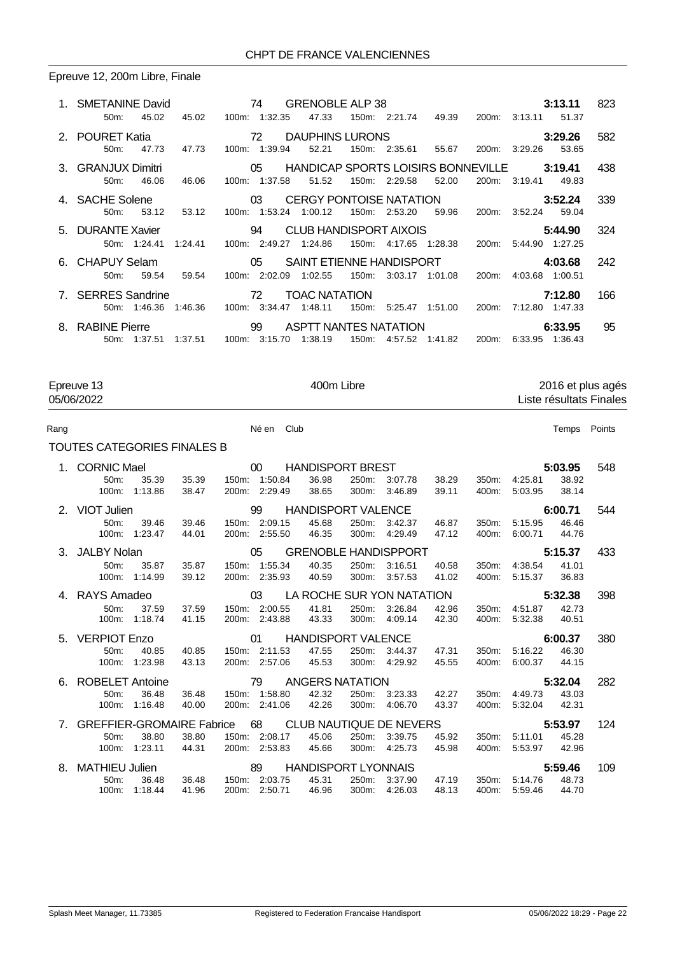### Epreuve 12, 200m Libre, Finale

| 1. SMETANINE David <b>74</b> GRENOBLE ALP 38<br>45.02<br>$50m$ : | 45.02                                              | 100m: 1:32.35                 | 47.33                                          |                       | 150m: 2:21.74  49.39  200m: 3:13.11  51.37     | 3:13.11                          | 823          |
|------------------------------------------------------------------|----------------------------------------------------|-------------------------------|------------------------------------------------|-----------------------|------------------------------------------------|----------------------------------|--------------|
| 2. POURET Katia<br>47.73<br>$50m$ :                              | 47.73                                              | 100m: 1:39.94                 | <b>72 DAUPHINS LURONS</b><br>52.21             | 150m: 2:35.61         | 55.67                                          | 3:29.26<br>200m: 3:29.26         | 582<br>53.65 |
| 3. GRANJUX Dimitri<br>46.06<br>$50m$ :                           | 46.06                                              | 100m: 1:37.58                 | 05 HANDICAP SPORTS LOISIRS BONNEVILLE<br>51.52 | 150m: 2:29.58         | 52.00                                          | 3:19.41<br>200m: 3:19.41         | 438<br>49.83 |
| 4. SACHE Solene<br>53.12<br>50 <sub>m</sub> :                    | $\sim$ 03<br>53.12                                 | 100m: 1:53.24 1:00.12         | CERGY PONTOISE NATATION 3:52.24                | 150m: 2:53.20         | 59.96                                          | 200m: 3:52.24 59.04              | 339          |
| 5. DURANTE Xavier<br>50m: 1:24.41                                | $\sim$ 0.4 $\sim$ 0.4 $\sim$ 0.4 $\sim$<br>1:24.41 | 100m: 2:49.27 1:24.86         | CLUB HANDISPORT AIXOIS                         | 150m: 4:17.65 1:28.38 |                                                | 5:44.90<br>200m: 5:44.90 1:27.25 | 324          |
| 6. CHAPUY Selam<br>59.54<br>$50m$ :                              | 59.54                                              | 100m: 2:02.09 1:02.55         | 05 SAINT ETIENNE HANDISPORT<br>150m:           | 3:03.17 1:01.08       | 200m:                                          | 4:03.68<br>4:03.68 1:00.51       | 242          |
| 7. SERRES Sandrine                                               | 72<br>50 m: 1:46.36 1:46.36 100 m: 3:34.47 1:48.11 |                               | <b>TOAC NATATION</b>                           |                       | 150m: 5:25.47  1:51.00  200m: 7:12.80  1:47.33 | 7:12.80                          | 166          |
| 8. RABINE Pierre<br>50m: 1:37.51                                 | $\sim$ 0.99 $\sim$ 0.99 $\sim$ 0.99 $\sim$         | 1:37.51 100m: 3:15.70 1:38.19 | <b>ASPTT NANTES NATATION</b><br>150m:          |                       | 4.57.52  1.41.82  200m: 6.33.95  1.36.43       | 6:33.95                          | 95           |

Epreuve 13 400m Libre 2016 et plus agés 05/06/2022 Liste résultats Finales

| Rang | Né en | Club<br>. | Temps | Points |
|------|-------|-----------|-------|--------|
|      |       |           |       |        |

| TOUTES CATEGORIES FINALES B |
|-----------------------------|
|-----------------------------|

|    | 1. CORNIC Mael<br>00 <sup>°</sup><br><b>HANDISPORT BREST</b>                |       |               |                                     |       |         | 5:03.95 |       | 548           |                  |     |
|----|-----------------------------------------------------------------------------|-------|---------------|-------------------------------------|-------|---------|---------|-------|---------------|------------------|-----|
|    | 35.39<br>50 <sub>m</sub> :                                                  | 35.39 | 150m: 1:50.84 | 36.98                               | 250m: | 3:07.78 | 38.29   | 350m: | 4:25.81       | 38.92            |     |
|    | 1:13.86<br>$100m$ :                                                         | 38.47 | 200m: 2:29.49 | 38.65                               | 300m: | 3:46.89 | 39.11   | 400m: | 5:03.95       | 38.14            |     |
|    | 2. VIOT Julien                                                              |       | 99            | <b>HANDISPORT VALENCE</b>           |       |         |         |       |               | 6:00.71          | 544 |
|    | $50m$ :<br>39.46                                                            | 39.46 | 150m: 2:09.15 | 45.68                               | 250m: | 3:42.37 | 46.87   | 350m: | 5:15.95       | 46.46            |     |
|    | 1:23.47<br>100m:                                                            | 44.01 | 200m: 2:55.50 | 46.35                               | 300m: | 4:29.49 | 47.12   | 400m: | 6:00.71       | 44.76            |     |
|    | 3. JALBY Nolan                                                              |       | 05            | <b>GRENOBLE HANDISPPORT</b>         |       |         |         |       |               | 5:15.37          | 433 |
|    | 50 <sub>m</sub> :<br>35.87                                                  | 35.87 | 150m: 1:55.34 | 40.35                               | 250m: | 3:16.51 | 40.58   |       | 350m: 4:38.54 | 41.01            |     |
|    | 1:14.99<br>100m:                                                            | 39.12 | 200m: 2:35.93 | 40.59                               | 300m: | 3:57.53 | 41.02   | 400m: | 5:15.37       | 36.83            |     |
|    | 4. RAYS Amadeo                                                              |       | $\sim$ 03     | LA ROCHE SUR YON NATATION           |       |         |         |       |               | 5:32.38          | 398 |
|    | 37.59<br>50m                                                                | 37.59 | 150m: 2:00.55 | 41.81                               | 250m: | 3:26.84 | 42.96   | 350m: | 4:51.87       | 42.73            |     |
|    | 100m: 1:18.74                                                               | 41.15 | 200m: 2:43.88 | 43.33                               | 300m: | 4:09.14 | 42.30   | 400m: | 5:32.38       | 40.51            |     |
|    |                                                                             |       |               |                                     |       |         |         |       |               |                  |     |
|    | 5. VERPIOT Enzo                                                             |       | $\sim$ 01     | <b>HANDISPORT VALENCE</b>           |       |         |         |       |               | 6:00.37          | 380 |
|    | 40.85<br>50 <sub>m</sub> :                                                  | 40.85 | 150m: 2:11.53 | 47.55                               | 250m: | 3:44.37 | 47.31   | 350m: | 5:16.22       | 46.30            |     |
|    | 1:23.98<br>$100m$ :                                                         | 43.13 | 200m: 2:57.06 | 45.53                               | 300m: | 4:29.92 | 45.55   | 400m: | 6:00.37       | 44.15            |     |
|    | 6. ROBELET Antoine                                                          |       | 79            | <b>ANGERS NATATION</b>              |       |         |         |       |               | 5:32.04          | 282 |
|    | 36.48<br>50 <sub>m</sub> :                                                  | 36.48 | 150m: 1:58.80 | 42.32                               | 250m: | 3:23.33 | 42.27   | 350m: | 4:49.73       | 43.03            |     |
|    | 1:16.48<br>100m:                                                            | 40.00 | 200m: 2:41.06 | 42.26                               | 300m: | 4:06.70 | 43.37   | 400m: | 5:32.04       | 42.31            |     |
|    |                                                                             |       |               |                                     |       |         |         |       |               | 5:53.97          | 124 |
|    | 7. GREFFIER-GROMAIRE Fabrice 68 CLUB NAUTIQUE DE NEVERS<br>38.80<br>$50m$ : | 38.80 | 150m: 2:08.17 | 45.06                               | 250m: | 3:39.75 | 45.92   | 350m: | 5:11.01       | 45.28            |     |
|    | 1:23.11<br>100m:                                                            | 44.31 | 200m: 2:53.83 | 45.66                               | 300m: | 4:25.73 | 45.98   | 400m: | 5:53.97       | 42.96            |     |
| 8. |                                                                             |       | 89            |                                     |       |         |         |       |               |                  | 109 |
|    | <b>MATHIEU Julien</b><br>36.48<br>50m                                       | 36.48 | 150m: 2:03.75 | <b>HANDISPORT LYONNAIS</b><br>45.31 | 250m: | 3:37.90 | 47.19   | 350m: | 5:14.76       | 5:59.46<br>48.73 |     |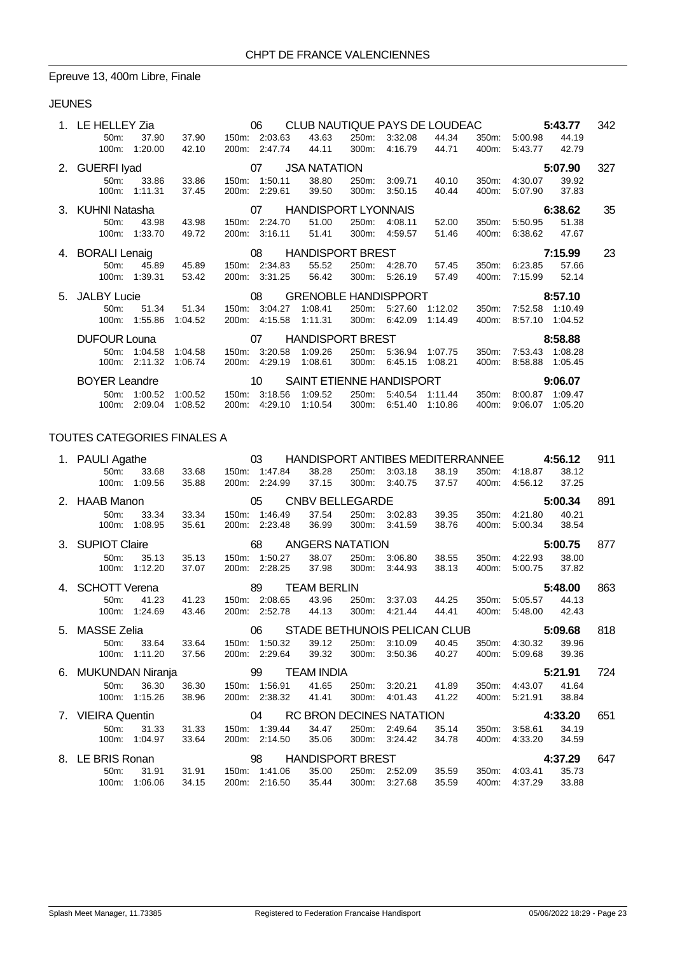#### Epreuve 13, 400m Libre, Finale

### JEUNES

|    | LE HELLEY Zia        |              |                                   |                               | 06<br>CLUB NAUTIQUE PAYS DE LOUDEAC |                                                |       |         |         |       |                       | 5:43.77 |     |  |
|----|----------------------|--------------|-----------------------------------|-------------------------------|-------------------------------------|------------------------------------------------|-------|---------|---------|-------|-----------------------|---------|-----|--|
|    | 50m:                 | 37.90        | 37.90                             |                               | 150m: 2:03.63                       | 43.63                                          | 250m: | 3:32.08 | 44.34   | 350m: | 5:00.98               | 44.19   |     |  |
|    | 100m:                | 1:20.00      | 42.10                             |                               | 200m: 2:47.74                       | 44.11                                          | 300m: | 4:16.79 | 44.71   | 400m: | 5:43.77               | 42.79   |     |  |
|    | 2. GUERFI Iyad       |              |                                   |                               | 07                                  | <b>JSA NATATION</b>                            |       |         |         |       |                       | 5:07.90 | 327 |  |
|    | 50m:                 | 33.86        | 33.86                             | 150m:                         | 1:50.11                             | 38.80                                          | 250m: | 3:09.71 | 40.10   | 350m: | 4:30.07               | 39.92   |     |  |
|    | $100m$ :             | 1:11.31      | 37.45                             | 200m:                         | 2:29.61                             | 39.50                                          | 300m: | 3:50.15 | 40.44   | 400m: | 5:07.90               | 37.83   |     |  |
|    | 3. KUHNI Natasha     |              |                                   |                               |                                     | 07 HANDISPORT LYONNAIS                         |       |         |         |       |                       | 6:38.62 | 35  |  |
|    | 50m:                 | 43.98        | 43.98                             |                               | 150m: 2:24.70                       | 51.00                                          | 250m: | 4:08.11 | 52.00   | 350m: | 5:50.95               | 51.38   |     |  |
|    | 100m:                | 1:33.70      | 49.72                             |                               | 200m: 3:16.11                       | 51.41                                          | 300m: | 4:59.57 | 51.46   | 400m: | 6:38.62               | 47.67   |     |  |
|    | 4. BORALI Lenaig     |              |                                   |                               | 08                                  | <b>HANDISPORT BREST</b>                        |       |         |         |       | 7:15.99               |         | 23  |  |
|    | 50 <sub>m</sub> :    | 45.89        | 45.89                             |                               | 150m: 2:34.83                       | 55.52                                          | 250m: | 4:28.70 | 57.45   | 350m: | 6:23.85               | 57.66   |     |  |
|    | $100m$ :             | 1:39.31      | 53.42                             |                               | 200m: 3:31.25                       | 56.42                                          | 300m: | 5:26.19 | 57.49   | 400m: | 7:15.99               | 52.14   |     |  |
| 5. | <b>JALBY Lucie</b>   |              | 08<br><b>GRENOBLE HANDISPPORT</b> |                               |                                     |                                                |       |         | 8:57.10 |       |                       |         |     |  |
|    | 50m:                 | 51.34        | 51.34                             | 150m:                         | 3:04.27                             | 1:08.41                                        | 250m: | 5:27.60 | 1:12.02 | 350m: | 7:52.58               | 1:10.49 |     |  |
|    | $100m$ :             | 1:55.86      | 1:04.52                           | 200m:                         | 4:15.58                             | 1:11.31                                        | 300m: | 6:42.09 | 1:14.49 | 400m: | 8:57.10               | 1:04.52 |     |  |
|    | <b>DUFOUR Louna</b>  |              |                                   | <b>HANDISPORT BREST</b><br>07 |                                     |                                                |       |         |         |       | 8:58.88               |         |     |  |
|    | $50m$ :              | 1:04.58      | 1:04.58                           | 150m:                         | 3:20.58                             | 1:09.26                                        | 250m: | 5:36.94 | 1:07.75 | 350m: | 7:53.43               | 1:08.28 |     |  |
|    | $100m$ :             | 2:11.32      | 1:06.74                           | 200m:                         | 4:29.19                             | 1:08.61                                        | 300m: | 6:45.15 | 1:08.21 | 400m: | 8:58.88               | 1:05.45 |     |  |
|    | <b>BOYER Leandre</b> |              |                                   |                               | 10 <sup>°</sup>                     | SAINT ETIENNE HANDISPORT                       |       |         |         |       |                       | 9:06.07 |     |  |
|    |                      | 50m: 1:00.52 | 1:00.52                           |                               |                                     | 150m: 3:18.56  1:09.52  250m: 5:40.54  1:11.44 |       |         |         |       | 350m: 8:00.87 1:09.47 |         |     |  |

100m: 2:09.04 1:08.52 200m: 4:29.10 1:10.54 300m: 6:51.40 1:10.86 400m: 9:06.07 1:05.20

#### TOUTES CATEGORIES FINALES A

| 1. PAULI Agathe                       |         |       |                                    | 03            |                         |       | HANDISPORT ANTIBES MEDITERRANNEE |       |         |         | 4:56.12 | 911 |
|---------------------------------------|---------|-------|------------------------------------|---------------|-------------------------|-------|----------------------------------|-------|---------|---------|---------|-----|
| 50 <sub>m</sub> :                     | 33.68   | 33.68 |                                    | 150m: 1:47.84 | 38.28                   | 250m: | 3:03.18                          | 38.19 | 350m:   | 4:18.87 | 38.12   |     |
| 100m:                                 | 1:09.56 | 35.88 |                                    | 200m: 2:24.99 | 37.15                   | 300m: | 3:40.75                          | 37.57 | 400m:   | 4:56.12 | 37.25   |     |
| 2. HAAB Manon                         |         |       |                                    | 05            | <b>CNBV BELLEGARDE</b>  |       |                                  |       |         |         | 5:00.34 | 891 |
| 50 <sub>m</sub> :                     | 33.34   | 33.34 |                                    | 150m: 1:46.49 | 37.54                   | 250m: | 3:02.83                          | 39.35 | 350m:   | 4:21.80 | 40.21   |     |
| 100m:                                 | 1:08.95 | 35.61 |                                    | 200m: 2:23.48 | 36.99                   | 300m: | 3:41.59                          | 38.76 | 400m.   | 5:00.34 | 38.54   |     |
| 3. SUPIOT Claire                      |         |       |                                    | 68            | <b>ANGERS NATATION</b>  |       |                                  |       |         |         | 5:00.75 | 877 |
| 50m:                                  | 35.13   | 35.13 |                                    | 150m: 1:50.27 | 38.07                   | 250m: | 3:06.80                          | 38.55 | 350m:   | 4:22.93 | 38.00   |     |
| 100m:                                 | 1:12.20 | 37.07 |                                    | 200m: 2:28.25 | 37.98                   | 300m: | 3:44.93                          | 38.13 | 400m:   | 5:00.75 | 37.82   |     |
| 4. SCHOTT Verena<br>89<br>TEAM BERLIN |         |       |                                    |               |                         |       |                                  |       | 5:48.00 | 863     |         |     |
| 50m:                                  | 41.23   | 41.23 |                                    | 150m: 2:08.65 | 43.96                   | 250m: | 3:37.03                          | 44.25 | 350m:   | 5:05.57 | 44.13   |     |
| 100m:                                 | 1:24.69 | 43.46 |                                    | 200m: 2:52.78 | 44.13                   | 300m: | 4:21.44                          | 44.41 | 400m:   | 5:48.00 | 42.43   |     |
| 5. MASSE Zelia                        |         |       | STADE BETHUNOIS PELICAN CLUB<br>06 |               |                         |       |                                  |       | 5:09.68 |         | 818     |     |
| 50m:                                  | 33.64   | 33.64 |                                    | 150m: 1:50.32 | 39.12                   | 250m: | 3:10.09                          | 40.45 | 350m:   | 4:30.32 | 39.96   |     |
| 100m:                                 | 1:11.20 | 37.56 |                                    | 200m: 2:29.64 | 39.32                   | 300m: | 3:50.36                          | 40.27 | 400m:   | 5:09.68 | 39.36   |     |
|                                       |         |       |                                    |               |                         |       |                                  |       |         |         |         |     |
| 6. MUKUNDAN Niranja                   |         |       |                                    | 99            | <b>TEAM INDIA</b>       |       |                                  |       |         |         | 5:21.91 | 724 |
| 50m:                                  | 36.30   | 36.30 | 150m:                              | 1:56.91       | 41.65                   | 250m: | 3:20.21                          | 41.89 | 350m:   | 4:43.07 | 41.64   |     |
| $100m$ :                              | 1:15.26 | 38.96 |                                    | 200m: 2:38.32 | 41.41                   | 300m: | 4:01.43                          | 41.22 | 400m:   | 5:21.91 | 38.84   |     |
| 7. VIEIRA Quentin                     |         |       |                                    | 04            |                         |       | RC BRON DECINES NATATION         |       |         |         | 4:33.20 | 651 |
| 50m:                                  | 31.33   | 31.33 |                                    | 150m: 1:39.44 | 34.47                   | 250m: | 2:49.64                          | 35.14 | 350m:   | 3:58.61 | 34.19   |     |
| 100m:                                 | 1:04.97 | 33.64 |                                    | 200m: 2:14.50 | 35.06                   | 300m: | 3:24.42                          | 34.78 | 400m.   | 4:33.20 | 34.59   |     |
| 8. LE BRIS Ronan                      |         |       |                                    | 98            | <b>HANDISPORT BREST</b> |       |                                  |       |         |         | 4:37.29 | 647 |
| 50m:                                  | 31.91   | 31.91 |                                    | 150m: 1:41.06 | 35.00                   | 250m: | 2:52.09                          | 35.59 | 350m:   | 4:03.41 | 35.73   |     |